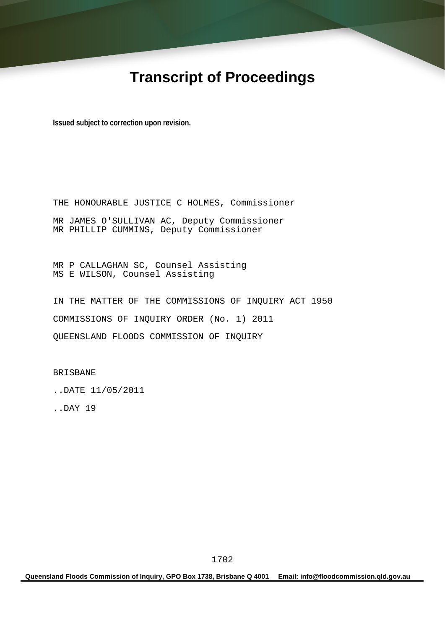# **Transcript of Proceedings**

**Issued subject to correction upon revision.** 

THE HONOURABLE JUSTICE C HOLMES, Commissioner MR JAMES O'SULLIVAN AC, Deputy Commissioner MR PHILLIP CUMMINS, Deputy Commissioner

MR P CALLAGHAN SC, Counsel Assisting MS E WILSON, Counsel Assisting

IN THE MATTER OF THE COMMISSIONS OF INQUIRY ACT 1950 COMMISSIONS OF INQUIRY ORDER (No. 1) 2011 QUEENSLAND FLOODS COMMISSION OF INQUIRY

BRISBANE

..DATE 11/05/2011

..DAY 19

**Queensland Floods Commission of Inquiry, GPO Box 1738, Brisbane Q 4001 Email: info@floodcommission.qld.gov.au**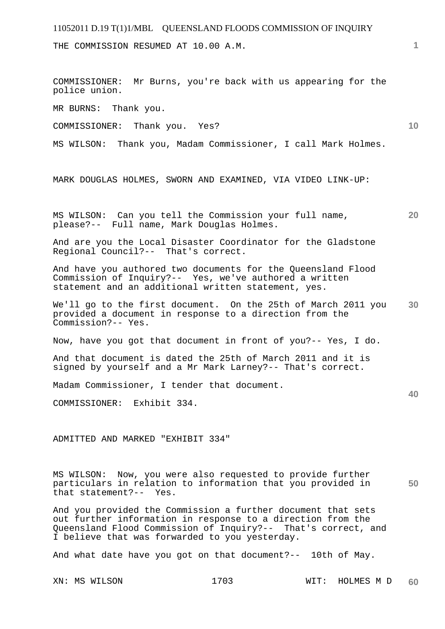THE COMMISSION RESUMED AT 10.00 A.M.

COMMISSIONER: Mr Burns, you're back with us appearing for the police union.

MR BURNS: Thank you.

COMMISSIONER: Thank you. Yes?

MS WILSON: Thank you, Madam Commissioner, I call Mark Holmes.

MARK DOUGLAS HOLMES, SWORN AND EXAMINED, VIA VIDEO LINK-UP:

**20**  MS WILSON: Can you tell the Commission your full name, please?-- Full name, Mark Douglas Holmes.

And are you the Local Disaster Coordinator for the Gladstone Regional Council?-- That's correct.

And have you authored two documents for the Queensland Flood Commission of Inquiry?-- Yes, we've authored a written statement and an additional written statement, yes.

**30**  We'll go to the first document. On the 25th of March 2011 you provided a document in response to a direction from the Commission?-- Yes.

Now, have you got that document in front of you?-- Yes, I do.

And that document is dated the 25th of March 2011 and it is signed by yourself and a Mr Mark Larney?-- That's correct.

Madam Commissioner, I tender that document.

COMMISSIONER: Exhibit 334.

ADMITTED AND MARKED "EXHIBIT 334"

MS WILSON: Now, you were also requested to provide further particulars in relation to information that you provided in that statement?-- Yes.

And you provided the Commission a further document that sets out further information in response to a direction from the Queensland Flood Commission of Inquiry?-- That's correct, and I believe that was forwarded to you yesterday.

And what date have you got on that document?-- 10th of May.

**1**

**10** 

**40**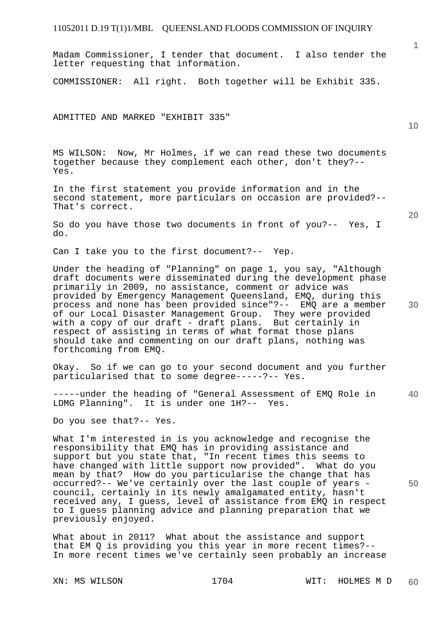Madam Commissioner, I tender that document. I also tender the letter requesting that information.

COMMISSIONER: All right. Both together will be Exhibit 335.

ADMITTED AND MARKED "EXHIBIT 335"

MS WILSON: Now, Mr Holmes, if we can read these two documents together because they complement each other, don't they?-- Yes.

In the first statement you provide information and in the second statement, more particulars on occasion are provided?-- That's correct.

So do you have those two documents in front of you?-- Yes, I do.

Can I take you to the first document?-- Yep.

Under the heading of "Planning" on page 1, you say, "Although draft documents were disseminated during the development phase primarily in 2009, no assistance, comment or advice was provided by Emergency Management Queensland, EMQ, during this process and none has been provided since"?-- EMQ are a member of our Local Disaster Management Group. They were provided with a copy of our draft - draft plans. But certainly in respect of assisting in terms of what format those plans should take and commenting on our draft plans, nothing was forthcoming from EMQ.

Okay. So if we can go to your second document and you further particularised that to some degree-----?-- Yes.

**40**  -----under the heading of "General Assessment of EMQ Role in LDMG Planning". It is under one 1H?-- Yes.

Do you see that?-- Yes.

What I'm interested in is you acknowledge and recognise the responsibility that EMQ has in providing assistance and support but you state that, "In recent times this seems to have changed with little support now provided". What do you mean by that? How do you particularise the change that has occurred?-- We've certainly over the last couple of years council, certainly in its newly amalgamated entity, hasn't received any, I guess, level of assistance from EMQ in respect to I guess planning advice and planning preparation that we previously enjoyed.

What about in 2011? What about the assistance and support that EM Q is providing you this year in more recent times?-- In more recent times we've certainly seen probably an increase

XN: MS WILSON 1704 WIT: HOLMES M D **60** 

**10** 

**1**

**20**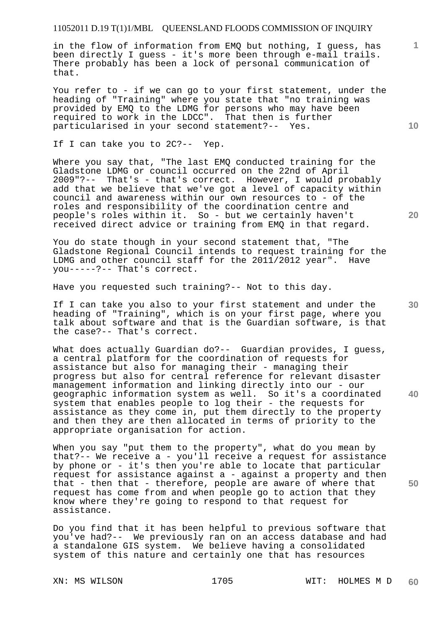in the flow of information from EMQ but nothing, I guess, has been directly I guess - it's more been through e-mail trails. There probably has been a lock of personal communication of that.

You refer to - if we can go to your first statement, under the heading of "Training" where you state that "no training was provided by EMQ to the LDMG for persons who may have been required to work in the LDCC". That then is further particularised in your second statement?-- Yes.

If I can take you to 2C?-- Yep.

Where you say that, "The last EMQ conducted training for the Gladstone LDMG or council occurred on the 22nd of April 2009"?-- That's - that's correct. However, I would probably add that we believe that we've got a level of capacity within council and awareness within our own resources to - of the roles and responsibility of the coordination centre and people's roles within it. So - but we certainly haven't received direct advice or training from EMQ in that regard.

You do state though in your second statement that, "The Gladstone Regional Council intends to request training for the LDMG and other council staff for the 2011/2012 year". Have you-----?-- That's correct.

Have you requested such training?-- Not to this day.

If I can take you also to your first statement and under the heading of "Training", which is on your first page, where you talk about software and that is the Guardian software, is that the case?-- That's correct.

What does actually Guardian do?-- Guardian provides, I quess, a central platform for the coordination of requests for assistance but also for managing their - managing their progress but also for central reference for relevant disaster management information and linking directly into our - our geographic information system as well. So it's a coordinated system that enables people to log their - the requests for assistance as they come in, put them directly to the property and then they are then allocated in terms of priority to the appropriate organisation for action.

When you say "put them to the property", what do you mean by that?-- We receive a - you'll receive a request for assistance by phone or - it's then you're able to locate that particular request for assistance against a - against a property and then that - then that - therefore, people are aware of where that request has come from and when people go to action that they know where they're going to respond to that request for assistance.

Do you find that it has been helpful to previous software that you've had?-- We previously ran on an access database and had a standalone GIS system. We believe having a consolidated system of this nature and certainly one that has resources

**10** 

**1**

**20** 

**30** 

**40**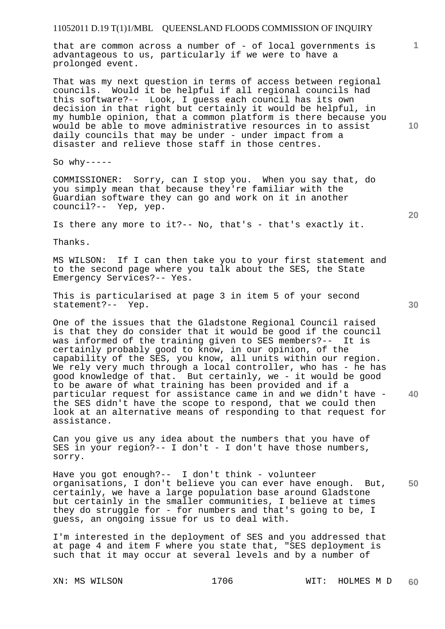that are common across a number of - of local governments is advantageous to us, particularly if we were to have a prolonged event.

That was my next question in terms of access between regional councils. Would it be helpful if all regional councils had this software?-- Look, I guess each council has its own decision in that right but certainly it would be helpful, in my humble opinion, that a common platform is there because you would be able to move administrative resources in to assist daily councils that may be under - under impact from a disaster and relieve those staff in those centres.

So  $whv---$ 

COMMISSIONER: Sorry, can I stop you. When you say that, do you simply mean that because they're familiar with the Guardian software they can go and work on it in another council?-- Yep, yep.

Is there any more to it?-- No, that's - that's exactly it.

Thanks.

MS WILSON: If I can then take you to your first statement and to the second page where you talk about the SES, the State Emergency Services?-- Yes.

This is particularised at page 3 in item 5 of your second statement?-- Yep.

One of the issues that the Gladstone Regional Council raised is that they do consider that it would be good if the council was informed of the training given to SES members?-- It is certainly probably good to know, in our opinion, of the capability of the SES, you know, all units within our region. We rely very much through a local controller, who has - he has good knowledge of that. But certainly, we - it would be good to be aware of what training has been provided and if a particular request for assistance came in and we didn't have the SES didn't have the scope to respond, that we could then look at an alternative means of responding to that request for assistance.

Can you give us any idea about the numbers that you have of SES in your region?-- I don't - I don't have those numbers, sorry.

**50**  Have you got enough?-- I don't think - volunteer organisations, I don't believe you can ever have enough. But, certainly, we have a large population base around Gladstone but certainly in the smaller communities, I believe at times they do struggle for - for numbers and that's going to be, I guess, an ongoing issue for us to deal with.

I'm interested in the deployment of SES and you addressed that at page 4 and item F where you state that, "SES deployment is such that it may occur at several levels and by a number of

**10** 

**1**

**20**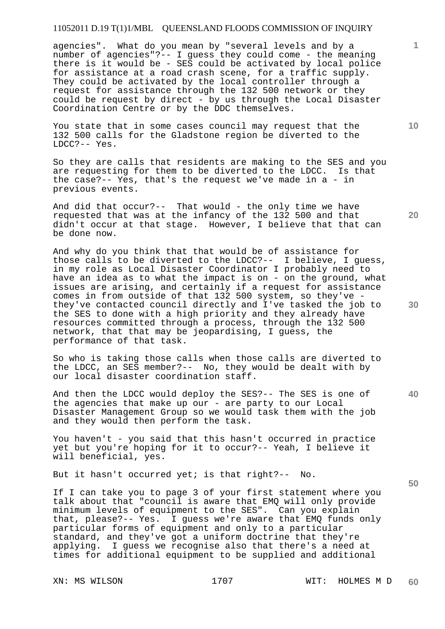agencies". What do you mean by "several levels and by a number of agencies"?-- I guess they could come - the meaning there is it would be - SES could be activated by local police for assistance at a road crash scene, for a traffic supply. They could be activated by the local controller through a request for assistance through the 132 500 network or they could be request by direct - by us through the Local Disaster Coordination Centre or by the DDC themselves.

You state that in some cases council may request that the 132 500 calls for the Gladstone region be diverted to the LDCC?-- Yes.

So they are calls that residents are making to the SES and you are requesting for them to be diverted to the LDCC. Is that the case?-- Yes, that's the request we've made in a - in previous events.

And did that occur?-- That would - the only time we have requested that was at the infancy of the 132 500 and that didn't occur at that stage. However, I believe that that can be done now.

And why do you think that that would be of assistance for those calls to be diverted to the LDCC?-- I believe, I guess, in my role as Local Disaster Coordinator I probably need to have an idea as to what the impact is on - on the ground, what issues are arising, and certainly if a request for assistance comes in from outside of that 132 500 system, so they've they've contacted council directly and I've tasked the job to the SES to done with a high priority and they already have resources committed through a process, through the 132 500 network, that that may be jeopardising, I guess, the performance of that task.

So who is taking those calls when those calls are diverted to the LDCC, an SES member?-- No, they would be dealt with by our local disaster coordination staff.

And then the LDCC would deploy the SES?-- The SES is one of the agencies that make up our - are party to our Local Disaster Management Group so we would task them with the job and they would then perform the task.

You haven't - you said that this hasn't occurred in practice yet but you're hoping for it to occur?-- Yeah, I believe it will beneficial, yes.

But it hasn't occurred yet; is that right?-- No.

If I can take you to page 3 of your first statement where you talk about that "council is aware that EMQ will only provide minimum levels of equipment to the SES". Can you explain that, please?-- Yes. I guess we're aware that EMQ funds only particular forms of equipment and only to a particular standard, and they've got a uniform doctrine that they're applying. I guess we recognise also that there's a need at times for additional equipment to be supplied and additional

**10** 

**1**

**20** 

**30** 

**50**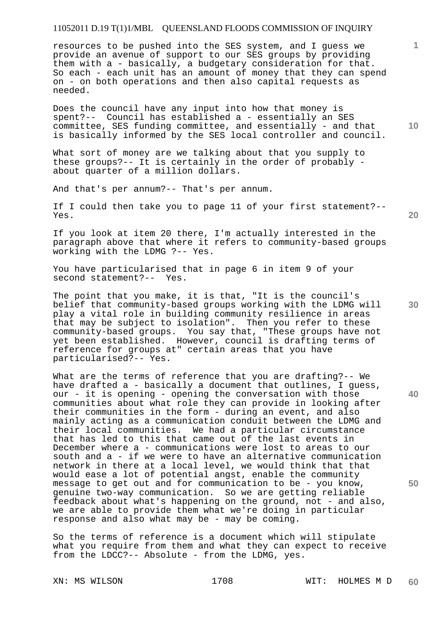resources to be pushed into the SES system, and I guess we provide an avenue of support to our SES groups by providing them with a - basically, a budgetary consideration for that. So each - each unit has an amount of money that they can spend on - on both operations and then also capital requests as needed.

**10**  Does the council have any input into how that money is spent?-- Council has established a - essentially an SES committee, SES funding committee, and essentially - and that is basically informed by the SES local controller and council.

What sort of money are we talking about that you supply to these groups?-- It is certainly in the order of probably about quarter of a million dollars.

And that's per annum?-- That's per annum.

If I could then take you to page 11 of your first statement?-- Yes.

If you look at item 20 there, I'm actually interested in the paragraph above that where it refers to community-based groups working with the LDMG ?-- Yes.

You have particularised that in page 6 in item 9 of your second statement?-- Yes.

The point that you make, it is that, "It is the council's belief that community-based groups working with the LDMG will play a vital role in building community resilience in areas that may be subject to isolation". Then you refer to these community-based groups. You say that, "These groups have not yet been established. However, council is drafting terms of reference for groups at" certain areas that you have particularised?-- Yes.

What are the terms of reference that you are drafting?-- We have drafted a - basically a document that outlines, I guess, our - it is opening - opening the conversation with those communities about what role they can provide in looking after their communities in the form - during an event, and also mainly acting as a communication conduit between the LDMG and their local communities. We had a particular circumstance that has led to this that came out of the last events in December where a - communications were lost to areas to our south and a - if we were to have an alternative communication network in there at a local level, we would think that that would ease a lot of potential angst, enable the community message to get out and for communication to be - you know, genuine two-way communication. So we are getting reliable feedback about what's happening on the ground, not - and also, we are able to provide them what we're doing in particular response and also what may be - may be coming.

So the terms of reference is a document which will stipulate what you require from them and what they can expect to receive from the LDCC?-- Absolute - from the LDMG, yes.

**20** 

**1**

**30** 

**50**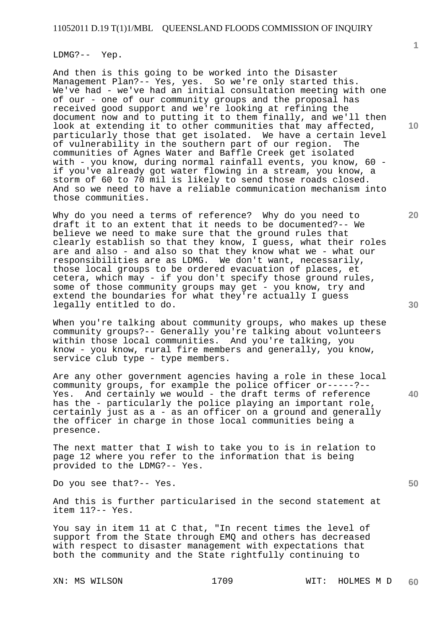#### LDMG?-- Yep.

And then is this going to be worked into the Disaster Management Plan?-- Yes, yes. So we're only started this. We've had - we've had an initial consultation meeting with one of our - one of our community groups and the proposal has received good support and we're looking at refining the document now and to putting it to them finally, and we'll then look at extending it to other communities that may affected, particularly those that get isolated. We have a certain level of vulnerability in the southern part of our region. The communities of Agnes Water and Baffle Creek get isolated with - you know, during normal rainfall events, you know, 60 if you've already got water flowing in a stream, you know, a storm of 60 to 70 mil is likely to send those roads closed. And so we need to have a reliable communication mechanism into those communities.

Why do you need a terms of reference? Why do you need to draft it to an extent that it needs to be documented?-- We believe we need to make sure that the ground rules that clearly establish so that they know, I guess, what their roles are and also - and also so that they know what we - what our responsibilities are as LDMG. We don't want, necessarily, those local groups to be ordered evacuation of places, et cetera, which may - if you don't specify those ground rules, some of those community groups may get - you know, try and extend the boundaries for what they're actually I guess legally entitled to do.

When you're talking about community groups, who makes up these community groups?-- Generally you're talking about volunteers within those local communities. And you're talking, you know - you know, rural fire members and generally, you know, service club type - type members.

Are any other government agencies having a role in these local community groups, for example the police officer or-----?-- Yes. And certainly we would - the draft terms of reference has the - particularly the police playing an important role, certainly just as a - as an officer on a ground and generally the officer in charge in those local communities being a presence.

The next matter that I wish to take you to is in relation to page 12 where you refer to the information that is being provided to the LDMG?-- Yes.

Do you see that?-- Yes.

And this is further particularised in the second statement at item 11?-- Yes.

You say in item 11 at C that, "In recent times the level of support from the State through EMQ and others has decreased with respect to disaster management with expectations that both the community and the State rightfully continuing to

**10** 

**1**

**20** 

**40**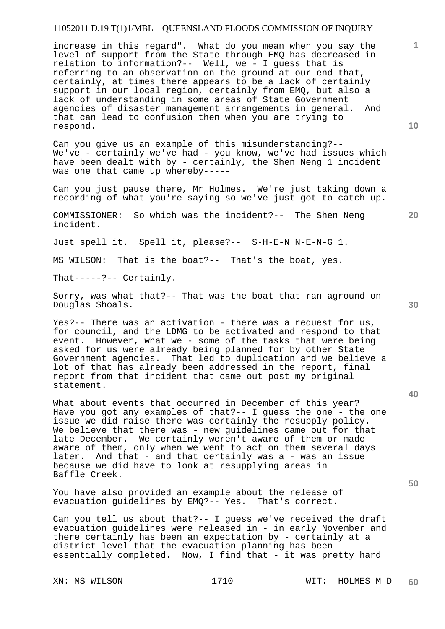increase in this regard". What do you mean when you say the level of support from the State through EMQ has decreased in relation to information?-- Well, we - I guess that is referring to an observation on the ground at our end that, certainly, at times there appears to be a lack of certainly support in our local region, certainly from EMQ, but also a lack of understanding in some areas of State Government agencies of disaster management arrangements in general. And that can lead to confusion then when you are trying to respond.

Can you give us an example of this misunderstanding?-- We've - certainly we've had - you know, we've had issues which have been dealt with by - certainly, the Shen Neng 1 incident was one that came up whereby-----

Can you just pause there, Mr Holmes. We're just taking down a recording of what you're saying so we've just got to catch up.

COMMISSIONER: So which was the incident?-- The Shen Neng incident.

Just spell it. Spell it, please?-- S-H-E-N N-E-N-G 1.

MS WILSON: That is the boat?-- That's the boat, yes.

That-----?-- Certainly.

Sorry, was what that?-- That was the boat that ran aground on Douglas Shoals.

Yes?-- There was an activation - there was a request for us, for council, and the LDMG to be activated and respond to that event. However, what we - some of the tasks that were being asked for us were already being planned for by other State Government agencies. That led to duplication and we believe a lot of that has already been addressed in the report, final report from that incident that came out post my original statement.

What about events that occurred in December of this year? Have you got any examples of that?-- I guess the one - the one issue we did raise there was certainly the resupply policy. We believe that there was - new guidelines came out for that late December. We certainly weren't aware of them or made aware of them, only when we went to act on them several days later. And that - and that certainly was a - was an issue because we did have to look at resupplying areas in Baffle Creek.

You have also provided an example about the release of evacuation quidelines by EMO?-- Yes. That's correct. evacuation guidelines by EMQ?-- Yes.

Can you tell us about that?-- I guess we've received the draft evacuation guidelines were released in - in early November and there certainly has been an expectation by - certainly at a district level that the evacuation planning has been essentially completed. Now, I find that - it was pretty hard

**10** 

**20** 

**1**

**30**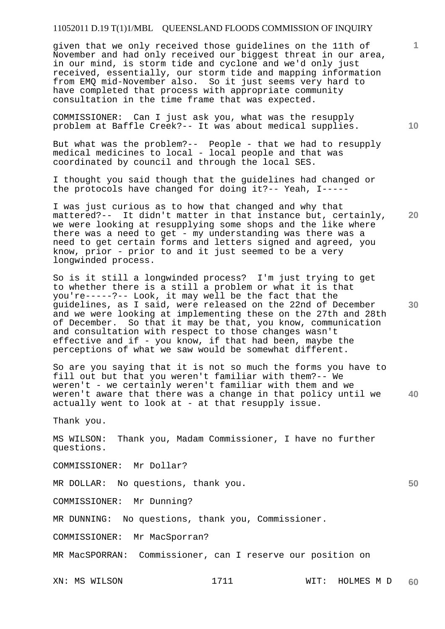given that we only received those guidelines on the 11th of November and had only received our biggest threat in our area, in our mind, is storm tide and cyclone and we'd only just received, essentially, our storm tide and mapping information from EMQ mid-November also. So it just seems very hard to have completed that process with appropriate community consultation in the time frame that was expected.

COMMISSIONER: Can I just ask you, what was the resupply problem at Baffle Creek?-- It was about medical supplies.

But what was the problem?-- People - that we had to resupply medical medicines to local - local people and that was coordinated by council and through the local SES.

I thought you said though that the guidelines had changed or the protocols have changed for doing it?-- Yeah, I-----

**20**  I was just curious as to how that changed and why that mattered?-- It didn't matter in that instance but, certainly, we were looking at resupplying some shops and the like where there was a need to get - my understanding was there was a need to get certain forms and letters signed and agreed, you know, prior - prior to and it just seemed to be a very longwinded process.

So is it still a longwinded process? I'm just trying to get to whether there is a still a problem or what it is that you're-----?-- Look, it may well be the fact that the guidelines, as I said, were released on the 22nd of December and we were looking at implementing these on the 27th and 28th of December. So that it may be that, you know, communication and consultation with respect to those changes wasn't effective and if - you know, if that had been, maybe the perceptions of what we saw would be somewhat different.

**40**  So are you saying that it is not so much the forms you have to fill out but that you weren't familiar with them?-- We weren't - we certainly weren't familiar with them and we weren't aware that there was a change in that policy until we actually went to look at - at that resupply issue.

Thank you.

MS WILSON: Thank you, Madam Commissioner, I have no further questions.

COMMISSIONER: Mr Dollar?

MR DOLLAR: No questions, thank you.

COMMISSIONER: Mr Dunning?

MR DUNNING: No questions, thank you, Commissioner.

COMMISSIONER: Mr MacSporran?

MR MacSPORRAN: Commissioner, can I reserve our position on

XN: MS WILSON 1711 WIT: HOLMES M D **60** 

**30** 

**10** 

**1**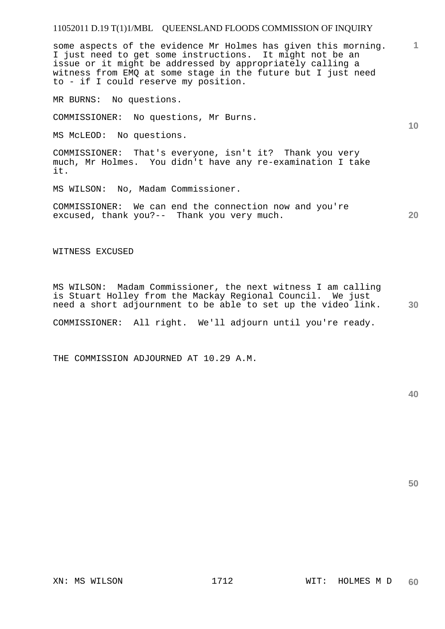some aspects of the evidence Mr Holmes has given this morning. I just need to get some instructions. It might not be an issue or it might be addressed by appropriately calling a witness from EMQ at some stage in the future but I just need to - if I could reserve my position.

MR BURNS: No questions.

COMMISSIONER: No questions, Mr Burns.

MS McLEOD: No questions.

COMMISSIONER: That's everyone, isn't it? Thank you very much, Mr Holmes. You didn't have any re-examination I take it.

MS WILSON: No, Madam Commissioner.

COMMISSIONER: We can end the connection now and you're excused, thank you?-- Thank you very much.

WITNESS EXCUSED

**30**  MS WILSON: Madam Commissioner, the next witness I am calling is Stuart Holley from the Mackay Regional Council. We just need a short adjournment to be able to set up the video link.

COMMISSIONER: All right. We'll adjourn until you're ready.

THE COMMISSION ADJOURNED AT 10.29 A.M.

**40** 

**50** 

**1**

**10**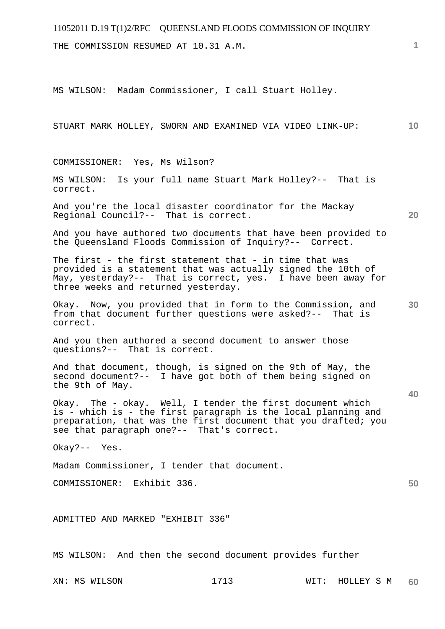THE COMMISSION RESUMED AT 10.31 A.M.

MS WILSON: Madam Commissioner, I call Stuart Holley.

STUART MARK HOLLEY, SWORN AND EXAMINED VIA VIDEO LINK-UP:

COMMISSIONER: Yes, Ms Wilson?

MS WILSON: Is your full name Stuart Mark Holley?-- That is correct.

And you're the local disaster coordinator for the Mackay Regional Council?-- That is correct.

And you have authored two documents that have been provided to the Queensland Floods Commission of Inquiry?-- Correct.

The first - the first statement that - in time that was provided is a statement that was actually signed the 10th of May, yesterday?-- That is correct, yes. I have been away for three weeks and returned yesterday.

Okay. Now, you provided that in form to the Commission, and from that document further questions were asked?-- That is correct.

And you then authored a second document to answer those questions?-- That is correct.

And that document, though, is signed on the 9th of May, the second document?-- I have got both of them being signed on the 9th of May.

Okay. The - okay. Well, I tender the first document which is - which is - the first paragraph is the local planning and preparation, that was the first document that you drafted; you see that paragraph one?-- That's correct.

Okay?-- Yes.

Madam Commissioner, I tender that document.

COMMISSIONER: Exhibit 336.

ADMITTED AND MARKED "EXHIBIT 336"

MS WILSON: And then the second document provides further

**1**

**10** 

**20** 

**30** 

**40**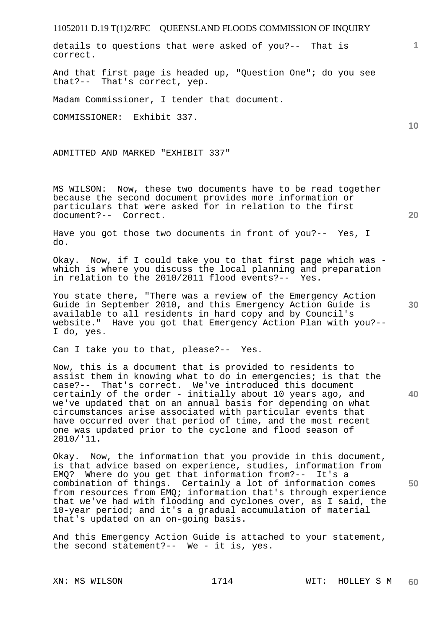details to questions that were asked of you?-- That is correct.

And that first page is headed up, "Question One"; do you see that?-- That's correct, yep.

Madam Commissioner, I tender that document.

COMMISSIONER: Exhibit 337.

ADMITTED AND MARKED "EXHIBIT 337"

MS WILSON: Now, these two documents have to be read together because the second document provides more information or particulars that were asked for in relation to the first document?-- Correct.

Have you got those two documents in front of you?-- Yes, I do.

Okay. Now, if I could take you to that first page which was which is where you discuss the local planning and preparation in relation to the 2010/2011 flood events?-- Yes.

You state there, "There was a review of the Emergency Action Guide in September 2010, and this Emergency Action Guide is available to all residents in hard copy and by Council's website." Have you got that Emergency Action Plan with you?-- I do, yes.

Can I take you to that, please?-- Yes.

Now, this is a document that is provided to residents to assist them in knowing what to do in emergencies; is that the case?-- That's correct. We've introduced this document certainly of the order - initially about 10 years ago, and we've updated that on an annual basis for depending on what circumstances arise associated with particular events that have occurred over that period of time, and the most recent one was updated prior to the cyclone and flood season of 2010/'11.

Okay. Now, the information that you provide in this document, is that advice based on experience, studies, information from EMQ? Where do you get that information from?-- It's a combination of things. Certainly a lot of information comes from resources from EMQ; information that's through experience that we've had with flooding and cyclones over, as I said, the 10-year period; and it's a gradual accumulation of material that's updated on an on-going basis.

And this Emergency Action Guide is attached to your statement, the second statement?-- We - it is, yes.

**20** 

**40** 

**50** 

**10**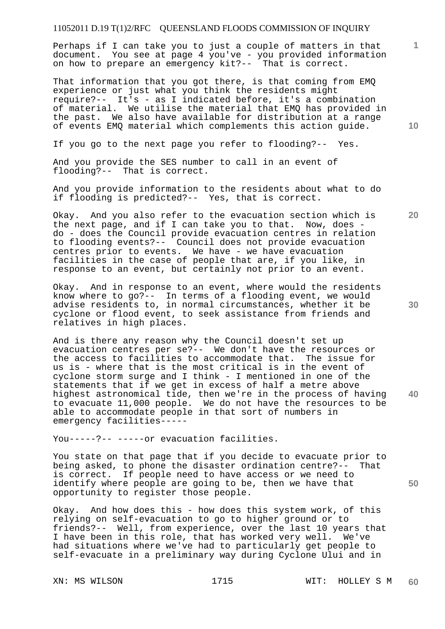Perhaps if I can take you to just a couple of matters in that document. You see at page 4 you've - you provided information on how to prepare an emergency kit?-- That is correct.

That information that you got there, is that coming from EMQ experience or just what you think the residents might require?-- It's - as I indicated before, it's a combination of material. We utilise the material that EMQ has provided in the past. We also have available for distribution at a range of events EMQ material which complements this action guide.

If you go to the next page you refer to flooding?-- Yes.

And you provide the SES number to call in an event of flooding?-- That is correct.

And you provide information to the residents about what to do if flooding is predicted?-- Yes, that is correct.

Okay. And you also refer to the evacuation section which is the next page, and if I can take you to that. Now, does do - does the Council provide evacuation centres in relation to flooding events?-- Council does not provide evacuation centres prior to events. We have - we have evacuation facilities in the case of people that are, if you like, in response to an event, but certainly not prior to an event.

Okay. And in response to an event, where would the residents know where to go?-- In terms of a flooding event, we would advise residents to, in normal circumstances, whether it be cyclone or flood event, to seek assistance from friends and relatives in high places.

And is there any reason why the Council doesn't set up evacuation centres per se?-- We don't have the resources or the access to facilities to accommodate that. The issue for us is - where that is the most critical is in the event of cyclone storm surge and I think - I mentioned in one of the statements that if we get in excess of half a metre above highest astronomical tide, then we're in the process of having to evacuate 11,000 people. We do not have the resources to be able to accommodate people in that sort of numbers in emergency facilities-----

You-----?-- -----or evacuation facilities.

You state on that page that if you decide to evacuate prior to being asked, to phone the disaster ordination centre?-- That is correct. If people need to have access or we need to identify where people are going to be, then we have that opportunity to register those people.

Okay. And how does this - how does this system work, of this relying on self-evacuation to go to higher ground or to friends?-- Well, from experience, over the last 10 years that I have been in this role, that has worked very well. We've had situations where we've had to particularly get people to self-evacuate in a preliminary way during Cyclone Ului and in

**10** 

**1**

**20** 

**30** 

**40**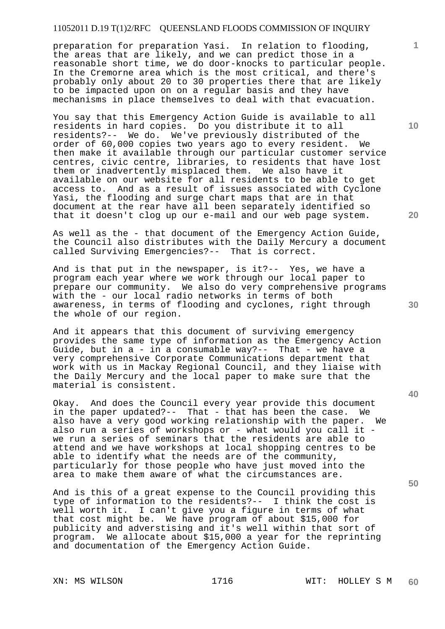preparation for preparation Yasi. In relation to flooding, the areas that are likely, and we can predict those in a reasonable short time, we do door-knocks to particular people. In the Cremorne area which is the most critical, and there's probably only about 20 to 30 properties there that are likely to be impacted upon on on a regular basis and they have mechanisms in place themselves to deal with that evacuation.

You say that this Emergency Action Guide is available to all residents in hard copies. Do you distribute it to all residents?-- We do. We've previously distributed of the order of 60,000 copies two years ago to every resident. We then make it available through our particular customer service centres, civic centre, libraries, to residents that have lost them or inadvertently misplaced them. We also have it available on our website for all residents to be able to get access to. And as a result of issues associated with Cyclone Yasi, the flooding and surge chart maps that are in that document at the rear have all been separately identified so that it doesn't clog up our e-mail and our web page system.

As well as the - that document of the Emergency Action Guide, the Council also distributes with the Daily Mercury a document called Surviving Emergencies?-- That is correct.

And is that put in the newspaper, is it?-- Yes, we have a program each year where we work through our local paper to prepare our community. We also do very comprehensive programs with the - our local radio networks in terms of both awareness, in terms of flooding and cyclones, right through the whole of our region.

And it appears that this document of surviving emergency provides the same type of information as the Emergency Action Guide, but in a - in a consumable way?-- That - we have a very comprehensive Corporate Communications department that work with us in Mackay Regional Council, and they liaise with the Daily Mercury and the local paper to make sure that the material is consistent.

Okay. And does the Council every year provide this document in the paper updated?-- That - that has been the case. We also have a very good working relationship with the paper. We also run a series of workshops or - what would you call it we run a series of seminars that the residents are able to attend and we have workshops at local shopping centres to be able to identify what the needs are of the community, particularly for those people who have just moved into the area to make them aware of what the circumstances are.

And is this of a great expense to the Council providing this type of information to the residents?-- I think the cost is well worth it. I can't give you a figure in terms of what that cost might be. We have program of about \$15,000 for publicity and adverstising and it's well within that sort of program. We allocate about \$15,000 a year for the reprinting and documentation of the Emergency Action Guide.

**10** 

**1**

**20** 

**30** 

**40**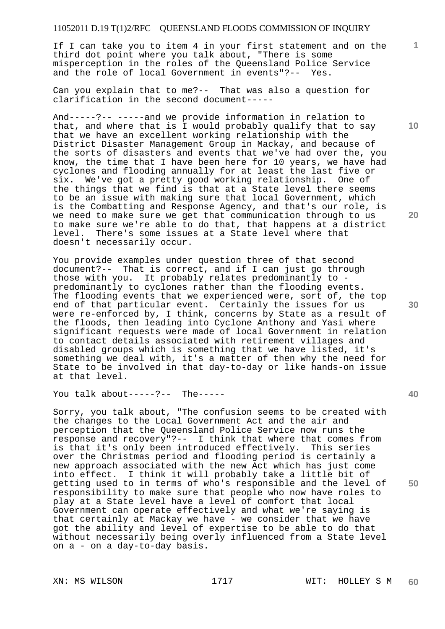If I can take you to item 4 in your first statement and on the third dot point where you talk about, "There is some misperception in the roles of the Queensland Police Service and the role of local Government in events"?-- Yes.

Can you explain that to me?-- That was also a question for clarification in the second document-----

And-----?-- -----and we provide information in relation to that, and where that is I would probably qualify that to say that we have an excellent working relationship with the District Disaster Management Group in Mackay, and because of the sorts of disasters and events that we've had over the, you know, the time that I have been here for 10 years, we have had cyclones and flooding annually for at least the last five or six. We've got a pretty good working relationship. One of the things that we find is that at a State level there seems to be an issue with making sure that local Government, which is the Combatting and Response Agency, and that's our role, is we need to make sure we get that communication through to us to make sure we're able to do that, that happens at a district level. There's some issues at a State level where that doesn't necessarily occur.

You provide examples under question three of that second document?-- That is correct, and if I can just go through those with you. It probably relates predominantly to predominantly to cyclones rather than the flooding events. The flooding events that we experienced were, sort of, the top end of that particular event. Certainly the issues for us were re-enforced by, I think, concerns by State as a result of the floods, then leading into Cyclone Anthony and Yasi where significant requests were made of local Government in relation to contact details associated with retirement villages and disabled groups which is something that we have listed, it's something we deal with, it's a matter of then why the need for State to be involved in that day-to-day or like hands-on issue at that level.

You talk about-----?-- The-----

Sorry, you talk about, "The confusion seems to be created with the changes to the Local Government Act and the air and perception that the Queensland Police Service now runs the response and recovery"?-- I think that where that comes from is that it's only been introduced effectively. This series over the Christmas period and flooding period is certainly a new approach associated with the new Act which has just come into effect. I think it will probably take a little bit of getting used to in terms of who's responsible and the level of responsibility to make sure that people who now have roles to play at a State level have a level of comfort that local Government can operate effectively and what we're saying is that certainly at Mackay we have - we consider that we have got the ability and level of expertise to be able to do that without necessarily being overly influenced from a State level on a - on a day-to-day basis.

**10** 

**1**

**20** 

**30** 

**40**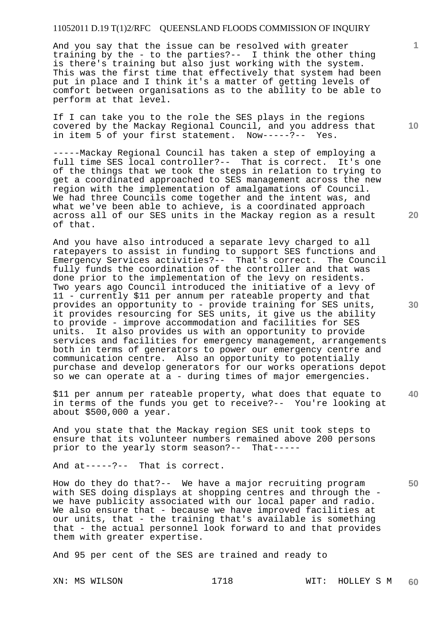And you say that the issue can be resolved with greater training by the - to the parties?-- I think the other thing is there's training but also just working with the system. This was the first time that effectively that system had been put in place and I think it's a matter of getting levels of comfort between organisations as to the ability to be able to perform at that level.

If I can take you to the role the SES plays in the regions covered by the Mackay Regional Council, and you address that in item 5 of your first statement. Now-----?-- Yes.

-----Mackay Regional Council has taken a step of employing a full time SES local controller?-- That is correct. It's one of the things that we took the steps in relation to trying to get a coordinated approached to SES management across the new region with the implementation of amalgamations of Council. We had three Councils come together and the intent was, and what we've been able to achieve, is a coordinated approach across all of our SES units in the Mackay region as a result of that.

And you have also introduced a separate levy charged to all ratepayers to assist in funding to support SES functions and Emergency Services activities?-- That's correct. The Council fully funds the coordination of the controller and that was done prior to the implementation of the levy on residents. Two years ago Council introduced the initiative of a levy of 11 - currently \$11 per annum per rateable property and that provides an opportunity to - provide training for SES units, it provides resourcing for SES units, it give us the ability to provide - improve accommodation and facilities for SES It also provides us with an opportunity to provide services and facilities for emergency management, arrangements both in terms of generators to power our emergency centre and communication centre. Also an opportunity to potentially purchase and develop generators for our works operations depot so we can operate at a - during times of major emergencies.

\$11 per annum per rateable property, what does that equate to in terms of the funds you get to receive?-- You're looking at about \$500,000 a year.

And you state that the Mackay region SES unit took steps to ensure that its volunteer numbers remained above 200 persons prior to the yearly storm season?-- That-----

And at-----?-- That is correct.

How do they do that?-- We have a major recruiting program with SES doing displays at shopping centres and through the we have publicity associated with our local paper and radio. We also ensure that - because we have improved facilities at our units, that - the training that's available is something that - the actual personnel look forward to and that provides them with greater expertise.

And 95 per cent of the SES are trained and ready to

**10** 

**1**

**20** 

**40**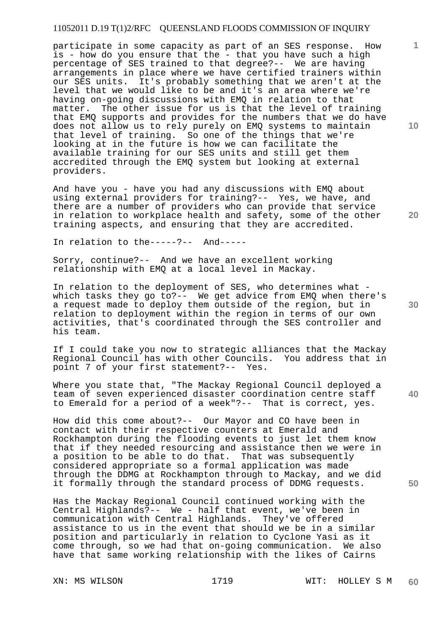participate in some capacity as part of an SES response. How is - how do you ensure that the - that you have such a high percentage of SES trained to that degree?-- We are having arrangements in place where we have certified trainers within our SES units. It's probably something that we aren't at the level that we would like to be and it's an area where we're having on-going discussions with EMQ in relation to that matter. The other issue for us is that the level of training that EMQ supports and provides for the numbers that we do have does not allow us to rely purely on EMQ systems to maintain that level of training. So one of the things that we're looking at in the future is how we can facilitate the available training for our SES units and still get them accredited through the EMQ system but looking at external providers.

And have you - have you had any discussions with EMQ about using external providers for training?-- Yes, we have, and there are a number of providers who can provide that service in relation to workplace health and safety, some of the other training aspects, and ensuring that they are accredited.

In relation to the-----?-- And-----

Sorry, continue?-- And we have an excellent working relationship with EMQ at a local level in Mackay.

In relation to the deployment of SES, who determines what which tasks they go to?-- We get advice from EMQ when there's a request made to deploy them outside of the region, but in relation to deployment within the region in terms of our own activities, that's coordinated through the SES controller and his team.

If I could take you now to strategic alliances that the Mackay Regional Council has with other Councils. You address that in point 7 of your first statement?-- Yes.

Where you state that, "The Mackay Regional Council deployed a team of seven experienced disaster coordination centre staff to Emerald for a period of a week"?-- That is correct, yes.

How did this come about?-- Our Mayor and CO have been in contact with their respective counters at Emerald and Rockhampton during the flooding events to just let them know that if they needed resourcing and assistance then we were in a position to be able to do that. That was subsequently considered appropriate so a formal application was made through the DDMG at Rockhampton through to Mackay, and we did it formally through the standard process of DDMG requests.

Has the Mackay Regional Council continued working with the Central Highlands?-- We - half that event, we've been in communication with Central Highlands. They've offered assistance to us in the event that should we be in a similar position and particularly in relation to Cyclone Yasi as it come through, so we had that on-going communication. We also have that same working relationship with the likes of Cairns

**10** 

**1**

**20** 

**40**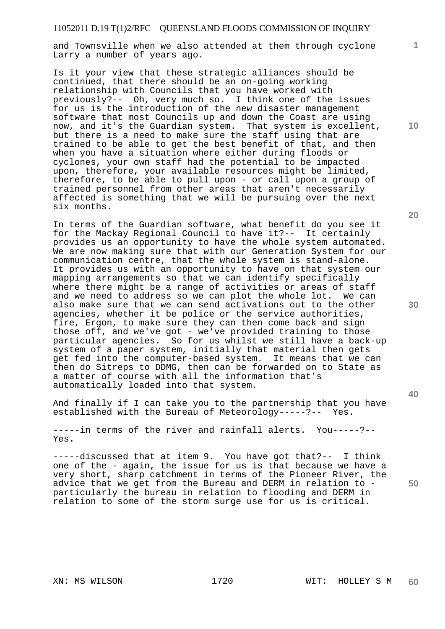and Townsville when we also attended at them through cyclone Larry a number of years ago.

Is it your view that these strategic alliances should be continued, that there should be an on-going working relationship with Councils that you have worked with previously?-- Oh, very much so. I think one of the issues for us is the introduction of the new disaster management software that most Councils up and down the Coast are using now, and it's the Guardian system. That system is excellent, but there is a need to make sure the staff using that are trained to be able to get the best benefit of that, and then when you have a situation where either during floods or cyclones, your own staff had the potential to be impacted upon, therefore, your available resources might be limited, therefore, to be able to pull upon - or call upon a group of trained personnel from other areas that aren't necessarily affected is something that we will be pursuing over the next six months.

In terms of the Guardian software, what benefit do you see it for the Mackay Regional Council to have it?-- It certainly provides us an opportunity to have the whole system automated. We are now making sure that with our Generation System for our communication centre, that the whole system is stand-alone. It provides us with an opportunity to have on that system our mapping arrangements so that we can identify specifically where there might be a range of activities or areas of staff and we need to address so we can plot the whole lot. We can also make sure that we can send activations out to the other agencies, whether it be police or the service authorities, fire, Ergon, to make sure they can then come back and sign those off, and we've got - we've provided training to those particular agencies. So for us whilst we still have a back-up system of a paper system, initially that material then gets get fed into the computer-based system. It means that we can then do Sitreps to DDMG, then can be forwarded on to State as a matter of course with all the information that's automatically loaded into that system.

And finally if I can take you to the partnership that you have established with the Bureau of Meteorology-----?-- Yes.

-----in terms of the river and rainfall alerts. You-----?-- Yes.

-----discussed that at item 9. You have got that?-- I think one of the - again, the issue for us is that because we have a very short, sharp catchment in terms of the Pioneer River, the advice that we get from the Bureau and DERM in relation to particularly the bureau in relation to flooding and DERM in relation to some of the storm surge use for us is critical.

**20** 

**10** 

**1**

**30** 

**40**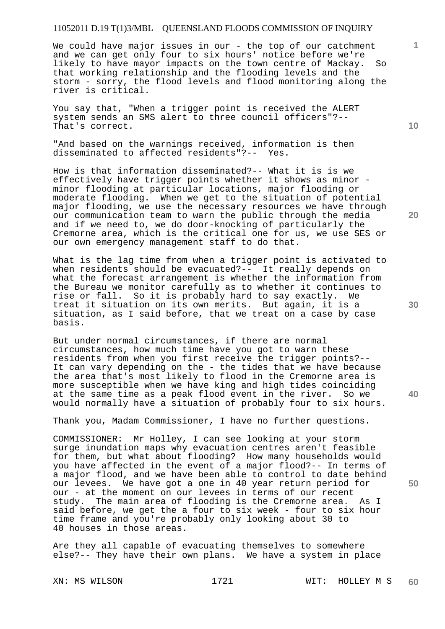We could have major issues in our - the top of our catchment and we can get only four to six hours' notice before we're likely to have mayor impacts on the town centre of Mackay. So that working relationship and the flooding levels and the storm - sorry, the flood levels and flood monitoring along the river is critical.

You say that, "When a trigger point is received the ALERT system sends an SMS alert to three council officers"?-- That's correct.

"And based on the warnings received, information is then disseminated to affected residents"?-- Yes.

How is that information disseminated?-- What it is is we effectively have trigger points whether it shows as minor minor flooding at particular locations, major flooding or moderate flooding. When we get to the situation of potential major flooding, we use the necessary resources we have through our communication team to warn the public through the media and if we need to, we do door-knocking of particularly the Cremorne area, which is the critical one for us, we use SES or our own emergency management staff to do that.

What is the lag time from when a trigger point is activated to when residents should be evacuated?-- It really depends on what the forecast arrangement is whether the information from the Bureau we monitor carefully as to whether it continues to rise or fall. So it is probably hard to say exactly. We treat it situation on its own merits. But again, it is a situation, as I said before, that we treat on a case by case basis.

But under normal circumstances, if there are normal circumstances, how much time have you got to warn these residents from when you first receive the trigger points?-- It can vary depending on the - the tides that we have because the area that's most likely to flood in the Cremorne area is more susceptible when we have king and high tides coinciding at the same time as a peak flood event in the river. So we would normally have a situation of probably four to six hours.

Thank you, Madam Commissioner, I have no further questions.

COMMISSIONER: Mr Holley, I can see looking at your storm surge inundation maps why evacuation centres aren't feasible for them, but what about flooding? How many households would you have affected in the event of a major flood?-- In terms of a major flood, and we have been able to control to date behind our levees. We have got a one in 40 year return period for our - at the moment on our levees in terms of our recent study. The main area of flooding is the Cremorne area. As I said before, we get the a four to six week - four to six hour time frame and you're probably only looking about 30 to 40 houses in those areas.

Are they all capable of evacuating themselves to somewhere else?-- They have their own plans. We have a system in place

**10** 

**1**

**30** 

**40**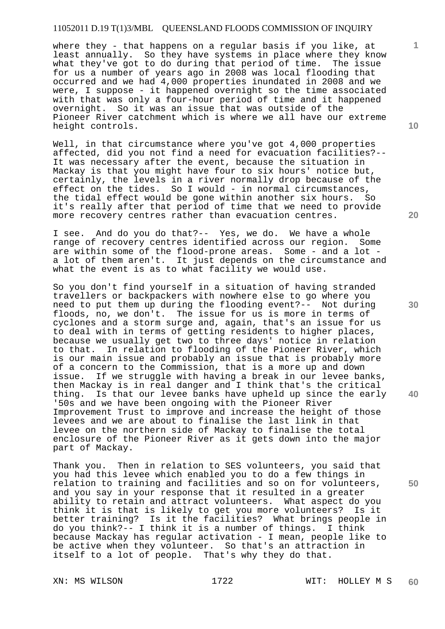where they - that happens on a regular basis if you like, at least annually. So they have systems in place where they know what they've got to do during that period of time. The issue for us a number of years ago in 2008 was local flooding that occurred and we had 4,000 properties inundated in 2008 and we were, I suppose - it happened overnight so the time associated with that was only a four-hour period of time and it happened overnight. So it was an issue that was outside of the Pioneer River catchment which is where we all have our extreme height controls.

Well, in that circumstance where you've got 4,000 properties affected, did you not find a need for evacuation facilities?-- It was necessary after the event, because the situation in Mackay is that you might have four to six hours' notice but, certainly, the levels in a river normally drop because of the effect on the tides. So I would - in normal circumstances, the tidal effect would be gone within another six hours. So it's really after that period of time that we need to provide more recovery centres rather than evacuation centres.

I see. And do you do that?-- Yes, we do. We have a whole range of recovery centres identified across our region. Some are within some of the flood-prone areas. Some - and a lot a lot of them aren't. It just depends on the circumstance and what the event is as to what facility we would use.

So you don't find yourself in a situation of having stranded travellers or backpackers with nowhere else to go where you need to put them up during the flooding event?-- Not during floods, no, we don't. The issue for us is more in terms of cyclones and a storm surge and, again, that's an issue for us to deal with in terms of getting residents to higher places, because we usually get two to three days' notice in relation to that. In relation to flooding of the Pioneer River, which is our main issue and probably an issue that is probably more of a concern to the Commission, that is a more up and down issue. If we struggle with having a break in our levee banks, then Mackay is in real danger and I think that's the critical thing. Is that our levee banks have upheld up since the early '50s and we have been ongoing with the Pioneer River Improvement Trust to improve and increase the height of those levees and we are about to finalise the last link in that levee on the northern side of Mackay to finalise the total enclosure of the Pioneer River as it gets down into the major part of Mackay.

Thank you. Then in relation to SES volunteers, you said that you had this levee which enabled you to do a few things in relation to training and facilities and so on for volunteers, and you say in your response that it resulted in a greater ability to retain and attract volunteers. What aspect do you think it is that is likely to get you more volunteers? Is it better training? Is it the facilities? What brings people in do you think?-- I think it is a number of things. I think because Mackay has regular activation - I mean, people like to be active when they volunteer. So that's an attraction in itself to a lot of people. That's why they do that.

**10** 

**1**

**20** 

**50**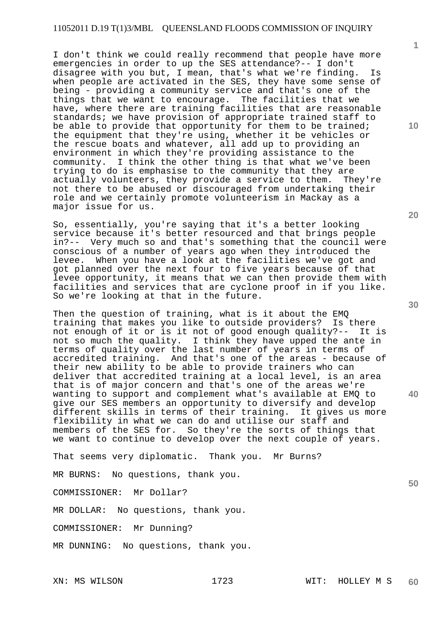I don't think we could really recommend that people have more emergencies in order to up the SES attendance?-- I don't disagree with you but, I mean, that's what we're finding. Is when people are activated in the SES, they have some sense of being - providing a community service and that's one of the things that we want to encourage. The facilities that we have, where there are training facilities that are reasonable standards; we have provision of appropriate trained staff to be able to provide that opportunity for them to be trained; the equipment that they're using, whether it be vehicles or the rescue boats and whatever, all add up to providing an environment in which they're providing assistance to the community. I think the other thing is that what we've been trying to do is emphasise to the community that they are actually volunteers, they provide a service to them. They're not there to be abused or discouraged from undertaking their role and we certainly promote volunteerism in Mackay as a major issue for us.

So, essentially, you're saying that it's a better looking service because it's better resourced and that brings people in?-- Very much so and that's something that the council were conscious of a number of years ago when they introduced the levee. When you have a look at the facilities we've got and got planned over the next four to five years because of that levee opportunity, it means that we can then provide them with facilities and services that are cyclone proof in if you like. So we're looking at that in the future.

Then the question of training, what is it about the EMQ training that makes you like to outside providers? Is there not enough of it or is it not of good enough quality?-- It is not so much the quality. I think they have upped the ante in terms of quality over the last number of years in terms of accredited training. And that's one of the areas - because of their new ability to be able to provide trainers who can deliver that accredited training at a local level, is an area that is of major concern and that's one of the areas we're wanting to support and complement what's available at EMQ to give our SES members an opportunity to diversify and develop different skills in terms of their training. It gives us more flexibility in what we can do and utilise our staff and members of the SES for. So they're the sorts of things that we want to continue to develop over the next couple of years.

That seems very diplomatic. Thank you. Mr Burns?

MR BURNS: No questions, thank you.

COMMISSIONER: Mr Dollar?

MR DOLLAR: No questions, thank you.

COMMISSIONER: Mr Dunning?

MR DUNNING: No questions, thank you.

**1**

**20** 

**30** 

**50**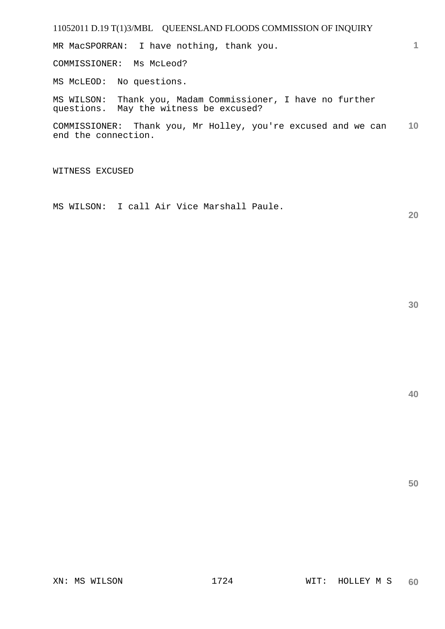MR MacSPORRAN: I have nothing, thank you.

COMMISSIONER: Ms McLeod?

MS McLEOD: No questions.

MS WILSON: Thank you, Madam Commissioner, I have no further questions. May the witness be excused?

**10**  COMMISSIONER: Thank you, Mr Holley, you're excused and we can end the connection.

WITNESS EXCUSED

MS WILSON: I call Air Vice Marshall Paule.

**20** 

**1**

**40**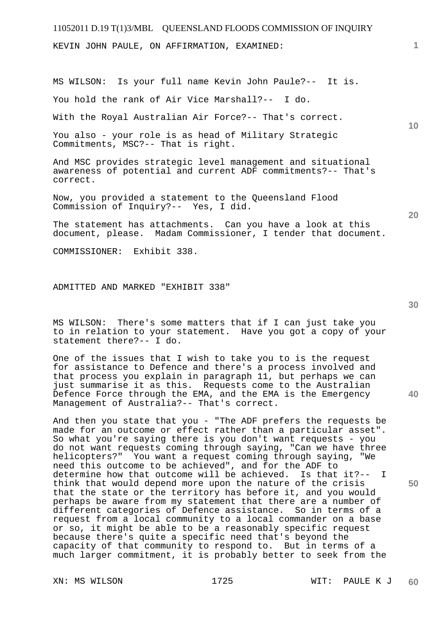KEVIN JOHN PAULE, ON AFFIRMATION, EXAMINED:

MS WILSON: Is your full name Kevin John Paule?-- It is.

You hold the rank of Air Vice Marshall?-- I do.

With the Royal Australian Air Force?-- That's correct.

You also - your role is as head of Military Strategic Commitments, MSC?-- That is right.

And MSC provides strategic level management and situational awareness of potential and current ADF commitments?-- That's correct.

Now, you provided a statement to the Queensland Flood Commission of Inquiry?-- Yes, I did.

The statement has attachments. Can you have a look at this document, please. Madam Commissioner, I tender that document.

COMMISSIONER: Exhibit 338.

ADMITTED AND MARKED "EXHIBIT 338"

MS WILSON: There's some matters that if I can just take you to in relation to your statement. Have you got a copy of your statement there?-- I do.

One of the issues that I wish to take you to is the request for assistance to Defence and there's a process involved and that process you explain in paragraph 11, but perhaps we can just summarise it as this. Requests come to the Australian Defence Force through the EMA, and the EMA is the Emergency Management of Australia?-- That's correct.

And then you state that you - "The ADF prefers the requests be made for an outcome or effect rather than a particular asset". So what you're saying there is you don't want requests - you do not want requests coming through saying, "Can we have three helicopters?" You want a request coming through saying, "We need this outcome to be achieved", and for the ADF to determine how that outcome will be achieved. Is that it?-- I think that would depend more upon the nature of the crisis that the state or the territory has before it, and you would perhaps be aware from my statement that there are a number of different categories of Defence assistance. So in terms of a request from a local community to a local commander on a base or so, it might be able to be a reasonably specific request because there's quite a specific need that's beyond the capacity of that community to respond to. But in terms of a much larger commitment, it is probably better to seek from the

**30** 

**50** 

**10**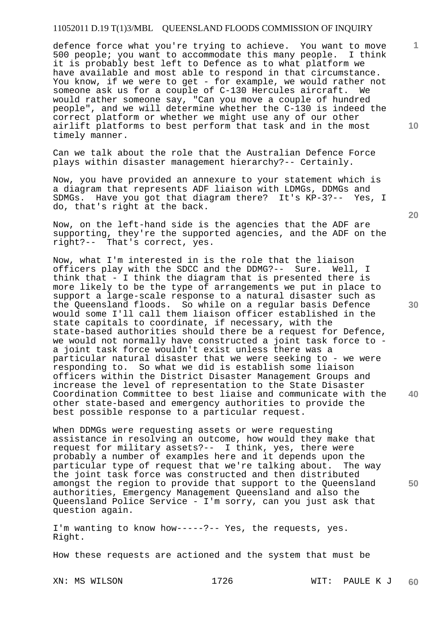defence force what you're trying to achieve. You want to move 500 people; you want to accommodate this many people. I think it is probably best left to Defence as to what platform we have available and most able to respond in that circumstance. You know, if we were to get - for example, we would rather not someone ask us for a couple of C-130 Hercules aircraft. We would rather someone say, "Can you move a couple of hundred people", and we will determine whether the C-130 is indeed the correct platform or whether we might use any of our other airlift platforms to best perform that task and in the most timely manner.

Can we talk about the role that the Australian Defence Force plays within disaster management hierarchy?-- Certainly.

Now, you have provided an annexure to your statement which is a diagram that represents ADF liaison with LDMGs, DDMGs and SDMGs. Have you got that diagram there? It's KP-3?-- Yes, I do, that's right at the back.

Now, on the left-hand side is the agencies that the ADF are supporting, they're the supported agencies, and the ADF on the right?-- That's correct, yes.

Now, what I'm interested in is the role that the liaison officers play with the SDCC and the DDMG?-- Sure. Well, I think that - I think the diagram that is presented there is more likely to be the type of arrangements we put in place to support a large-scale response to a natural disaster such as the Queensland floods. So while on a regular basis Defence would some I'll call them liaison officer established in the state capitals to coordinate, if necessary, with the state-based authorities should there be a request for Defence, we would not normally have constructed a joint task force to a joint task force wouldn't exist unless there was a particular natural disaster that we were seeking to - we were responding to. So what we did is establish some liaison officers within the District Disaster Management Groups and increase the level of representation to the State Disaster Coordination Committee to best liaise and communicate with the other state-based and emergency authorities to provide the best possible response to a particular request.

When DDMGs were requesting assets or were requesting assistance in resolving an outcome, how would they make that request for military assets?-- I think, yes, there were probably a number of examples here and it depends upon the particular type of request that we're talking about. The way the joint task force was constructed and then distributed amongst the region to provide that support to the Queensland authorities, Emergency Management Queensland and also the Queensland Police Service - I'm sorry, can you just ask that question again.

I'm wanting to know how-----?-- Yes, the requests, yes. Right.

How these requests are actioned and the system that must be

**20** 

**1**

**10** 

**30** 

**40**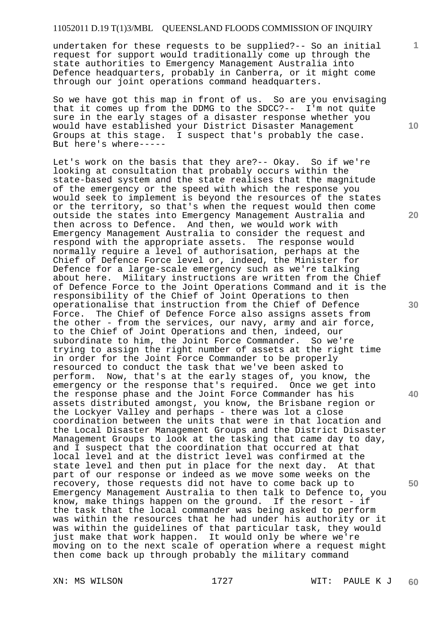undertaken for these requests to be supplied?-- So an initial request for support would traditionally come up through the state authorities to Emergency Management Australia into Defence headquarters, probably in Canberra, or it might come through our joint operations command headquarters.

So we have got this map in front of us. So are you envisaging that it comes up from the DDMG to the SDCC?-- I'm not quite sure in the early stages of a disaster response whether you would have established your District Disaster Management Groups at this stage. I suspect that's probably the case. But here's where-----

Let's work on the basis that they are?-- Okay. So if we're looking at consultation that probably occurs within the state-based system and the state realises that the magnitude of the emergency or the speed with which the response you would seek to implement is beyond the resources of the states or the territory, so that's when the request would then come outside the states into Emergency Management Australia and then across to Defence. And then, we would work with Emergency Management Australia to consider the request and respond with the appropriate assets. The response would normally require a level of authorisation, perhaps at the Chief of Defence Force level or, indeed, the Minister for Defence for a large-scale emergency such as we're talking about here. Military instructions are written from the Chief of Defence Force to the Joint Operations Command and it is the responsibility of the Chief of Joint Operations to then operationalise that instruction from the Chief of Defence Force. The Chief of Defence Force also assigns assets from the other - from the services, our navy, army and air force, to the Chief of Joint Operations and then, indeed, our subordinate to him, the Joint Force Commander. So we're trying to assign the right number of assets at the right time in order for the Joint Force Commander to be properly resourced to conduct the task that we've been asked to perform. Now, that's at the early stages of, you know, the emergency or the response that's required. Once we get into the response phase and the Joint Force Commander has his assets distributed amongst, you know, the Brisbane region or the Lockyer Valley and perhaps - there was lot a close coordination between the units that were in that location and the Local Disaster Management Groups and the District Disaster Management Groups to look at the tasking that came day to day, and I suspect that the coordination that occurred at that local level and at the district level was confirmed at the state level and then put in place for the next day. At that part of our response or indeed as we move some weeks on the recovery, those requests did not have to come back up to Emergency Management Australia to then talk to Defence to, you know, make things happen on the ground. If the resort - if the task that the local commander was being asked to perform was within the resources that he had under his authority or it was within the guidelines of that particular task, they would just make that work happen. It would only be where we're moving on to the next scale of operation where a request might then come back up through probably the military command

**10** 

**1**

**20** 

**30** 

**40**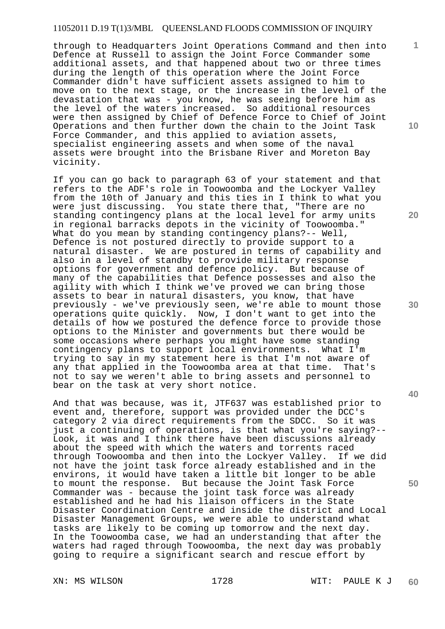through to Headquarters Joint Operations Command and then into Defence at Russell to assign the Joint Force Commander some additional assets, and that happened about two or three times during the length of this operation where the Joint Force Commander didn't have sufficient assets assigned to him to move on to the next stage, or the increase in the level of the devastation that was - you know, he was seeing before him as the level of the waters increased. So additional resources were then assigned by Chief of Defence Force to Chief of Joint Operations and then further down the chain to the Joint Task Force Commander, and this applied to aviation assets, specialist engineering assets and when some of the naval assets were brought into the Brisbane River and Moreton Bay vicinity.

If you can go back to paragraph 63 of your statement and that refers to the ADF's role in Toowoomba and the Lockyer Valley from the 10th of January and this ties in I think to what you were just discussing. You state there that, "There are no standing contingency plans at the local level for army units in regional barracks depots in the vicinity of Toowoomba." What do you mean by standing contingency plans?-- Well, Defence is not postured directly to provide support to a natural disaster. We are postured in terms of capability and also in a level of standby to provide military response options for government and defence policy. But because of many of the capabilities that Defence possesses and also the agility with which I think we've proved we can bring those assets to bear in natural disasters, you know, that have previously - we've previously seen, we're able to mount those operations quite quickly. Now, I don't want to get into the details of how we postured the defence force to provide those options to the Minister and governments but there would be some occasions where perhaps you might have some standing contingency plans to support local environments. What I'm trying to say in my statement here is that I'm not aware of any that applied in the Toowoomba area at that time. That's not to say we weren't able to bring assets and personnel to bear on the task at very short notice.

And that was because, was it, JTF637 was established prior to event and, therefore, support was provided under the DCC's category 2 via direct requirements from the SDCC. So it was just a continuing of operations, is that what you're saying?-- Look, it was and I think there have been discussions already about the speed with which the waters and torrents raced through Toowoomba and then into the Lockyer Valley. If we did not have the joint task force already established and in the environs, it would have taken a little bit longer to be able to mount the response. But because the Joint Task Force Commander was - because the joint task force was already established and he had his liaison officers in the State Disaster Coordination Centre and inside the district and Local Disaster Management Groups, we were able to understand what tasks are likely to be coming up tomorrow and the next day. In the Toowoomba case, we had an understanding that after the waters had raged through Toowoomba, the next day was probably going to require a significant search and rescue effort by

**10** 

**1**

**20** 

**30** 

**40**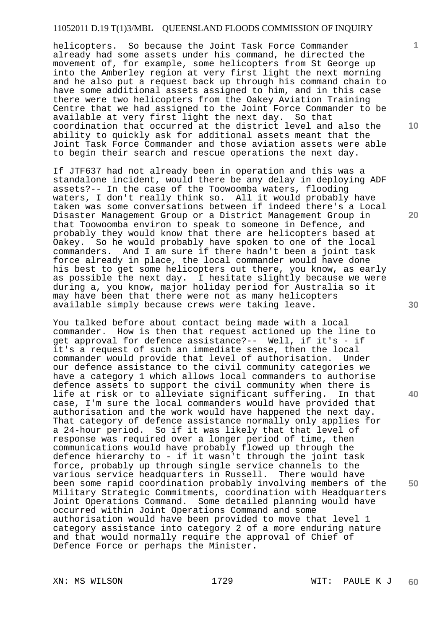helicopters. So because the Joint Task Force Commander already had some assets under his command, he directed the movement of, for example, some helicopters from St George up into the Amberley region at very first light the next morning and he also put a request back up through his command chain to have some additional assets assigned to him, and in this case there were two helicopters from the Oakey Aviation Training Centre that we had assigned to the Joint Force Commander to be available at very first light the next day. So that coordination that occurred at the district level and also the ability to quickly ask for additional assets meant that the Joint Task Force Commander and those aviation assets were able to begin their search and rescue operations the next day.

If JTF637 had not already been in operation and this was a standalone incident, would there be any delay in deploying ADF assets?-- In the case of the Toowoomba waters, flooding waters, I don't really think so. All it would probably have taken was some conversations between if indeed there's a Local Disaster Management Group or a District Management Group in that Toowoomba environ to speak to someone in Defence, and probably they would know that there are helicopters based at Oakey. So he would probably have spoken to one of the local commanders. And I am sure if there hadn't been a joint task force already in place, the local commander would have done his best to get some helicopters out there, you know, as early as possible the next day. I hesitate slightly because we were during a, you know, major holiday period for Australia so it may have been that there were not as many helicopters available simply because crews were taking leave.

You talked before about contact being made with a local commander. How is then that request actioned up the line to get approval for defence assistance?-- Well, if it's - if it's a request of such an immediate sense, then the local commander would provide that level of authorisation. Under our defence assistance to the civil community categories we have a category 1 which allows local commanders to authorise defence assets to support the civil community when there is life at risk or to alleviate significant suffering. In that case, I'm sure the local commanders would have provided that authorisation and the work would have happened the next day. That category of defence assistance normally only applies for a 24-hour period. So if it was likely that that level of response was required over a longer period of time, then communications would have probably flowed up through the defence hierarchy to - if it wasn't through the joint task force, probably up through single service channels to the various service headquarters in Russell. There would have been some rapid coordination probably involving members of the Military Strategic Commitments, coordination with Headquarters Joint Operations Command. Some detailed planning would have occurred within Joint Operations Command and some authorisation would have been provided to move that level 1 category assistance into category 2 of a more enduring nature and that would normally require the approval of Chief of Defence Force or perhaps the Minister.

**10** 

**1**

**20** 

**40**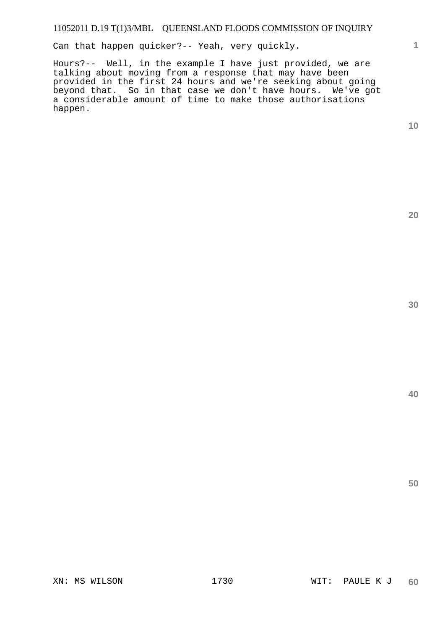Can that happen quicker?-- Yeah, very quickly.

Hours?-- Well, in the example I have just provided, we are talking about moving from a response that may have been provided in the first 24 hours and we're seeking about going beyond that. So in that case we don't have hours. We've got a considerable amount of time to make those authorisations happen.

**10** 

**1**

**20**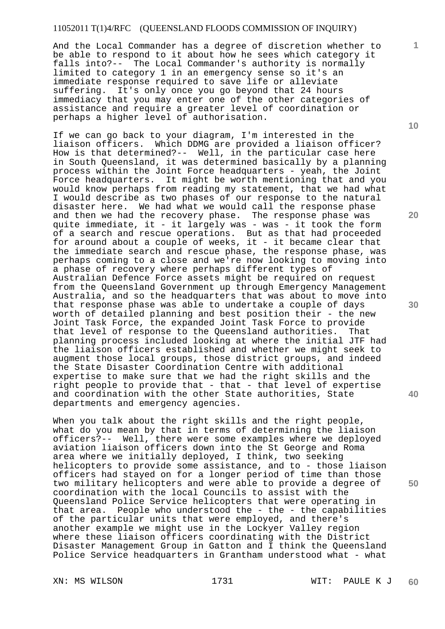And the Local Commander has a degree of discretion whether to be able to respond to it about how he sees which category it falls into?-- The Local Commander's authority is normally limited to category 1 in an emergency sense so it's an immediate response required to save life or alleviate suffering. It's only once you go beyond that 24 hours immediacy that you may enter one of the other categories of assistance and require a greater level of coordination or perhaps a higher level of authorisation.

If we can go back to your diagram, I'm interested in the liaison officers. Which DDMG are provided a liaison officer? How is that determined?-- Well, in the particular case here in South Queensland, it was determined basically by a planning process within the Joint Force headquarters - yeah, the Joint Force headquarters. It might be worth mentioning that and you would know perhaps from reading my statement, that we had what I would describe as two phases of our response to the natural disaster here. We had what we would call the response phase and then we had the recovery phase. The response phase was quite immediate, it - it largely was - was - it took the form of a search and rescue operations. But as that had proceeded for a scarch and research speriorisms. The assuments that the immediate search and rescue phase, the response phase, was perhaps coming to a close and we're now looking to moving into a phase of recovery where perhaps different types of Australian Defence Force assets might be required on request from the Queensland Government up through Emergency Management Australia, and so the headquarters that was about to move into that response phase was able to undertake a couple of days worth of detailed planning and best position their - the new Joint Task Force, the expanded Joint Task Force to provide that level of response to the Queensland authorities. planning process included looking at where the initial JTF had the liaison officers established and whether we might seek to augment those local groups, those district groups, and indeed the State Disaster Coordination Centre with additional expertise to make sure that we had the right skills and the right people to provide that - that - that level of expertise and coordination with the other State authorities, State departments and emergency agencies.

When you talk about the right skills and the right people, what do you mean by that in terms of determining the liaison officers?-- Well, there were some examples where we deployed aviation liaison officers down into the St George and Roma area where we initially deployed, I think, two seeking helicopters to provide some assistance, and to - those liaison officers had stayed on for a longer period of time than those two military helicopters and were able to provide a degree of coordination with the local Councils to assist with the Queensland Police Service helicopters that were operating in that area. People who understood the  $-$  the  $-$  the capabilities of the particular units that were employed, and there's another example we might use in the Lockyer Valley region where these liaison officers coordinating with the District Disaster Management Group in Gatton and I think the Queensland Police Service headquarters in Grantham understood what - what

**10** 

**1**

**40**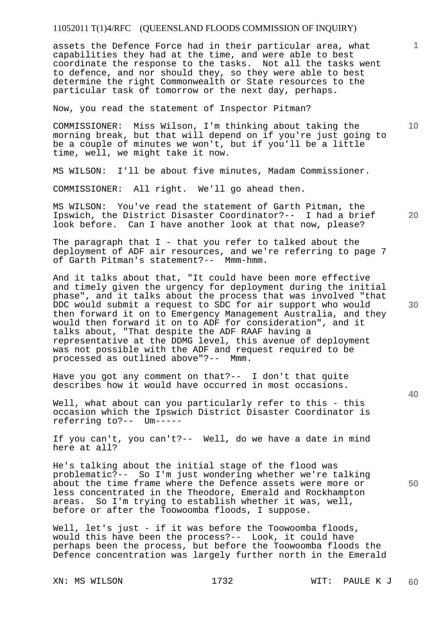assets the Defence Force had in their particular area, what capabilities they had at the time, and were able to best coordinate the response to the tasks. Not all the tasks went to defence, and nor should they, so they were able to best determine the right Commonwealth or State resources to the particular task of tomorrow or the next day, perhaps.

Now, you read the statement of Inspector Pitman?

COMMISSIONER: Miss Wilson, I'm thinking about taking the morning break, but that will depend on if you're just going to be a couple of minutes we won't, but if you'll be a little time, well, we might take it now.

MS WILSON: I'll be about five minutes, Madam Commissioner.

COMMISSIONER: All right. We'll go ahead then.

**20**  MS WILSON: You've read the statement of Garth Pitman, the Ipswich, the District Disaster Coordinator?-- I had a brief look before. Can I have another look at that now, please?

The paragraph that I - that you refer to talked about the deployment of ADF air resources, and we're referring to page 7 of Garth Pitman's statement?-- Mmm-hmm.

And it talks about that, "It could have been more effective and timely given the urgency for deployment during the initial phase", and it talks about the process that was involved "that DDC would submit a request to SDC for air support who would then forward it on to Emergency Management Australia, and they would then forward it on to ADF for consideration", and it talks about, "That despite the ADF RAAF having a representative at the DDMG level, this avenue of deployment was not possible with the ADF and request required to be processed as outlined above"?-- Mmm.

Have you got any comment on that?-- I don't that quite describes how it would have occurred in most occasions.

Well, what about can you particularly refer to this - this occasion which the Ipswich District Disaster Coordinator is referring to?-- Um-----

If you can't, you can't?-- Well, do we have a date in mind here at all?

He's talking about the initial stage of the flood was problematic?-- So I'm just wondering whether we're talking about the time frame where the Defence assets were more or less concentrated in the Theodore, Emerald and Rockhampton areas. So I'm trying to establish whether it was, well, before or after the Toowoomba floods, I suppose.

Well, let's just - if it was before the Toowoomba floods, would this have been the process?-- Look, it could have perhaps been the process, but before the Toowoomba floods the Defence concentration was largely further north in the Emerald

**30** 

**40** 

**50** 

**10**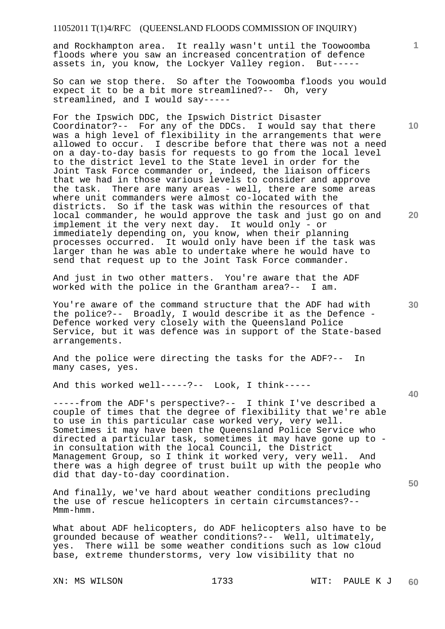and Rockhampton area. It really wasn't until the Toowoomba floods where you saw an increased concentration of defence assets in, you know, the Lockyer Valley region. But-----

So can we stop there. So after the Toowoomba floods you would expect it to be a bit more streamlined?-- Oh, very streamlined, and I would say-----

For the Ipswich DDC, the Ipswich District Disaster Coordinator?-- For any of the DDCs. I would say that there was a high level of flexibility in the arrangements that were allowed to occur. I describe before that there was not a need on a day-to-day basis for requests to go from the local level to the district level to the State level in order for the Joint Task Force commander or, indeed, the liaison officers that we had in those various levels to consider and approve the task. There are many areas - well, there are some areas where unit commanders were almost co-located with the districts. So if the task was within the resources of that local commander, he would approve the task and just go on and implement it the very next day. It would only - or immediately depending on, you know, when their planning processes occurred. It would only have been if the task was larger than he was able to undertake where he would have to send that request up to the Joint Task Force commander.

And just in two other matters. You're aware that the ADF worked with the police in the Grantham area?-- I am.

You're aware of the command structure that the ADF had with the police?-- Broadly, I would describe it as the Defence - Defence worked very closely with the Queensland Police Service, but it was defence was in support of the State-based arrangements.

And the police were directing the tasks for the ADF?-- In many cases, yes.

And this worked well-----?-- Look, I think-----

-----from the ADF's perspective?-- I think I've described a couple of times that the degree of flexibility that we're able to use in this particular case worked very, very well. Sometimes it may have been the Queensland Police Service who directed a particular task, sometimes it may have gone up to in consultation with the local Council, the District Management Group, so I think it worked very, very well. And there was a high degree of trust built up with the people who did that day-to-day coordination.

And finally, we've hard about weather conditions precluding the use of rescue helicopters in certain circumstances?-- Mmm-hmm.

What about ADF helicopters, do ADF helicopters also have to be grounded because of weather conditions?-- Well, ultimately, yes. There will be some weather conditions such as low cloud base, extreme thunderstorms, very low visibility that no

**20** 

**10** 

**1**

**30** 

**40**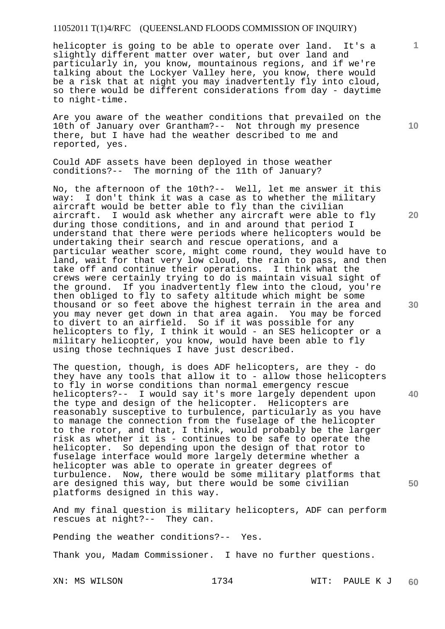helicopter is going to be able to operate over land. It's a slightly different matter over water, but over land and particularly in, you know, mountainous regions, and if we're talking about the Lockyer Valley here, you know, there would be a risk that at night you may inadvertently fly into cloud, so there would be different considerations from day - daytime to night-time.

Are you aware of the weather conditions that prevailed on the 10th of January over Grantham?-- Not through my presence there, but I have had the weather described to me and reported, yes.

Could ADF assets have been deployed in those weather conditions?-- The morning of the 11th of January?

No, the afternoon of the 10th?-- Well, let me answer it this way: I don't think it was a case as to whether the military aircraft would be better able to fly than the civilian aircraft. I would ask whether any aircraft were able to fly during those conditions, and in and around that period I understand that there were periods where helicopters would be undertaking their search and rescue operations, and a particular weather score, might come round, they would have to land, wait for that very low cloud, the rain to pass, and then take off and continue their operations. I think what the crews were certainly trying to do is maintain visual sight of the ground. If you inadvertently flew into the cloud, you're then obliged to fly to safety altitude which might be some thousand or so feet above the highest terrain in the area and you may never get down in that area again. You may be forced to divert to an airfield. So if it was possible for any helicopters to fly, I think it would - an SES helicopter or a military helicopter, you know, would have been able to fly using those techniques I have just described.

The question, though, is does ADF helicopters, are they - do they have any tools that allow it to - allow those helicopters to fly in worse conditions than normal emergency rescue helicopters?-- I would say it's more largely dependent upon the type and design of the helicopter. Helicopters are reasonably susceptive to turbulence, particularly as you have to manage the connection from the fuselage of the helicopter to the rotor, and that, I think, would probably be the larger risk as whether it is - continues to be safe to operate the helicopter. So depending upon the design of that rotor to fuselage interface would more largely determine whether a helicopter was able to operate in greater degrees of turbulence. Now, there would be some military platforms that are designed this way, but there would be some civilian platforms designed in this way.

And my final question is military helicopters, ADF can perform rescues at night?-- They can.

Pending the weather conditions?-- Yes.

Thank you, Madam Commissioner. I have no further questions.

**10** 

**1**

**20** 

**30** 

**40**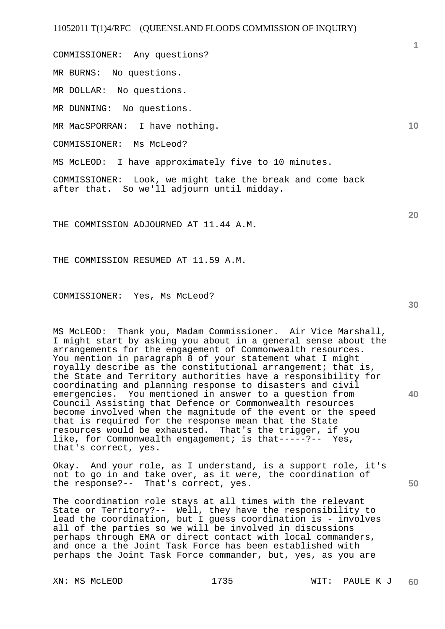COMMISSIONER: Any questions?

MR BURNS: No questions.

MR DOLLAR: No questions.

MR DUNNING: No questions.

MR MacSPORRAN: I have nothing.

COMMISSIONER: Ms McLeod?

MS McLEOD: I have approximately five to 10 minutes.

COMMISSIONER: Look, we might take the break and come back after that. So we'll adjourn until midday.

THE COMMISSION ADJOURNED AT 11.44 A.M.

THE COMMISSION RESUMED AT 11.59 A.M.

COMMISSIONER: Yes, Ms McLeod?

MS McLEOD: Thank you, Madam Commissioner. Air Vice Marshall, I might start by asking you about in a general sense about the arrangements for the engagement of Commonwealth resources. You mention in paragraph 8 of your statement what I might royally describe as the constitutional arrangement; that is, the State and Territory authorities have a responsibility for coordinating and planning response to disasters and civil emergencies. You mentioned in answer to a question from Council Assisting that Defence or Commonwealth resources become involved when the magnitude of the event or the speed that is required for the response mean that the State resources would be exhausted. That's the trigger, if you like, for Commonwealth engagement; is that-----?-- Yes, that's correct, yes.

Okay. And your role, as I understand, is a support role, it's not to go in and take over, as it were, the coordination of the response?-- That's correct, yes.

The coordination role stays at all times with the relevant State or Territory?-- Well, they have the responsibility to lead the coordination, but I guess coordination is - involves all of the parties so we will be involved in discussions perhaps through EMA or direct contact with local commanders, and once a the Joint Task Force has been established with perhaps the Joint Task Force commander, but, yes, as you are

**40** 

**50** 

**10**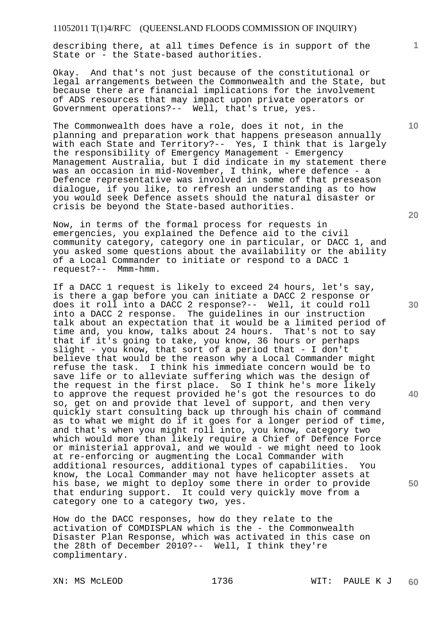describing there, at all times Defence is in support of the State or - the State-based authorities.

Okay. And that's not just because of the constitutional or legal arrangements between the Commonwealth and the State, but because there are financial implications for the involvement of ADS resources that may impact upon private operators or Government operations?-- Well, that's true, yes.

The Commonwealth does have a role, does it not, in the planning and preparation work that happens preseason annually with each State and Territory?-- Yes, I think that is largely the responsibility of Emergency Management - Emergency Management Australia, but I did indicate in my statement there was an occasion in mid-November, I think, where defence - a Defence representative was involved in some of that preseason dialogue, if you like, to refresh an understanding as to how you would seek Defence assets should the natural disaster or crisis be beyond the State-based authorities.

Now, in terms of the formal process for requests in emergencies, you explained the Defence aid to the civil community category, category one in particular, or DACC 1, and you asked some questions about the availability or the ability of a Local Commander to initiate or respond to a DACC 1 request?-- Mmm-hmm.

If a DACC 1 request is likely to exceed 24 hours, let's say, is there a gap before you can initiate a DACC 2 response or does it roll into a DACC 2 response?-- Well, it could roll into a DACC 2 response. The guidelines in our instruction talk about an expectation that it would be a limited period of time and, you know, talks about 24 hours. That's not to say that if it's going to take, you know, 36 hours or perhaps slight - you know, that sort of a period that - I don't believe that would be the reason why a Local Commander might refuse the task. I think his immediate concern would be to save life or to alleviate suffering which was the design of the request in the first place. So I think he's more likely to approve the request provided he's got the resources to do so, get on and provide that level of support, and then very quickly start consulting back up through his chain of command as to what we might do if it goes for a longer period of time, and that's when you might roll into, you know, category two which would more than likely require a Chief of Defence Force or ministerial approval, and we would - we might need to look at re-enforcing or augmenting the Local Commander with additional resources, additional types of capabilities. You know, the Local Commander may not have helicopter assets at his base, we might to deploy some there in order to provide that enduring support. It could very quickly move from a category one to a category two, yes.

How do the DACC responses, how do they relate to the activation of COMDISPLAN which is the - the Commonwealth Disaster Plan Response, which was activated in this case on the 28th of December 2010?-- Well, I think they're complimentary.

**20** 

**10** 

**1**

**30** 

**40**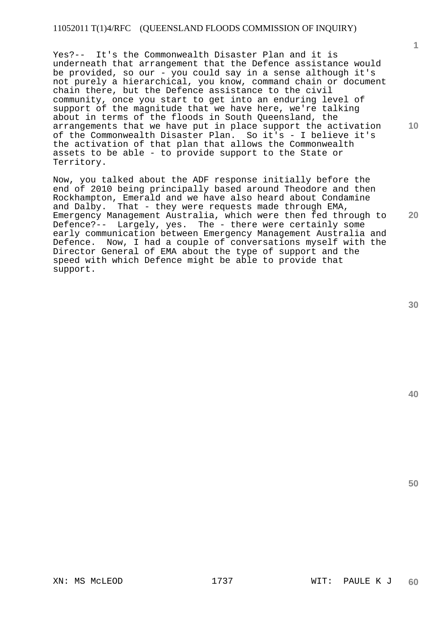Yes?-- It's the Commonwealth Disaster Plan and it is underneath that arrangement that the Defence assistance would be provided, so our - you could say in a sense although it's not purely a hierarchical, you know, command chain or document chain there, but the Defence assistance to the civil community, once you start to get into an enduring level of support of the magnitude that we have here, we're talking about in terms of the floods in South Queensland, the arrangements that we have put in place support the activation of the Commonwealth Disaster Plan. So it's - I believe it's the activation of that plan that allows the Commonwealth assets to be able - to provide support to the State or Territory.

Now, you talked about the ADF response initially before the end of 2010 being principally based around Theodore and then Rockhampton, Emerald and we have also heard about Condamine and Dalby. That - they were requests made through EMA, Emergency Management Australia, which were then fed through to Defence?-- Largely, yes. The - there were certainly some early communication between Emergency Management Australia and Defence. Now, I had a couple of conversations myself with the Director General of EMA about the type of support and the speed with which Defence might be able to provide that support.

**40** 

**50** 

**1**

**10**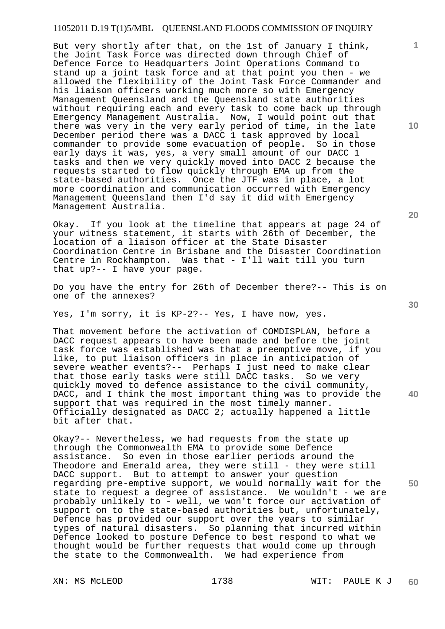But very shortly after that, on the 1st of January I think, the Joint Task Force was directed down through Chief of Defence Force to Headquarters Joint Operations Command to stand up a joint task force and at that point you then - we allowed the flexibility of the Joint Task Force Commander and his liaison officers working much more so with Emergency Management Queensland and the Queensland state authorities without requiring each and every task to come back up through Emergency Management Australia. Now, I would point out that there was very in the very early period of time, in the late December period there was a DACC 1 task approved by local commander to provide some evacuation of people. So in those early days it was, yes, a very small amount of our DACC 1 tasks and then we very quickly moved into DACC 2 because the requests started to flow quickly through EMA up from the state-based authorities. Once the JTF was in place, a lot more coordination and communication occurred with Emergency Management Queensland then I'd say it did with Emergency Management Australia.

Okay. If you look at the timeline that appears at page 24 of your witness statement, it starts with 26th of December, the location of a liaison officer at the State Disaster Coordination Centre in Brisbane and the Disaster Coordination Centre in Rockhampton. Was that - I'll wait till you turn that up?-- I have your page.

Do you have the entry for 26th of December there?-- This is on one of the annexes?

Yes, I'm sorry, it is KP-2?-- Yes, I have now, yes.

That movement before the activation of COMDISPLAN, before a DACC request appears to have been made and before the joint task force was established was that a preemptive move, if you like, to put liaison officers in place in anticipation of severe weather events?-- Perhaps I just need to make clear that those early tasks were still DACC tasks. So we very quickly moved to defence assistance to the civil community, DACC, and I think the most important thing was to provide the support that was required in the most timely manner. Officially designated as DACC 2; actually happened a little bit after that.

Okay?-- Nevertheless, we had requests from the state up through the Commonwealth EMA to provide some Defence assistance. So even in those earlier periods around the Theodore and Emerald area, they were still - they were still DACC support. But to attempt to answer your question regarding pre-emptive support, we would normally wait for the state to request a degree of assistance. We wouldn't - we are probably unlikely to - well, we won't force our activation of support on to the state-based authorities but, unfortunately, Defence has provided our support over the years to similar types of natural disasters. So planning that incurred within Defence looked to posture Defence to best respond to what we thought would be further requests that would come up through the state to the Commonwealth. We had experience from

**20** 

**40** 

**50** 

**10**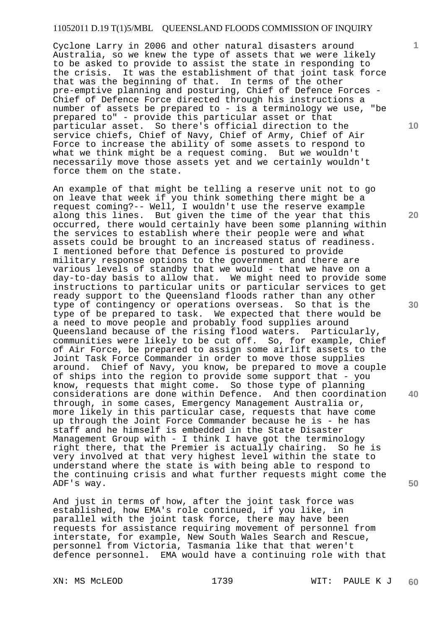Cyclone Larry in 2006 and other natural disasters around Australia, so we knew the type of assets that we were likely to be asked to provide to assist the state in responding to the crisis. It was the establishment of that joint task force that was the beginning of that. In terms of the other pre-emptive planning and posturing, Chief of Defence Forces - Chief of Defence Force directed through his instructions a number of assets be prepared to - is a terminology we use, "be prepared to" - provide this particular asset or that particular asset. So there's official direction to the service chiefs, Chief of Navy, Chief of Army, Chief of Air Force to increase the ability of some assets to respond to what we think might be a request coming. But we wouldn't necessarily move those assets yet and we certainly wouldn't force them on the state.

An example of that might be telling a reserve unit not to go on leave that week if you think something there might be a request coming?-- Well, I wouldn't use the reserve example along this lines. But given the time of the year that this occurred, there would certainly have been some planning within the services to establish where their people were and what assets could be brought to an increased status of readiness. I mentioned before that Defence is postured to provide military response options to the government and there are various levels of standby that we would - that we have on a day-to-day basis to allow that. We might need to provide some instructions to particular units or particular services to get ready support to the Queensland floods rather than any other type of contingency or operations overseas. So that is the type of be prepared to task. We expected that there would be a need to move people and probably food supplies around Queensland because of the rising flood waters. Particularly, communities were likely to be cut off. So, for example, Chief of Air Force, be prepared to assign some airlift assets to the Joint Task Force Commander in order to move those supplies around. Chief of Navy, you know, be prepared to move a couple of ships into the region to provide some support that - you know, requests that might come. So those type of planning considerations are done within Defence. And then coordination through, in some cases, Emergency Management Australia or, more likely in this particular case, requests that have come up through the Joint Force Commander because he is - he has staff and he himself is embedded in the State Disaster Management Group with - I think I have got the terminology right there, that the Premier is actually chairing. So he is very involved at that very highest level within the state to understand where the state is with being able to respond to the continuing crisis and what further requests might come the ADF's way.

And just in terms of how, after the joint task force was established, how EMA's role continued, if you like, in parallel with the joint task force, there may have been requests for assistance requiring movement of personnel from interstate, for example, New South Wales Search and Rescue, personnel from Victoria, Tasmania like that that weren't defence personnel. EMA would have a continuing role with that

**10** 

**1**

**20** 

**30** 

**40**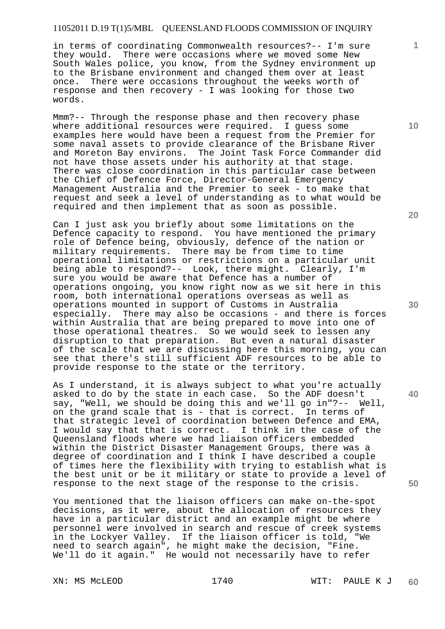in terms of coordinating Commonwealth resources?-- I'm sure they would. There were occasions where we moved some New South Wales police, you know, from the Sydney environment up to the Brisbane environment and changed them over at least once. There were occasions throughout the weeks worth of response and then recovery - I was looking for those two words.

Mmm?-- Through the response phase and then recovery phase where additional resources were required. I guess some examples here would have been a request from the Premier for some naval assets to provide clearance of the Brisbane River and Moreton Bay environs. The Joint Task Force Commander did not have those assets under his authority at that stage. There was close coordination in this particular case between the Chief of Defence Force, Director-General Emergency Management Australia and the Premier to seek - to make that request and seek a level of understanding as to what would be required and then implement that as soon as possible.

Can I just ask you briefly about some limitations on the Defence capacity to respond. You have mentioned the primary role of Defence being, obviously, defence of the nation or military requirements. There may be from time to time operational limitations or restrictions on a particular unit being able to respond?-- Look, there might. Clearly, I'm sure you would be aware that Defence has a number of operations ongoing, you know right now as we sit here in this room, both international operations overseas as well as operations mounted in support of Customs in Australia especially. There may also be occasions - and there is forces within Australia that are being prepared to move into one of those operational theatres. So we would seek to lessen any disruption to that preparation. But even a natural disaster of the scale that we are discussing here this morning, you can see that there's still sufficient ADF resources to be able to provide response to the state or the territory.

As I understand, it is always subject to what you're actually asked to do by the state in each case. So the ADF doesn't say, "Well, we should be doing this and we'll go in"?-- Well, on the grand scale that is - that is correct. In terms of that strategic level of coordination between Defence and EMA, I would say that that is correct. I think in the case of the Queensland floods where we had liaison officers embedded within the District Disaster Management Groups, there was a degree of coordination and I think I have described a couple of times here the flexibility with trying to establish what is the best unit or be it military or state to provide a level of response to the next stage of the response to the crisis.

You mentioned that the liaison officers can make on-the-spot decisions, as it were, about the allocation of resources they have in a particular district and an example might be where personnel were involved in search and rescue of creek systems in the Lockyer Valley. If the liaison officer is told, "We need to search again", he might make the decision, "Fine. We'll do it again." He would not necessarily have to refer

**20** 

**30** 

**50** 

**1**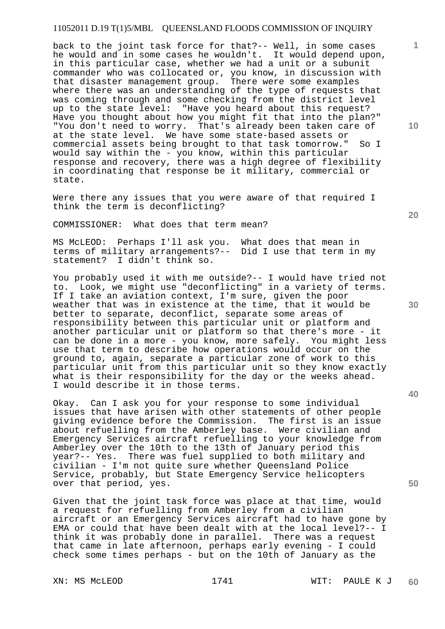back to the joint task force for that?-- Well, in some cases he would and in some cases he wouldn't. It would depend upon, in this particular case, whether we had a unit or a subunit commander who was collocated or, you know, in discussion with that disaster management group. There were some examples where there was an understanding of the type of requests that was coming through and some checking from the district level up to the state level: "Have you heard about this request? Have you thought about how you might fit that into the plan?" "You don't need to worry. That's already been taken care of at the state level. We have some state-based assets or commercial assets being brought to that task tomorrow." So I would say within the - you know, within this particular response and recovery, there was a high degree of flexibility in coordinating that response be it military, commercial or state.

Were there any issues that you were aware of that required I think the term is deconflicting?

COMMISSIONER: What does that term mean?

MS McLEOD: Perhaps I'll ask you. What does that mean in terms of military arrangements?-- Did I use that term in my statement? I didn't think so.

You probably used it with me outside?-- I would have tried not to. Look, we might use "deconflicting" in a variety of terms. If I take an aviation context, I'm sure, given the poor weather that was in existence at the time, that it would be better to separate, deconflict, separate some areas of responsibility between this particular unit or platform and another particular unit or platform so that there's more - it can be done in a more - you know, more safely. You might less use that term to describe how operations would occur on the ground to, again, separate a particular zone of work to this particular unit from this particular unit so they know exactly what is their responsibility for the day or the weeks ahead. I would describe it in those terms.

Okay. Can I ask you for your response to some individual issues that have arisen with other statements of other people giving evidence before the Commission. The first is an issue about refuelling from the Amberley base. Were civilian and Emergency Services aircraft refuelling to your knowledge from Amberley over the 10th to the 13th of January period this year?-- Yes. There was fuel supplied to both military and civilian - I'm not quite sure whether Queensland Police Service, probably, but State Emergency Service helicopters over that period, yes.

Given that the joint task force was place at that time, would a request for refuelling from Amberley from a civilian aircraft or an Emergency Services aircraft had to have gone by EMA or could that have been dealt with at the local level?-- I think it was probably done in parallel. There was a request that came in late afternoon, perhaps early evening - I could check some times perhaps - but on the 10th of January as the

**20** 

**30** 

**50** 

**10**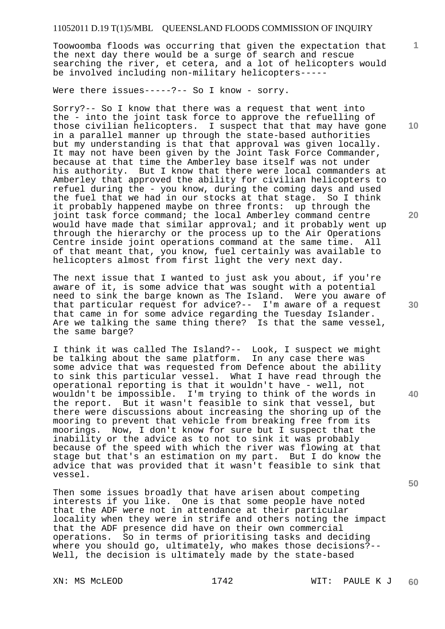Toowoomba floods was occurring that given the expectation that the next day there would be a surge of search and rescue searching the river, et cetera, and a lot of helicopters would be involved including non-military helicopters-----

Were there issues-----?-- So I know - sorry.

Sorry?-- So I know that there was a request that went into the - into the joint task force to approve the refuelling of those civilian helicopters. I suspect that that may have gone in a parallel manner up through the state-based authorities but my understanding is that that approval was given locally. It may not have been given by the Joint Task Force Commander, because at that time the Amberley base itself was not under his authority. But I know that there were local commanders at Amberley that approved the ability for civilian helicopters to refuel during the - you know, during the coming days and used the fuel that we had in our stocks at that stage. So I think it probably happened maybe on three fronts: up through the joint task force command; the local Amberley command centre would have made that similar approval; and it probably went up through the hierarchy or the process up to the Air Operations Centre inside joint operations command at the same time. All of that meant that, you know, fuel certainly was available to helicopters almost from first light the very next day.

The next issue that I wanted to just ask you about, if you're aware of it, is some advice that was sought with a potential need to sink the barge known as The Island. Were you aware of that particular request for advice?-- I'm aware of a request that came in for some advice regarding the Tuesday Islander. Are we talking the same thing there? Is that the same vessel, the same barge?

I think it was called The Island?-- Look, I suspect we might be talking about the same platform. In any case there was some advice that was requested from Defence about the ability to sink this particular vessel. What I have read through the operational reporting is that it wouldn't have - well, not wouldn't be impossible. I'm trying to think of the words in the report. But it wasn't feasible to sink that vessel, but there were discussions about increasing the shoring up of the mooring to prevent that vehicle from breaking free from its moorings. Now, I don't know for sure but I suspect that the inability or the advice as to not to sink it was probably because of the speed with which the river was flowing at that stage but that's an estimation on my part. But I do know the advice that was provided that it wasn't feasible to sink that vessel.

Then some issues broadly that have arisen about competing interests if you like. One is that some people have noted that the ADF were not in attendance at their particular locality when they were in strife and others noting the impact that the ADF presence did have on their own commercial operations. So in terms of prioritising tasks and deciding where you should go, ultimately, who makes those decisions?-- Well, the decision is ultimately made by the state-based

**10** 

**1**

**20** 

**30** 

**40**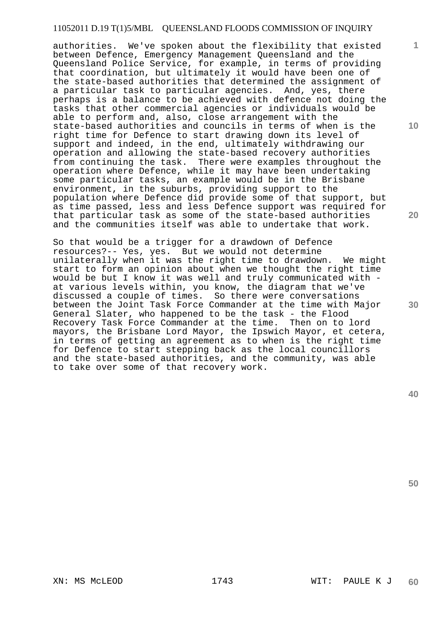authorities. We've spoken about the flexibility that existed between Defence, Emergency Management Queensland and the Queensland Police Service, for example, in terms of providing that coordination, but ultimately it would have been one of the state-based authorities that determined the assignment of a particular task to particular agencies. And, yes, there perhaps is a balance to be achieved with defence not doing the tasks that other commercial agencies or individuals would be able to perform and, also, close arrangement with the state-based authorities and councils in terms of when is the right time for Defence to start drawing down its level of support and indeed, in the end, ultimately withdrawing our operation and allowing the state-based recovery authorities from continuing the task. There were examples throughout the operation where Defence, while it may have been undertaking some particular tasks, an example would be in the Brisbane environment, in the suburbs, providing support to the population where Defence did provide some of that support, but as time passed, less and less Defence support was required for that particular task as some of the state-based authorities and the communities itself was able to undertake that work.

So that would be a trigger for a drawdown of Defence resources?-- Yes, yes. But we would not determine unilaterally when it was the right time to drawdown. We might start to form an opinion about when we thought the right time would be but I know it was well and truly communicated with at various levels within, you know, the diagram that we've discussed a couple of times. So there were conversations between the Joint Task Force Commander at the time with Major General Slater, who happened to be the task - the Flood Recovery Task Force Commander at the time. Then on to lord mayors, the Brisbane Lord Mayor, the Ipswich Mayor, et cetera, in terms of getting an agreement as to when is the right time for Defence to start stepping back as the local councillors and the state-based authorities, and the community, was able to take over some of that recovery work.

**10** 

**1**

**20** 

**30** 

**40**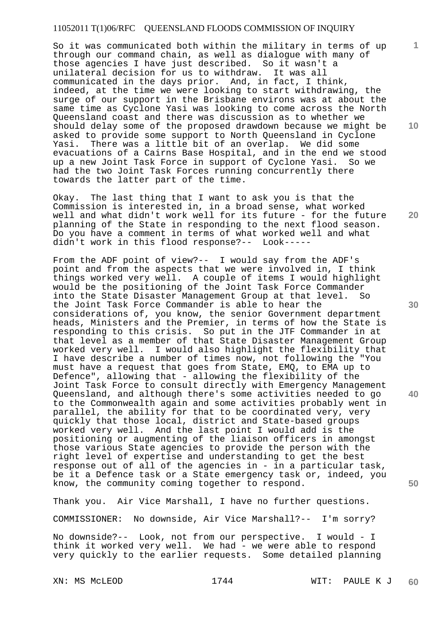So it was communicated both within the military in terms of up through our command chain, as well as dialogue with many of those agencies I have just described. So it wasn't a unilateral decision for us to withdraw. It was all communicated in the days prior. And, in fact, I think, indeed, at the time we were looking to start withdrawing, the surge of our support in the Brisbane environs was at about the same time as Cyclone Yasi was looking to come across the North Queensland coast and there was discussion as to whether we should delay some of the proposed drawdown because we might be asked to provide some support to North Queensland in Cyclone Yasi. There was a little bit of an overlap. We did some evacuations of a Cairns Base Hospital, and in the end we stood up a new Joint Task Force in support of Cyclone Yasi. So we had the two Joint Task Forces running concurrently there towards the latter part of the time.

Okay. The last thing that I want to ask you is that the Commission is interested in, in a broad sense, what worked well and what didn't work well for its future - for the future planning of the State in responding to the next flood season. Do you have a comment in terms of what worked well and what didn't work in this flood response?-- Look-----

From the ADF point of view?-- I would say from the ADF's point and from the aspects that we were involved in, I think things worked very well. A couple of items I would highlight would be the positioning of the Joint Task Force Commander into the State Disaster Management Group at that level. So the Joint Task Force Commander is able to hear the considerations of, you know, the senior Government department heads, Ministers and the Premier, in terms of how the State is responding to this crisis. So put in the JTF Commander in at that level as a member of that State Disaster Management Group worked very well. I would also highlight the flexibility that I have describe a number of times now, not following the "You must have a request that goes from State, EMQ, to EMA up to Defence", allowing that - allowing the flexibility of the Joint Task Force to consult directly with Emergency Management Queensland, and although there's some activities needed to go to the Commonwealth again and some activities probably went in parallel, the ability for that to be coordinated very, very quickly that those local, district and State-based groups worked very well. And the last point I would add is the positioning or augmenting of the liaison officers in amongst those various State agencies to provide the person with the right level of expertise and understanding to get the best response out of all of the agencies in - in a particular task, be it a Defence task or a State emergency task or, indeed, you know, the community coming together to respond.

Thank you. Air Vice Marshall, I have no further questions.

COMMISSIONER: No downside, Air Vice Marshall?-- I'm sorry?

No downside?-- Look, not from our perspective. I would - I think it worked very well. We had - we were able to respond very quickly to the earlier requests. Some detailed planning

**10** 

**1**

**30** 

**20** 

**40**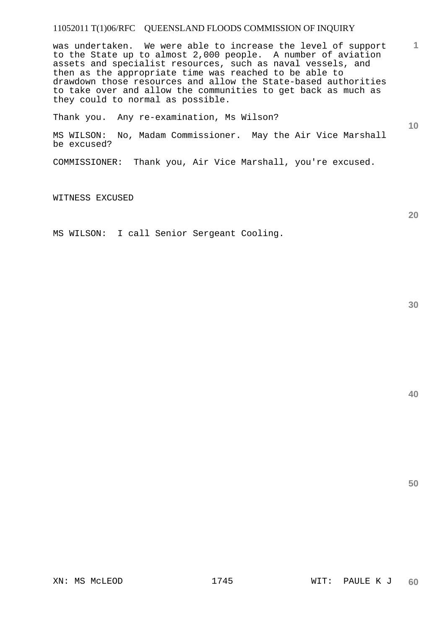was undertaken. We were able to increase the level of support to the State up to almost 2,000 people. A number of aviation assets and specialist resources, such as naval vessels, and then as the appropriate time was reached to be able to drawdown those resources and allow the State-based authorities to take over and allow the communities to get back as much as they could to normal as possible.

Thank you. Any re-examination, Ms Wilson?

MS WILSON: No, Madam Commissioner. May the Air Vice Marshall be excused?

COMMISSIONER: Thank you, Air Vice Marshall, you're excused.

WITNESS EXCUSED

MS WILSON: I call Senior Sergeant Cooling.

**30** 

**1**

**10** 

**20**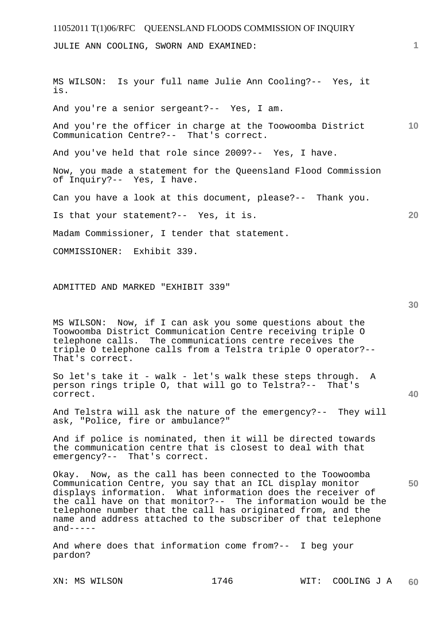JULIE ANN COOLING, SWORN AND EXAMINED:

**10 20**  MS WILSON: Is your full name Julie Ann Cooling?-- Yes, it is. And you're a senior sergeant?-- Yes, I am. And you're the officer in charge at the Toowoomba District Communication Centre?-- That's correct. And you've held that role since 2009?-- Yes, I have. Now, you made a statement for the Queensland Flood Commission of Inquiry?-- Yes, I have. Can you have a look at this document, please?-- Thank you. Is that your statement?-- Yes, it is. Madam Commissioner, I tender that statement. COMMISSIONER: Exhibit 339.

#### ADMITTED AND MARKED "EXHIBIT 339"

MS WILSON: Now, if I can ask you some questions about the Toowoomba District Communication Centre receiving triple O telephone calls. The communications centre receives the triple O telephone calls from a Telstra triple O operator?-- That's correct.

So let's take it - walk - let's walk these steps through. A person rings triple O, that will go to Telstra?-- That's correct.

And Telstra will ask the nature of the emergency?-- They will ask, "Police, fire or ambulance?"

And if police is nominated, then it will be directed towards the communication centre that is closest to deal with that emergency?-- That's correct.

Okay. Now, as the call has been connected to the Toowoomba Communication Centre, you say that an ICL display monitor displays information. What information does the receiver of the call have on that monitor?-- The information would be the telephone number that the call has originated from, and the name and address attached to the subscriber of that telephone  $and----$ 

And where does that information come from?-- I beg your pardon?

**1**

**30** 

**40**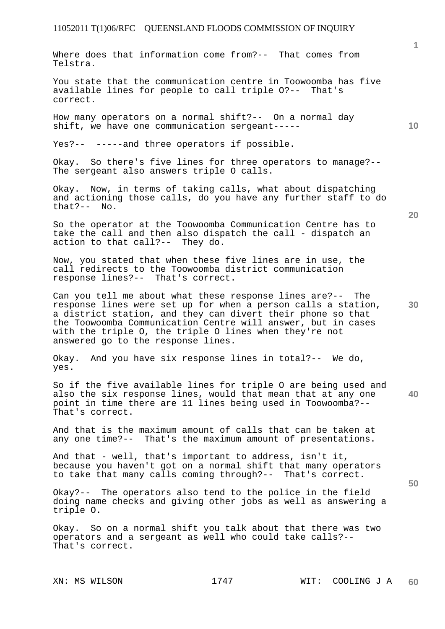Where does that information come from?-- That comes from Telstra.

You state that the communication centre in Toowoomba has five available lines for people to call triple O?-- That's correct.

How many operators on a normal shift?-- On a normal day shift, we have one communication sergeant-----

Yes?-- -----and three operators if possible.

Okay. So there's five lines for three operators to manage?-- The sergeant also answers triple 0 calls.

Okay. Now, in terms of taking calls, what about dispatching and actioning those calls, do you have any further staff to do that?-- No.

So the operator at the Toowoomba Communication Centre has to take the call and then also dispatch the call - dispatch an action to that call?-- They do.

Now, you stated that when these five lines are in use, the call redirects to the Toowoomba district communication response lines?-- That's correct.

Can you tell me about what these response lines are?-- The response lines were set up for when a person calls a station, a district station, and they can divert their phone so that the Toowoomba Communication Centre will answer, but in cases with the triple O, the triple O lines when they're not answered go to the response lines.

Okay. And you have six response lines in total?-- We do, yes.

**40**  So if the five available lines for triple O are being used and also the six response lines, would that mean that at any one point in time there are 11 lines being used in Toowoomba?-- That's correct.

And that is the maximum amount of calls that can be taken at any one time?-- That's the maximum amount of presentations.

And that - well, that's important to address, isn't it, because you haven't got on a normal shift that many operators to take that many calls coming through?-- That's correct.

Okay?-- The operators also tend to the police in the field doing name checks and giving other jobs as well as answering a triple O.

Okay. So on a normal shift you talk about that there was two operators and a sergeant as well who could take calls?-- That's correct.

**20** 

**10** 

**50**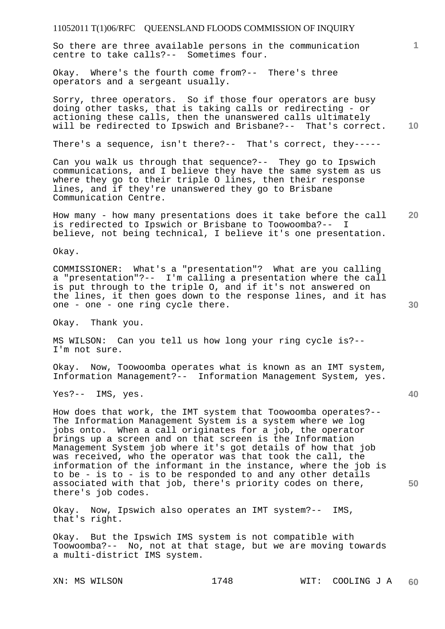So there are three available persons in the communication centre to take calls?-- Sometimes four.

Okay. Where's the fourth come from?-- There's three operators and a sergeant usually.

**10**  Sorry, three operators. So if those four operators are busy doing other tasks, that is taking calls or redirecting - or actioning these calls, then the unanswered calls ultimately will be redirected to Ipswich and Brisbane?-- That's correct.

There's a sequence, isn't there?-- That's correct, they-----

Can you walk us through that sequence?-- They go to Ipswich communications, and I believe they have the same system as us where they go to their triple O lines, then their response lines, and if they're unanswered they go to Brisbane Communication Centre.

**20**  How many - how many presentations does it take before the call<br>is redirected to Ipswich or Brisbane to Toowoomba?-- I is redirected to Ipswich or Brisbane to Toowoomba?-believe, not being technical, I believe it's one presentation.

Okay.

COMMISSIONER: What's a "presentation"? What are you calling a "presentation"?-- I'm calling a presentation where the call is put through to the triple O, and if it's not answered on the lines, it then goes down to the response lines, and it has one - one - one ring cycle there.

Okay. Thank you.

MS WILSON: Can you tell us how long your ring cycle is?-- I'm not sure.

Okay. Now, Toowoomba operates what is known as an IMT system, Information Management?-- Information Management System, yes.

Yes?-- IMS, yes.

How does that work, the IMT system that Toowoomba operates?-- The Information Management System is a system where we log jobs onto. When a call originates for a job, the operator brings up a screen and on that screen is the Information Management System job where it's got details of how that job was received, who the operator was that took the call, the information of the informant in the instance, where the job is to be - is to - is to be responded to and any other details associated with that job, there's priority codes on there, there's job codes.

Okay. Now, Ipswich also operates an IMT system?-- IMS, that's right.

Okay. But the Ipswich IMS system is not compatible with Toowoomba?-- No, not at that stage, but we are moving towards a multi-district IMS system.

**1**

**30**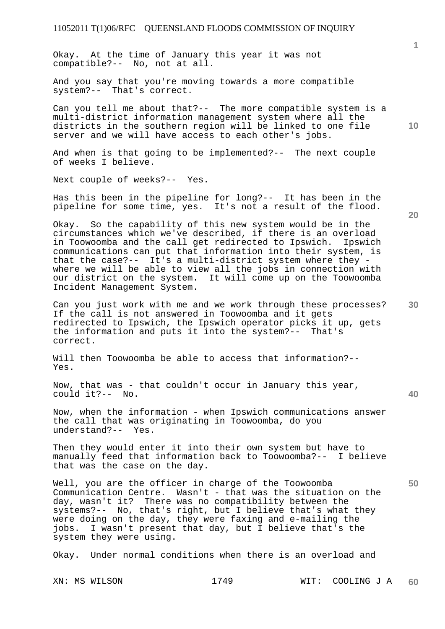Okay. At the time of January this year it was not compatible?-- No, not at all.

And you say that you're moving towards a more compatible system?-- That's correct.

Can you tell me about that?-- The more compatible system is a multi-district information management system where all the districts in the southern region will be linked to one file server and we will have access to each other's jobs.

And when is that going to be implemented?-- The next couple of weeks I believe.

Next couple of weeks?-- Yes.

Has this been in the pipeline for long?-- It has been in the pipeline for some time, yes. It's not a result of the flood.

Okay. So the capability of this new system would be in the circumstances which we've described, if there is an overload in Toowoomba and the call get redirected to Ipswich. Ipswich communications can put that information into their system, is that the case?-- It's a multi-district system where they where we will be able to view all the jobs in connection with our district on the system. It will come up on the Toowoomba Incident Management System.

Can you just work with me and we work through these processes? If the call is not answered in Toowoomba and it gets redirected to Ipswich, the Ipswich operator picks it up, gets the information and puts it into the system?-- That's correct.

Will then Toowoomba be able to access that information?-- Yes.

Now, that was - that couldn't occur in January this year, could it?-- No.

Now, when the information - when Ipswich communications answer the call that was originating in Toowoomba, do you understand?-- Yes.

Then they would enter it into their own system but have to manually feed that information back to Toowoomba?-- I believe that was the case on the day.

Well, you are the officer in charge of the Toowoomba Communication Centre. Wasn't - that was the situation on the day, wasn't it? There was no compatibility between the systems?-- No, that's right, but I believe that's what they were doing on the day, they were faxing and e-mailing the jobs. I wasn't present that day, but I believe that's the system they were using.

Okay. Under normal conditions when there is an overload and

**20** 

**10** 

**30** 

**50**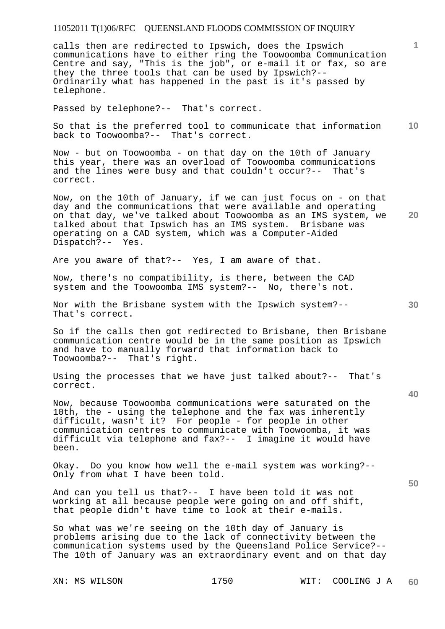calls then are redirected to Ipswich, does the Ipswich communications have to either ring the Toowoomba Communication Centre and say, "This is the job", or e-mail it or fax, so are they the three tools that can be used by Ipswich?-- Ordinarily what has happened in the past is it's passed by telephone.

Passed by telephone?-- That's correct.

**10**  So that is the preferred tool to communicate that information back to Toowoomba?-- That's correct.

Now - but on Toowoomba - on that day on the 10th of January this year, there was an overload of Toowoomba communications and the lines were busy and that couldn't occur?-- That's correct.

Now, on the 10th of January, if we can just focus on - on that day and the communications that were available and operating on that day, we've talked about Toowoomba as an IMS system, we talked about that Ipswich has an IMS system. Brisbane was operating on a CAD system, which was a Computer-Aided Dispatch?-- Yes.

Are you aware of that?-- Yes, I am aware of that.

Now, there's no compatibility, is there, between the CAD system and the Toowoomba IMS system?-- No, there's not.

Nor with the Brisbane system with the Ipswich system?-- That's correct.

So if the calls then got redirected to Brisbane, then Brisbane communication centre would be in the same position as Ipswich and have to manually forward that information back to Toowoomba?-- That's right.

Using the processes that we have just talked about?-- That's correct.

Now, because Toowoomba communications were saturated on the 10th, the - using the telephone and the fax was inherently difficult, wasn't it? For people - for people in other communication centres to communicate with Toowoomba, it was difficult via telephone and fax?-- I imagine it would have been.

Okay. Do you know how well the e-mail system was working?-- Only from what I have been told.

And can you tell us that?-- I have been told it was not working at all because people were going on and off shift, that people didn't have time to look at their e-mails.

So what was we're seeing on the 10th day of January is problems arising due to the lack of connectivity between the communication systems used by the Queensland Police Service?-- The 10th of January was an extraordinary event and on that day

**30** 

**20** 

**1**

**40**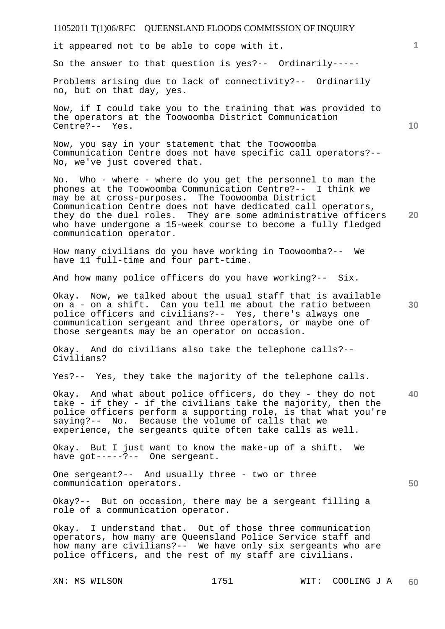it appeared not to be able to cope with it.

So the answer to that question is yes?-- Ordinarily-----

Problems arising due to lack of connectivity?-- Ordinarily no, but on that day, yes.

Now, if I could take you to the training that was provided to the operators at the Toowoomba District Communication Centre?-- Yes.

Now, you say in your statement that the Toowoomba Communication Centre does not have specific call operators?-- No, we've just covered that.

**20**  No. Who - where - where do you get the personnel to man the phones at the Toowoomba Communication Centre?-- I think we may be at cross-purposes. The Toowoomba District Communication Centre does not have dedicated call operators, they do the duel roles. They are some administrative officers who have undergone a 15-week course to become a fully fledged communication operator.

How many civilians do you have working in Toowoomba?-- We have 11 full-time and four part-time.

And how many police officers do you have working?-- Six.

Okay. Now, we talked about the usual staff that is available on a - on a shift. Can you tell me about the ratio between police officers and civilians?-- Yes, there's always one communication sergeant and three operators, or maybe one of those sergeants may be an operator on occasion.

Okay. And do civilians also take the telephone calls?-- Civilians?

Yes?-- Yes, they take the majority of the telephone calls.

**40**  Okay. And what about police officers, do they - they do not take - if they - if the civilians take the majority, then the police officers perform a supporting role, is that what you're saying?-- No. Because the volume of calls that we experience, the sergeants quite often take calls as well.

Okay. But I just want to know the make-up of a shift. We have got-----?-- One sergeant.

One sergeant?-- And usually three - two or three communication operators.

Okay?-- But on occasion, there may be a sergeant filling a role of a communication operator.

Okay. I understand that. Out of those three communication operators, how many are Queensland Police Service staff and how many are civilians?-- We have only six sergeants who are police officers, and the rest of my staff are civilians.

**10** 

**1**

**30**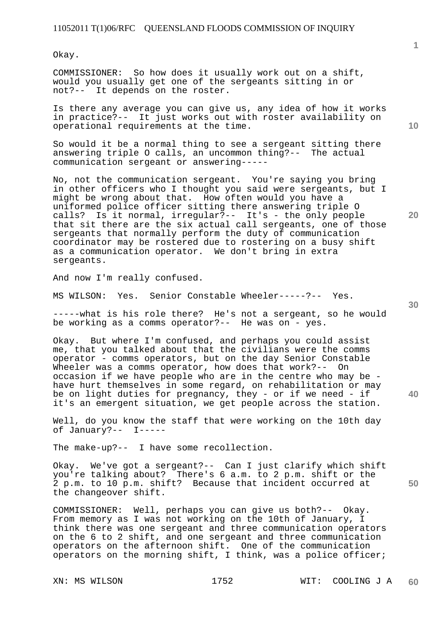Okay.

COMMISSIONER: So how does it usually work out on a shift, would you usually get one of the sergeants sitting in or not?-- It depends on the roster.

Is there any average you can give us, any idea of how it works in practice?-- It just works out with roster availability on operational requirements at the time.

So would it be a normal thing to see a sergeant sitting there answering triple O calls, an uncommon thing?-- The actual communication sergeant or answering-----

No, not the communication sergeant. You're saying you bring in other officers who I thought you said were sergeants, but I might be wrong about that. How often would you have a uniformed police officer sitting there answering triple O<br>calls? Is it normal, irregular?-- It's - the only people Is it normal, irregular?-- It's - the only people that sit there are the six actual call sergeants, one of those sergeants that normally perform the duty of communication coordinator may be rostered due to rostering on a busy shift as a communication operator. We don't bring in extra sergeants.

And now I'm really confused.

MS WILSON: Yes. Senior Constable Wheeler-----?-- Yes.

-----what is his role there? He's not a sergeant, so he would be working as a comms operator?-- He was on - yes.

Okay. But where I'm confused, and perhaps you could assist me, that you talked about that the civilians were the comms operator - comms operators, but on the day Senior Constable Wheeler was a comms operator, how does that work?-- On occasion if we have people who are in the centre who may be have hurt themselves in some regard, on rehabilitation or may be on light duties for pregnancy, they - or if we need - if it's an emergent situation, we get people across the station.

Well, do you know the staff that were working on the 10th day of January?-- I-----

The make-up?-- I have some recollection.

Okay. We've got a sergeant?-- Can I just clarify which shift you're talking about? There's 6 a.m. to 2 p.m. shift or the 2 p.m. to 10 p.m. shift? Because that incident occurred at the changeover shift.

COMMISSIONER: Well, perhaps you can give us both?-- Okay. From memory as I was not working on the 10th of January, I think there was one sergeant and three communication operators on the 6 to 2 shift, and one sergeant and three communication operators on the afternoon shift. One of the communication operators on the morning shift, I think, was a police officer;

**20** 

**10** 

**30** 

**40**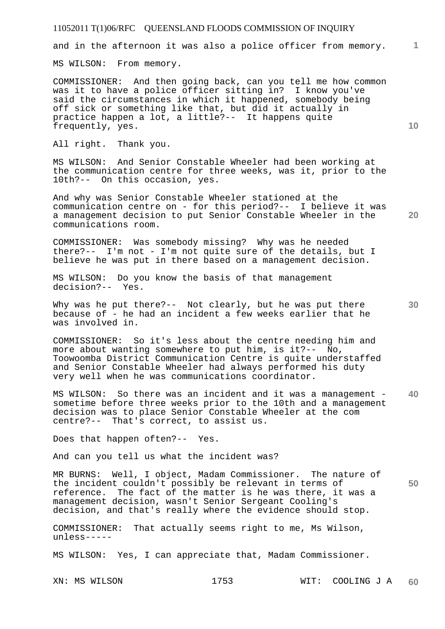and in the afternoon it was also a police officer from memory.

MS WILSON: From memory.

COMMISSIONER: And then going back, can you tell me how common was it to have a police officer sitting in? I know you've said the circumstances in which it happened, somebody being off sick or something like that, but did it actually in practice happen a lot, a little?-- It happens quite frequently, yes.

All right. Thank you.

MS WILSON: And Senior Constable Wheeler had been working at the communication centre for three weeks, was it, prior to the 10th?-- On this occasion, yes.

And why was Senior Constable Wheeler stationed at the communication centre on - for this period?-- I believe it was a management decision to put Senior Constable Wheeler in the communications room.

COMMISSIONER: Was somebody missing? Why was he needed there?-- I'm not - I'm not quite sure of the details, but I believe he was put in there based on a management decision.

MS WILSON: Do you know the basis of that management decision?-- Yes.

Why was he put there?-- Not clearly, but he was put there because of - he had an incident a few weeks earlier that he was involved in.

COMMISSIONER: So it's less about the centre needing him and more about wanting somewhere to put him, is it?-- No, Toowoomba District Communication Centre is quite understaffed and Senior Constable Wheeler had always performed his duty very well when he was communications coordinator.

MS WILSON: So there was an incident and it was a management sometime before three weeks prior to the 10th and a management decision was to place Senior Constable Wheeler at the com centre?-- That's correct, to assist us.

Does that happen often?-- Yes.

And can you tell us what the incident was?

MR BURNS: Well, I object, Madam Commissioner. The nature of the incident couldn't possibly be relevant in terms of reference. The fact of the matter is he was there, it was a management decision, wasn't Senior Sergeant Cooling's decision, and that's really where the evidence should stop.

COMMISSIONER: That actually seems right to me, Ms Wilson, unless-----

MS WILSON: Yes, I can appreciate that, Madam Commissioner.

XN: MS WILSON 1753 WIT: COOLING J A **60** 

**20** 

**10** 

**1**

**30** 

**40**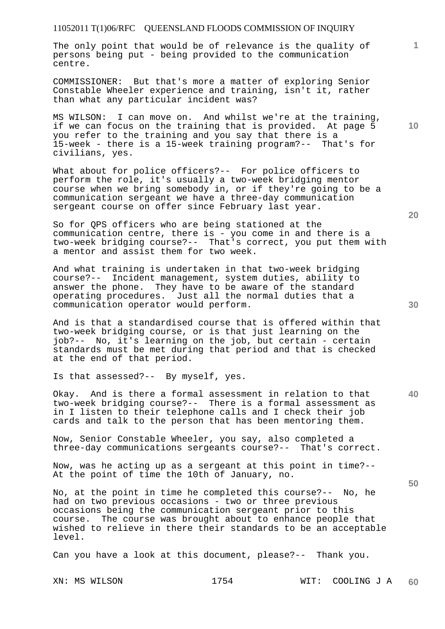The only point that would be of relevance is the quality of persons being put - being provided to the communication centre.

COMMISSIONER: But that's more a matter of exploring Senior Constable Wheeler experience and training, isn't it, rather than what any particular incident was?

MS WILSON: I can move on. And whilst we're at the training, if we can focus on the training that is provided. At page 5 you refer to the training and you say that there is a 15-week - there is a 15-week training program?-- That's for civilians, yes.

What about for police officers?-- For police officers to perform the role, it's usually a two-week bridging mentor course when we bring somebody in, or if they're going to be a communication sergeant we have a three-day communication sergeant course on offer since February last year.

So for QPS officers who are being stationed at the communication centre, there is - you come in and there is a two-week bridging course?-- That's correct, you put them with a mentor and assist them for two week.

And what training is undertaken in that two-week bridging course?-- Incident management, system duties, ability to answer the phone. They have to be aware of the standard operating procedures. Just all the normal duties that a communication operator would perform.

And is that a standardised course that is offered within that two-week bridging course, or is that just learning on the job?-- No, it's learning on the job, but certain - certain standards must be met during that period and that is checked at the end of that period.

Is that assessed?-- By myself, yes.

**40**  Okay. And is there a formal assessment in relation to that two-week bridging course?-- There is a formal assessment as in I listen to their telephone calls and I check their job cards and talk to the person that has been mentoring them.

Now, Senior Constable Wheeler, you say, also completed a three-day communications sergeants course?-- That's correct.

Now, was he acting up as a sergeant at this point in time?-- At the point of time the 10th of January, no.

No, at the point in time he completed this course?-- No, he had on two previous occasions - two or three previous occasions being the communication sergeant prior to this course. The course was brought about to enhance people that wished to relieve in there their standards to be an acceptable level.

Can you have a look at this document, please?-- Thank you.

**50** 

**30** 

**10**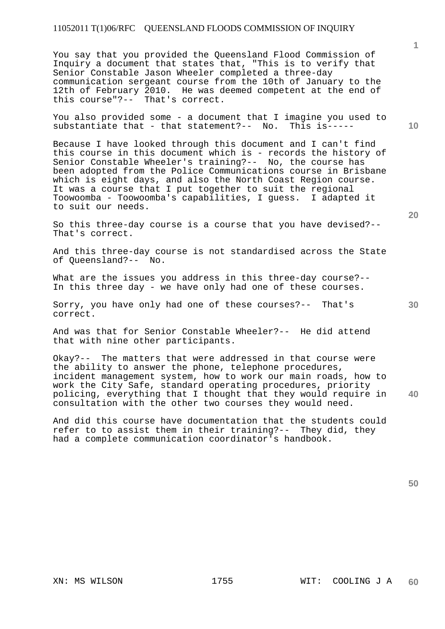You say that you provided the Queensland Flood Commission of Inquiry a document that states that, "This is to verify that Senior Constable Jason Wheeler completed a three-day communication sergeant course from the 10th of January to the 12th of February 2010. He was deemed competent at the end of this course"?-- That's correct.

You also provided some - a document that I imagine you used to substantiate that - that statement?-- No. This is----substantiate that - that statement?--  $No.$ 

Because I have looked through this document and I can't find this course in this document which is - records the history of Senior Constable Wheeler's training?-- No, the course has been adopted from the Police Communications course in Brisbane which is eight days, and also the North Coast Region course. It was a course that I put together to suit the regional Toowoomba - Toowoomba's capabilities, I guess. I adapted it to suit our needs.

So this three-day course is a course that you have devised?-- That's correct.

And this three-day course is not standardised across the State of Queensland?-- No.

What are the issues you address in this three-day course?-- In this three day - we have only had one of these courses.

Sorry, you have only had one of these courses?-- That's correct.

And was that for Senior Constable Wheeler?-- He did attend that with nine other participants.

**40**  Okay?-- The matters that were addressed in that course were the ability to answer the phone, telephone procedures, incident management system, how to work our main roads, how to work the City Safe, standard operating procedures, priority policing, everything that I thought that they would require in consultation with the other two courses they would need.

And did this course have documentation that the students could refer to to assist them in their training?-- They did, they had a complete communication coordinator's handbook.

**10** 

**1**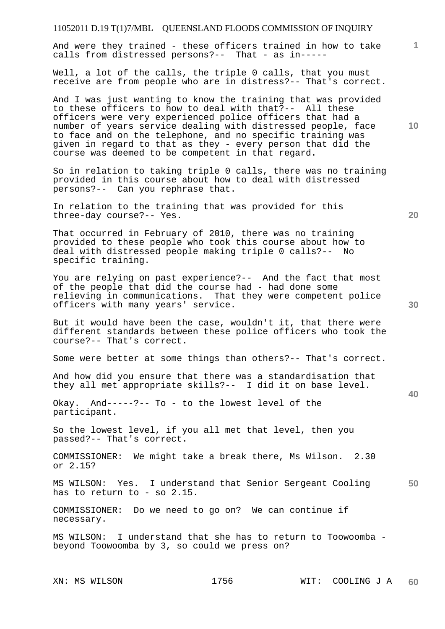| 11052011 D.19 T(1)7/MBL QUEENSLAND FLOODS COMMISSION OF INQUIRY                                                                                                                                                                                                                                                                                                                                                                         |              |
|-----------------------------------------------------------------------------------------------------------------------------------------------------------------------------------------------------------------------------------------------------------------------------------------------------------------------------------------------------------------------------------------------------------------------------------------|--------------|
| And were they trained - these officers trained in how to take<br>calls from distressed persons?-- That - as in-----                                                                                                                                                                                                                                                                                                                     | $\mathbf{1}$ |
| Well, a lot of the calls, the triple 0 calls, that you must<br>receive are from people who are in distress?-- That's correct.                                                                                                                                                                                                                                                                                                           |              |
| And I was just wanting to know the training that was provided<br>to these officers to how to deal with that?-- All these<br>officers were very experienced police officers that had a<br>number of years service dealing with distressed people, face<br>to face and on the telephone, and no specific training was<br>given in regard to that as they - every person that did the<br>course was deemed to be competent in that regard. | 10           |
| So in relation to taking triple 0 calls, there was no training<br>provided in this course about how to deal with distressed<br>persons?-- Can you rephrase that.                                                                                                                                                                                                                                                                        |              |
| In relation to the training that was provided for this<br>three-day course?-- Yes.                                                                                                                                                                                                                                                                                                                                                      | 20           |
| That occurred in February of 2010, there was no training<br>provided to these people who took this course about how to<br>deal with distressed people making triple 0 calls?--<br>No<br>specific training.                                                                                                                                                                                                                              |              |
| You are relying on past experience?-- And the fact that most<br>of the people that did the course had - had done some<br>relieving in communications. That they were competent police<br>officers with many years' service.                                                                                                                                                                                                             | 30           |
| But it would have been the case, wouldn't it, that there were<br>different standards between these police officers who took the<br>course?-- That's correct.                                                                                                                                                                                                                                                                            |              |
| Some were better at some things than others?-- That's correct.                                                                                                                                                                                                                                                                                                                                                                          |              |
| And how did you ensure that there was a standardisation that<br>they all met appropriate skills?-- I did it on base level.                                                                                                                                                                                                                                                                                                              | 40           |
| Okay. And-----?-- To - to the lowest level of the<br>participant.                                                                                                                                                                                                                                                                                                                                                                       |              |
| So the lowest level, if you all met that level, then you<br>passed?-- That's correct.                                                                                                                                                                                                                                                                                                                                                   |              |
| COMMISSIONER: We might take a break there, Ms Wilson. 2.30<br>or 2.15?                                                                                                                                                                                                                                                                                                                                                                  |              |
| MS WILSON: Yes. I understand that Senior Sergeant Cooling<br>has to return to - so $2.15.$                                                                                                                                                                                                                                                                                                                                              | 50           |
| COMMISSIONER: Do we need to go on? We can continue if<br>necessary.                                                                                                                                                                                                                                                                                                                                                                     |              |
| MS WILSON: I understand that she has to return to Toowoomba -<br>beyond Toowoomba by 3, so could we press on?                                                                                                                                                                                                                                                                                                                           |              |

XN: MS WILSON 1756 WIT: COOLING J A **60**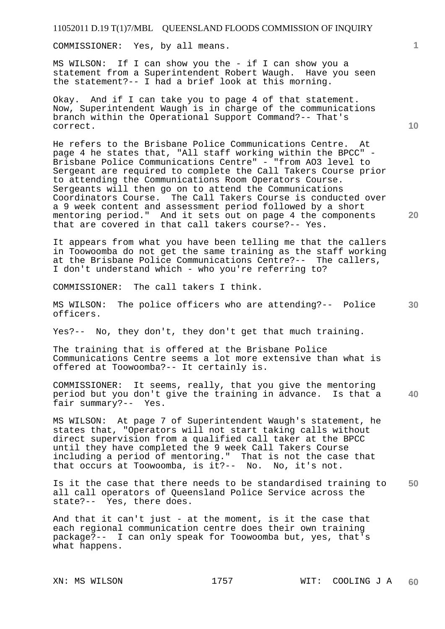COMMISSIONER: Yes, by all means.

MS WILSON: If I can show you the - if I can show you a statement from a Superintendent Robert Waugh. Have you seen the statement?-- I had a brief look at this morning.

Okay. And if I can take you to page 4 of that statement. Now, Superintendent Waugh is in charge of the communications branch within the Operational Support Command?-- That's correct.

He refers to the Brisbane Police Communications Centre. At page 4 he states that, "All staff working within the BPCC" - Brisbane Police Communications Centre" - "from AO3 level to Sergeant are required to complete the Call Takers Course prior to attending the Communications Room Operators Course. Sergeants will then go on to attend the Communications Coordinators Course. The Call Takers Course is conducted over a 9 week content and assessment period followed by a short mentoring period." And it sets out on page 4 the components that are covered in that call takers course?-- Yes.

It appears from what you have been telling me that the callers in Toowoomba do not get the same training as the staff working at the Brisbane Police Communications Centre?-- The callers, I don't understand which - who you're referring to?

COMMISSIONER: The call takers I think.

**30**  MS WILSON: The police officers who are attending?-- Police officers.

Yes?-- No, they don't, they don't get that much training.

The training that is offered at the Brisbane Police Communications Centre seems a lot more extensive than what is offered at Toowoomba?-- It certainly is.

**40**  COMMISSIONER: It seems, really, that you give the mentoring period but you don't give the training in advance. Is that a fair summary?-- Yes.

MS WILSON: At page 7 of Superintendent Waugh's statement, he states that, "Operators will not start taking calls without direct supervision from a qualified call taker at the BPCC until they have completed the 9 week Call Takers Course including a period of mentoring." That is not the case that that occurs at Toowoomba, is it?-- No. No, it's not.

**50**  Is it the case that there needs to be standardised training to all call operators of Queensland Police Service across the state?-- Yes, there does.

And that it can't just - at the moment, is it the case that each regional communication centre does their own training package?-- I can only speak for Toowoomba but, yes, that's what happens.

**1**

**20**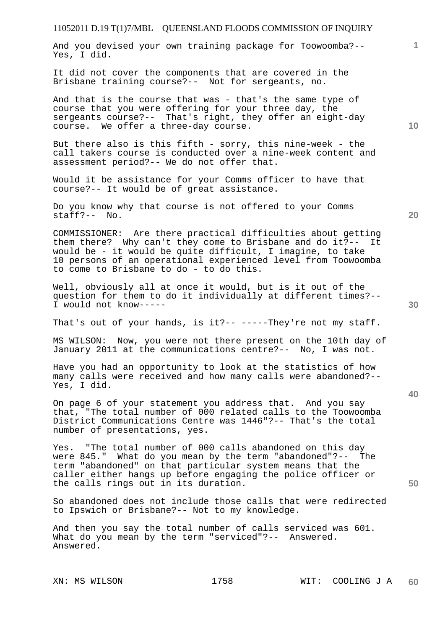And you devised your own training package for Toowoomba?-- Yes, I did.

It did not cover the components that are covered in the Brisbane training course?-- Not for sergeants, no.

And that is the course that was - that's the same type of course that you were offering for your three day, the sergeants course?-- That's right, they offer an eight-day course. We offer a three-day course.

But there also is this fifth - sorry, this nine-week - the call takers course is conducted over a nine-week content and assessment period?-- We do not offer that.

Would it be assistance for your Comms officer to have that course?-- It would be of great assistance.

Do you know why that course is not offered to your Comms staff?-- No.

COMMISSIONER: Are there practical difficulties about getting them there? Why can't they come to Brisbane and do it?-- It would be - it would be quite difficult, I imagine, to take 10 persons of an operational experienced level from Toowoomba to come to Brisbane to do - to do this.

Well, obviously all at once it would, but is it out of the question for them to do it individually at different times?-- I would not know-----

That's out of your hands, is it?-- -----They're not my staff.

MS WILSON: Now, you were not there present on the 10th day of January 2011 at the communications centre?-- No, I was not.

Have you had an opportunity to look at the statistics of how many calls were received and how many calls were abandoned?-- Yes, I did.

On page 6 of your statement you address that. And you say that, "The total number of 000 related calls to the Toowoomba District Communications Centre was 1446"?-- That's the total number of presentations, yes.

Yes. "The total number of 000 calls abandoned on this day were 845." What do you mean by the term "abandoned"?-- The term "abandoned" on that particular system means that the caller either hangs up before engaging the police officer or the calls rings out in its duration.

So abandoned does not include those calls that were redirected to Ipswich or Brisbane?-- Not to my knowledge.

And then you say the total number of calls serviced was 601. What do you mean by the term "serviced"?-- Answered. Answered.

**10** 

**1**

**20** 

**50**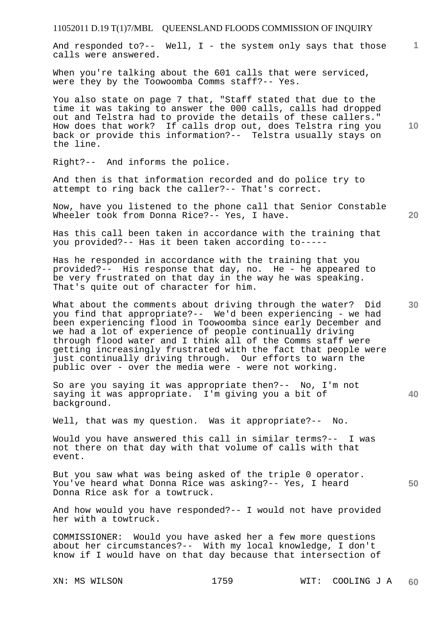**1** And responded to?-- Well,  $I -$  the system only says that those calls were answered.

When you're talking about the 601 calls that were serviced, were they by the Toowoomba Comms staff?-- Yes.

You also state on page 7 that, "Staff stated that due to the time it was taking to answer the 000 calls, calls had dropped out and Telstra had to provide the details of these callers." How does that work? If calls drop out, does Telstra ring you back or provide this information?-- Telstra usually stays on the line.

Right?-- And informs the police.

And then is that information recorded and do police try to attempt to ring back the caller?-- That's correct.

Now, have you listened to the phone call that Senior Constable Wheeler took from Donna Rice?-- Yes, I have.

Has this call been taken in accordance with the training that you provided?-- Has it been taken according to-----

Has he responded in accordance with the training that you provided?-- His response that day, no. He - he appeared to be very frustrated on that day in the way he was speaking. That's quite out of character for him.

What about the comments about driving through the water? Did you find that appropriate?-- We'd been experiencing - we had been experiencing flood in Toowoomba since early December and we had a lot of experience of people continually driving through flood water and I think all of the Comms staff were getting increasingly frustrated with the fact that people were just continually driving through. Our efforts to warn the public over - over the media were - were not working.

So are you saying it was appropriate then?-- No, I'm not saying it was appropriate. I'm giving you a bit of background.

Well, that was my question. Was it appropriate?-- No.

Would you have answered this call in similar terms?-- I was not there on that day with that volume of calls with that event.

**50**  But you saw what was being asked of the triple 0 operator. You've heard what Donna Rice was asking?-- Yes, I heard Donna Rice ask for a towtruck.

And how would you have responded?-- I would not have provided her with a towtruck.

COMMISSIONER: Would you have asked her a few more questions about her circumstances?-- With my local knowledge, I don't know if I would have on that day because that intersection of

**10** 

**20**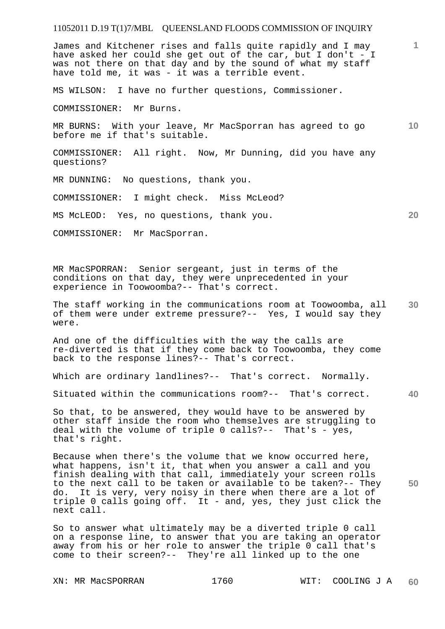James and Kitchener rises and falls quite rapidly and I may have asked her could she get out of the car, but I don't - I was not there on that day and by the sound of what my staff have told me, it was - it was a terrible event.

MS WILSON: I have no further questions, Commissioner.

COMMISSIONER: Mr Burns.

**10**  MR BURNS: With your leave, Mr MacSporran has agreed to go before me if that's suitable.

COMMISSIONER: All right. Now, Mr Dunning, did you have any questions?

MR DUNNING: No questions, thank you.

COMMISSIONER: I might check. Miss McLeod?

MS McLEOD: Yes, no questions, thank you.

COMMISSIONER: Mr MacSporran.

MR MacSPORRAN: Senior sergeant, just in terms of the conditions on that day, they were unprecedented in your experience in Toowoomba?-- That's correct.

**30**  The staff working in the communications room at Toowoomba, all of them were under extreme pressure?-- Yes, I would say they were.

And one of the difficulties with the way the calls are re-diverted is that if they come back to Toowoomba, they come back to the response lines?-- That's correct.

Which are ordinary landlines?-- That's correct. Normally.

**40**  Situated within the communications room?-- That's correct.

So that, to be answered, they would have to be answered by other staff inside the room who themselves are struggling to deal with the volume of triple 0 calls?-- That's - yes, that's right.

Because when there's the volume that we know occurred here, what happens, isn't it, that when you answer a call and you finish dealing with that call, immediately your screen rolls to the next call to be taken or available to be taken?-- They do. It is very, very noisy in there when there are a lot of triple 0 calls going off. It - and, yes, they just click the next call.

So to answer what ultimately may be a diverted triple 0 call on a response line, to answer that you are taking an operator away from his or her role to answer the triple 0 call that's come to their screen?-- They're all linked up to the one

**1**

**20**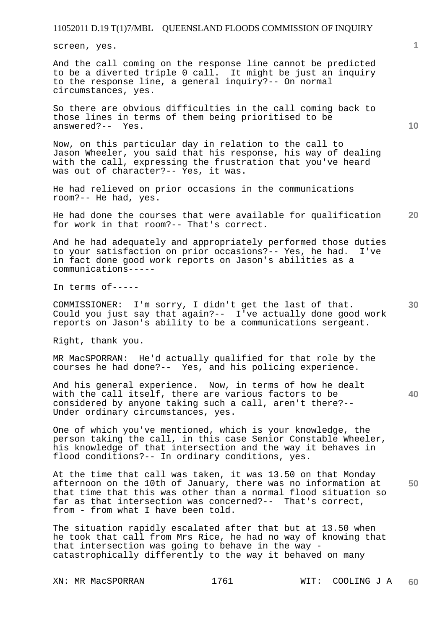screen, yes.

And the call coming on the response line cannot be predicted to be a diverted triple 0 call. It might be just an inquiry to the response line, a general inquiry?-- On normal circumstances, yes.

So there are obvious difficulties in the call coming back to those lines in terms of them being prioritised to be answered?-- Yes.

Now, on this particular day in relation to the call to Jason Wheeler, you said that his response, his way of dealing with the call, expressing the frustration that you've heard was out of character?-- Yes, it was.

He had relieved on prior occasions in the communications room?-- He had, yes.

**20**  He had done the courses that were available for qualification for work in that room?-- That's correct.

And he had adequately and appropriately performed those duties to your satisfaction on prior occasions?-- Yes, he had. I've in fact done good work reports on Jason's abilities as a communications-----

In terms of-----

**30**  COMMISSIONER: I'm sorry, I didn't get the last of that. Could you just say that again?-- I've actually done good work reports on Jason's ability to be a communications sergeant.

Right, thank you.

MR MacSPORRAN: He'd actually qualified for that role by the courses he had done?-- Yes, and his policing experience.

And his general experience. Now, in terms of how he dealt with the call itself, there are various factors to be considered by anyone taking such a call, aren't there?-- Under ordinary circumstances, yes.

One of which you've mentioned, which is your knowledge, the person taking the call, in this case Senior Constable Wheeler, his knowledge of that intersection and the way it behaves in flood conditions?-- In ordinary conditions, yes.

**50**  At the time that call was taken, it was 13.50 on that Monday afternoon on the 10th of January, there was no information at that time that this was other than a normal flood situation so far as that intersection was concerned?-- That's correct, from - from what I have been told.

The situation rapidly escalated after that but at 13.50 when he took that call from Mrs Rice, he had no way of knowing that that intersection was going to behave in the way catastrophically differently to the way it behaved on many

**10**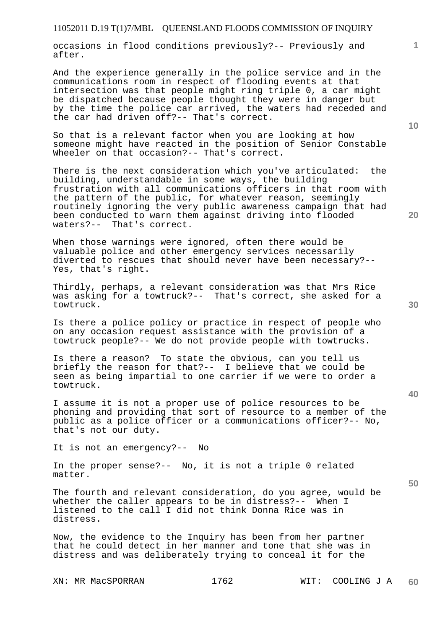occasions in flood conditions previously?-- Previously and after.

And the experience generally in the police service and in the communications room in respect of flooding events at that intersection was that people might ring triple 0, a car might be dispatched because people thought they were in danger but by the time the police car arrived, the waters had receded and the car had driven off?-- That's correct.

So that is a relevant factor when you are looking at how someone might have reacted in the position of Senior Constable Wheeler on that occasion?-- That's correct.

There is the next consideration which you've articulated: the building, understandable in some ways, the building frustration with all communications officers in that room with the pattern of the public, for whatever reason, seemingly routinely ignoring the very public awareness campaign that had been conducted to warn them against driving into flooded waters?-- That's correct.

When those warnings were ignored, often there would be valuable police and other emergency services necessarily diverted to rescues that should never have been necessary?-- Yes, that's right.

Thirdly, perhaps, a relevant consideration was that Mrs Rice was asking for a towtruck?-- That's correct, she asked for a towtruck.

Is there a police policy or practice in respect of people who on any occasion request assistance with the provision of a towtruck people?-- We do not provide people with towtrucks.

Is there a reason? To state the obvious, can you tell us briefly the reason for that?-- I believe that we could be seen as being impartial to one carrier if we were to order a towtruck.

I assume it is not a proper use of police resources to be phoning and providing that sort of resource to a member of the public as a police officer or a communications officer?-- No, that's not our duty.

It is not an emergency?-- No

In the proper sense?-- No, it is not a triple 0 related matter.

The fourth and relevant consideration, do you agree, would be whether the caller appears to be in distress?-- When I listened to the call I did not think Donna Rice was in distress.

Now, the evidence to the Inquiry has been from her partner that he could detect in her manner and tone that she was in distress and was deliberately trying to conceal it for the

**30** 

**20** 

**50** 

**10**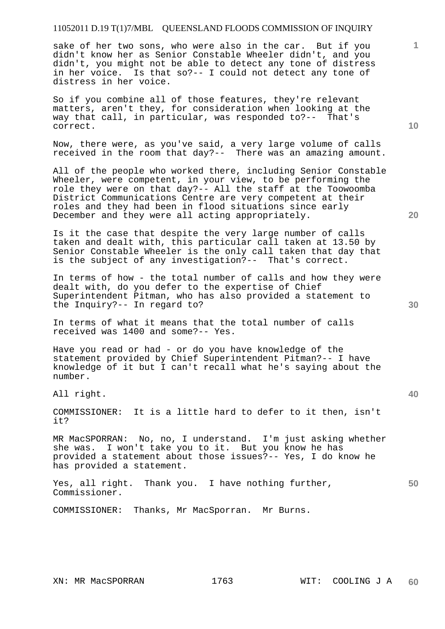sake of her two sons, who were also in the car. But if you didn't know her as Senior Constable Wheeler didn't, and you didn't, you might not be able to detect any tone of distress in her voice. Is that so?-- I could not detect any tone of distress in her voice.

So if you combine all of those features, they're relevant matters, aren't they, for consideration when looking at the way that call, in particular, was responded to?-- That's correct.

Now, there were, as you've said, a very large volume of calls received in the room that day?-- There was an amazing amount.

All of the people who worked there, including Senior Constable Wheeler, were competent, in your view, to be performing the role they were on that day?-- All the staff at the Toowoomba District Communications Centre are very competent at their roles and they had been in flood situations since early December and they were all acting appropriately.

Is it the case that despite the very large number of calls taken and dealt with, this particular call taken at 13.50 by Senior Constable Wheeler is the only call taken that day that is the subject of any investigation?-- That's correct.

In terms of how - the total number of calls and how they were dealt with, do you defer to the expertise of Chief Superintendent Pitman, who has also provided a statement to the Inquiry?-- In regard to?

In terms of what it means that the total number of calls received was 1400 and some?-- Yes.

Have you read or had - or do you have knowledge of the statement provided by Chief Superintendent Pitman?-- I have knowledge of it but I can't recall what he's saying about the number.

All right.

COMMISSIONER: It is a little hard to defer to it then, isn't it?

MR MacSPORRAN: No, no, I understand. I'm just asking whether she was. I won't take you to it. But you know he has provided a statement about those issues?-- Yes, I do know he has provided a statement.

COMMISSIONER: Thanks, Mr MacSporran. Mr Burns.

**1**

**<sup>50</sup>**  Yes, all right. Thank you. I have nothing further, Commissioner.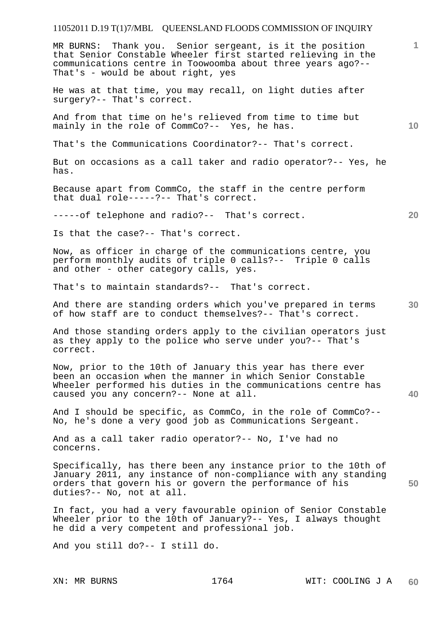MR BURNS: Thank you. Senior sergeant, is it the position that Senior Constable Wheeler first started relieving in the communications centre in Toowoomba about three years ago?-- That's - would be about right, yes

He was at that time, you may recall, on light duties after surgery?-- That's correct.

And from that time on he's relieved from time to time but mainly in the role of CommCo?-- Yes, he has.

That's the Communications Coordinator?-- That's correct.

But on occasions as a call taker and radio operator?-- Yes, he has.

Because apart from CommCo, the staff in the centre perform that dual role-----?-- That's correct.

-----of telephone and radio?-- That's correct.

Is that the case?-- That's correct.

Now, as officer in charge of the communications centre, you perform monthly audits of triple 0 calls?-- Triple 0 calls and other - other category calls, yes.

That's to maintain standards?-- That's correct.

And there are standing orders which you've prepared in terms of how staff are to conduct themselves?-- That's correct.

And those standing orders apply to the civilian operators just as they apply to the police who serve under you?-- That's correct.

Now, prior to the 10th of January this year has there ever been an occasion when the manner in which Senior Constable Wheeler performed his duties in the communications centre has caused you any concern?-- None at all.

And I should be specific, as CommCo, in the role of CommCo?-- No, he's done a very good job as Communications Sergeant.

And as a call taker radio operator?-- No, I've had no concerns.

**50**  Specifically, has there been any instance prior to the 10th of January 2011, any instance of non-compliance with any standing orders that govern his or govern the performance of his duties?-- No, not at all.

In fact, you had a very favourable opinion of Senior Constable Wheeler prior to the 10th of January? -- Yes, I always thought he did a very competent and professional job.

And you still do?-- I still do.

**20** 

**30** 

**40**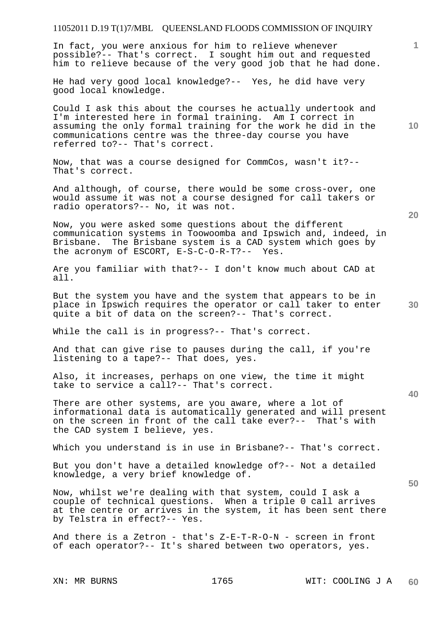In fact, you were anxious for him to relieve whenever possible?-- That's correct. I sought him out and requested him to relieve because of the very good job that he had done.

He had very good local knowledge?-- Yes, he did have very good local knowledge.

Could I ask this about the courses he actually undertook and I'm interested here in formal training. Am I correct in assuming the only formal training for the work he did in the communications centre was the three-day course you have referred to?-- That's correct.

Now, that was a course designed for CommCos, wasn't it?-- That's correct.

And although, of course, there would be some cross-over, one would assume it was not a course designed for call takers or radio operators?-- No, it was not.

Now, you were asked some questions about the different communication systems in Toowoomba and Ipswich and, indeed, in Brisbane. The Brisbane system is a CAD system which goes by the acronym of ESCORT, E-S-C-O-R-T?-- Yes.

Are you familiar with that?-- I don't know much about CAD at all.

But the system you have and the system that appears to be in place in Ipswich requires the operator or call taker to enter quite a bit of data on the screen?-- That's correct.

While the call is in progress?-- That's correct.

And that can give rise to pauses during the call, if you're listening to a tape?-- That does, yes.

Also, it increases, perhaps on one view, the time it might take to service a call?-- That's correct.

There are other systems, are you aware, where a lot of informational data is automatically generated and will present on the screen in front of the call take ever?-- That's with the CAD system I believe, yes.

Which you understand is in use in Brisbane?-- That's correct.

But you don't have a detailed knowledge of?-- Not a detailed knowledge, a very brief knowledge of.

Now, whilst we're dealing with that system, could I ask a couple of technical questions. When a triple 0 call arrives at the centre or arrives in the system, it has been sent there by Telstra in effect?-- Yes.

And there is a Zetron - that's Z-E-T-R-O-N - screen in front of each operator?-- It's shared between two operators, yes.

**20** 

**1**

**10** 

**40**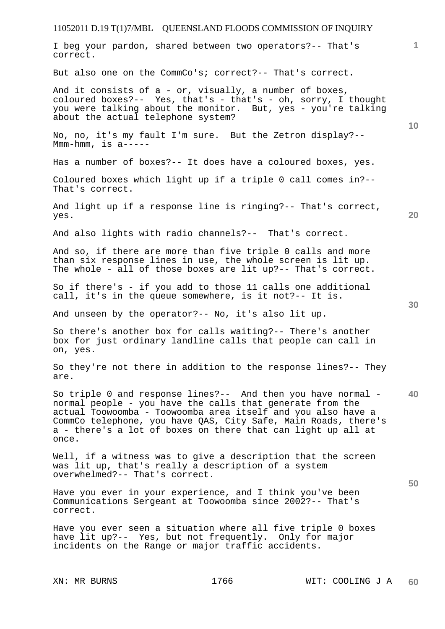# 11052011 D.19 T(1)7/MBL QUEENSLAND FLOODS COMMISSION OF INQUIRY **1 10 20 30 40 50**  I beg your pardon, shared between two operators?-- That's correct. But also one on the CommCo's; correct?-- That's correct. And it consists of  $a - or$ , visually, a number of boxes, coloured boxes?-- Yes, that's - that's - oh, sorry, I thought you were talking about the monitor. But, yes - you're talking about the actual telephone system? No, no, it's my fault I'm sure. But the Zetron display?-- Mmm-hmm, is a----- Has a number of boxes?-- It does have a coloured boxes, yes. Coloured boxes which light up if a triple 0 call comes in?-- That's correct. And light up if a response line is ringing?-- That's correct, yes. And also lights with radio channels?-- That's correct. And so, if there are more than five triple 0 calls and more than six response lines in use, the whole screen is lit up. The whole - all of those boxes are lit up?-- That's correct. So if there's - if you add to those 11 calls one additional call, it's in the queue somewhere, is it not?-- It is. And unseen by the operator?-- No, it's also lit up. So there's another box for calls waiting?-- There's another box for just ordinary landline calls that people can call in on, yes. So they're not there in addition to the response lines?-- They are. So triple 0 and response lines?-- And then you have normal normal people - you have the calls that generate from the actual Toowoomba - Toowoomba area itself and you also have a CommCo telephone, you have QAS, City Safe, Main Roads, there's a - there's a lot of boxes on there that can light up all at once. Well, if a witness was to give a description that the screen was lit up, that's really a description of a system overwhelmed?-- That's correct. Have you ever in your experience, and I think you've been Communications Sergeant at Toowoomba since 2002?-- That's correct. Have you ever seen a situation where all five triple 0 boxes have lit up?-- Yes, but not frequently. Only for major incidents on the Range or major traffic accidents.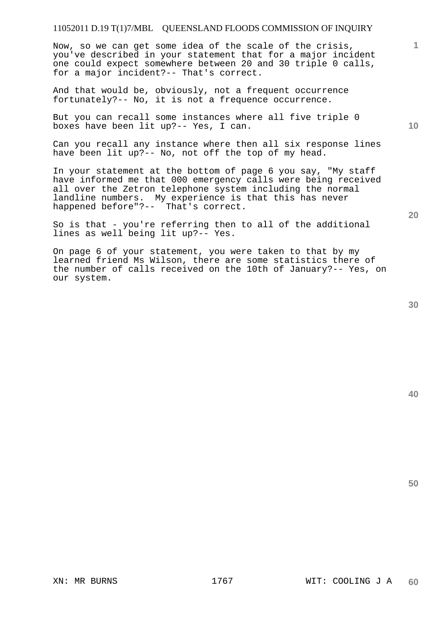Now, so we can get some idea of the scale of the crisis, you've described in your statement that for a major incident one could expect somewhere between 20 and 30 triple 0 calls, for a major incident?-- That's correct.

And that would be, obviously, not a frequent occurrence fortunately?-- No, it is not a frequence occurrence.

But you can recall some instances where all five triple 0 boxes have been lit up?-- Yes, I can.

Can you recall any instance where then all six response lines have been lit up?-- No, not off the top of my head.

In your statement at the bottom of page 6 you say, "My staff have informed me that 000 emergency calls were being received all over the Zetron telephone system including the normal landline numbers. My experience is that this has never happened before"?-- That's correct.

So is that - you're referring then to all of the additional lines as well being lit up?-- Yes.

On page 6 of your statement, you were taken to that by my learned friend Ms Wilson, there are some statistics there of the number of calls received on the 10th of January?-- Yes, on our system.

**40** 

**50** 

**20** 

**1**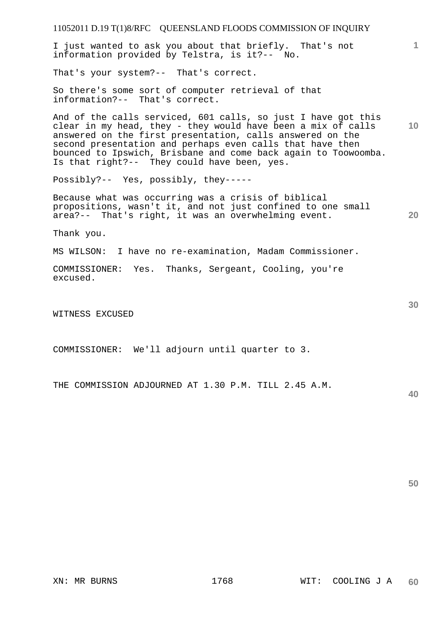11052011 D.19 T(1)8/RFC QUEENSLAND FLOODS COMMISSION OF INQUIRY **1 10 20 30**  I just wanted to ask you about that briefly. That's not information provided by Telstra, is it?-- No. That's your system?-- That's correct. So there's some sort of computer retrieval of that information?-- That's correct. And of the calls serviced, 601 calls, so just I have got this clear in my head, they - they would have been a mix of calls answered on the first presentation, calls answered on the second presentation and perhaps even calls that have then bounced to Ipswich, Brisbane and come back again to Toowoomba. Is that right?-- They could have been, yes. Possibly?-- Yes, possibly, they----- Because what was occurring was a crisis of biblical propositions, wasn't it, and not just confined to one small area?-- That's right, it was an overwhelming event. Thank you. MS WILSON: I have no re-examination, Madam Commissioner. COMMISSIONER: Yes. Thanks, Sergeant, Cooling, you're excused. WITNESS EXCUSED COMMISSIONER: We'll adjourn until quarter to 3.

THE COMMISSION ADJOURNED AT 1.30 P.M. TILL 2.45 A.M.

**40**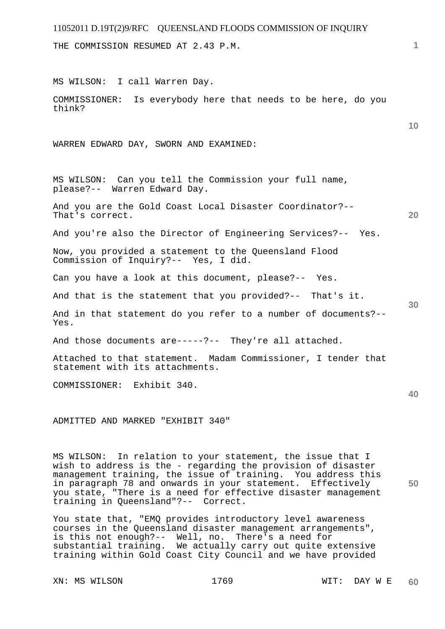THE COMMISSION RESUMED AT 2.43 P.M.

MS WILSON: I call Warren Day.

COMMISSIONER: Is everybody here that needs to be here, do you think?

WARREN EDWARD DAY, SWORN AND EXAMINED:

MS WILSON: Can you tell the Commission your full name, please?-- Warren Edward Day.

And you are the Gold Coast Local Disaster Coordinator?-- That's correct.

And you're also the Director of Engineering Services?-- Yes.

Now, you provided a statement to the Queensland Flood Commission of Inquiry?-- Yes, I did.

Can you have a look at this document, please?-- Yes.

And that is the statement that you provided?-- That's it.

And in that statement do you refer to a number of documents?-- Yes.

And those documents are-----?-- They're all attached.

Attached to that statement. Madam Commissioner, I tender that statement with its attachments.

COMMISSIONER: Exhibit 340.

ADMITTED AND MARKED "EXHIBIT 340"

MS WILSON: In relation to your statement, the issue that I wish to address is the - regarding the provision of disaster management training, the issue of training. You address this in paragraph 78 and onwards in your statement. Effectively you state, "There is a need for effective disaster management training in Queensland"?-- Correct.

You state that, "EMQ provides introductory level awareness courses in the Queensland disaster management arrangements", is this not enough?-- Well, no. There's a need for substantial training. We actually carry out quite extensive training within Gold Coast City Council and we have provided

XN: MS WILSON 1769 WIT: DAY W E

**1**

**10** 

**20** 

**30** 

**40**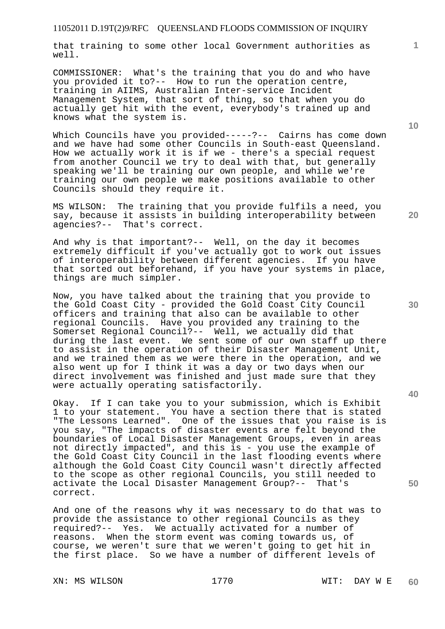that training to some other local Government authorities as well.

COMMISSIONER: What's the training that you do and who have you provided it to?-- How to run the operation centre, training in AIIMS, Australian Inter-service Incident Management System, that sort of thing, so that when you do actually get hit with the event, everybody's trained up and knows what the system is.

Which Councils have you provided-----?-- Cairns has come down and we have had some other Councils in South-east Queensland. How we actually work it is if we - there's a special request from another Council we try to deal with that, but generally speaking we'll be training our own people, and while we're training our own people we make positions available to other Councils should they require it.

MS WILSON: The training that you provide fulfils a need, you say, because it assists in building interoperability between agencies?-- That's correct.

And why is that important?-- Well, on the day it becomes extremely difficult if you've actually got to work out issues of interoperability between different agencies. If you have that sorted out beforehand, if you have your systems in place, things are much simpler.

Now, you have talked about the training that you provide to the Gold Coast City - provided the Gold Coast City Council officers and training that also can be available to other regional Councils. Have you provided any training to the Somerset Regional Council?-- Well, we actually did that during the last event. We sent some of our own staff up there to assist in the operation of their Disaster Management Unit, and we trained them as we were there in the operation, and we also went up for I think it was a day or two days when our direct involvement was finished and just made sure that they were actually operating satisfactorily.

Okay. If I can take you to your submission, which is Exhibit 1 to your statement. You have a section there that is stated "The Lessons Learned". One of the issues that you raise is is you say, "The impacts of disaster events are felt beyond the boundaries of Local Disaster Management Groups, even in areas not directly impacted", and this is - you use the example of the Gold Coast City Council in the last flooding events where although the Gold Coast City Council wasn't directly affected to the scope as other regional Councils, you still needed to activate the Local Disaster Management Group?-- That's correct.

And one of the reasons why it was necessary to do that was to provide the assistance to other regional Councils as they required?-- Yes. We actually activated for a number of reasons. When the storm event was coming towards us, of course, we weren't sure that we weren't going to get hit in the first place. So we have a number of different levels of

XN: MS WILSON 1770 WIT: DAY W E

**30** 

**20** 

**50** 

**10**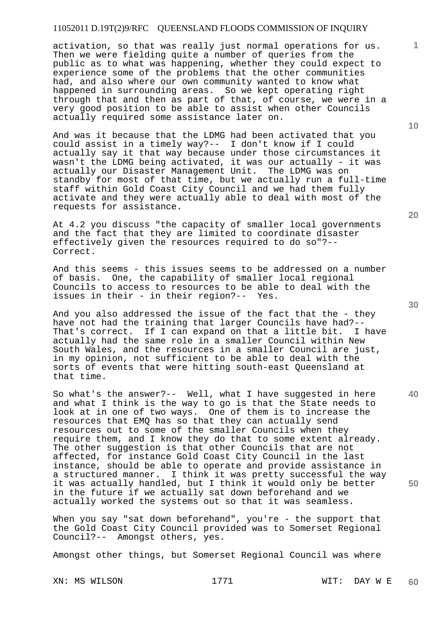activation, so that was really just normal operations for us. Then we were fielding quite a number of queries from the public as to what was happening, whether they could expect to experience some of the problems that the other communities had, and also where our own community wanted to know what happened in surrounding areas. So we kept operating right through that and then as part of that, of course, we were in a very good position to be able to assist when other Councils actually required some assistance later on.

And was it because that the LDMG had been activated that you could assist in a timely way?-- I don't know if I could actually say it that way because under those circumstances it wasn't the LDMG being activated, it was our actually - it was actually our Disaster Management Unit. The LDMG was on standby for most of that time, but we actually run a full-time staff within Gold Coast City Council and we had them fully activate and they were actually able to deal with most of the requests for assistance.

At 4.2 you discuss "the capacity of smaller local governments and the fact that they are limited to coordinate disaster effectively given the resources required to do so"?-- Correct.

And this seems - this issues seems to be addressed on a number of basis. One, the capability of smaller local regional Councils to access to resources to be able to deal with the issues in their - in their region?-- Yes.

And you also addressed the issue of the fact that the - they have not had the training that larger Councils have had?--<br>That's correct. If I can expand on that a little bit. I have That's correct. If I can expand on that a little bit. actually had the same role in a smaller Council within New South Wales, and the resources in a smaller Council are just, in my opinion, not sufficient to be able to deal with the sorts of events that were hitting south-east Queensland at that time.

So what's the answer?-- Well, what I have suggested in here and what I think is the way to go is that the State needs to look at in one of two ways. One of them is to increase the resources that EMQ has so that they can actually send resources out to some of the smaller Councils when they require them, and I know they do that to some extent already. The other suggestion is that other Councils that are not affected, for instance Gold Coast City Council in the last instance, should be able to operate and provide assistance in a structured manner. I think it was pretty successful the way it was actually handled, but I think it would only be better in the future if we actually sat down beforehand and we actually worked the systems out so that it was seamless.

When you say "sat down beforehand", you're - the support that the Gold Coast City Council provided was to Somerset Regional Council?-- Amongst others, yes.

Amongst other things, but Somerset Regional Council was where

XN: MS WILSON 1771 WIT: DAY W E

**20** 

**40** 

**50** 

**10**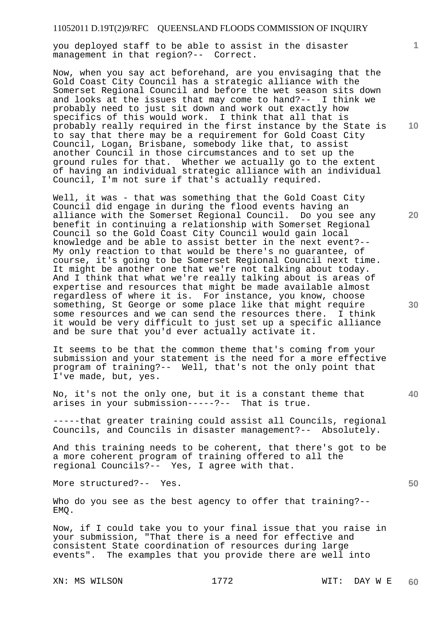you deployed staff to be able to assist in the disaster management in that region?-- Correct.

Now, when you say act beforehand, are you envisaging that the Gold Coast City Council has a strategic alliance with the Somerset Regional Council and before the wet season sits down and looks at the issues that may come to hand?-- I think we probably need to just sit down and work out exactly how specifics of this would work. I think that all that is probably really required in the first instance by the State is to say that there may be a requirement for Gold Coast City Council, Logan, Brisbane, somebody like that, to assist another Council in those circumstances and to set up the ground rules for that. Whether we actually go to the extent of having an individual strategic alliance with an individual Council, I'm not sure if that's actually required.

Well, it was - that was something that the Gold Coast City Council did engage in during the flood events having an alliance with the Somerset Regional Council. Do you see any benefit in continuing a relationship with Somerset Regional Council so the Gold Coast City Council would gain local knowledge and be able to assist better in the next event?-- My only reaction to that would be there's no guarantee, of course, it's going to be Somerset Regional Council next time. It might be another one that we're not talking about today. And I think that what we're really talking about is areas of expertise and resources that might be made available almost regardless of where it is. For instance, you know, choose something, St George or some place like that might require some resources and we can send the resources there. I think it would be very difficult to just set up a specific alliance and be sure that you'd ever actually activate it.

It seems to be that the common theme that's coming from your submission and your statement is the need for a more effective program of training?-- Well, that's not the only point that I've made, but, yes.

No, it's not the only one, but it is a constant theme that arises in your submission-----?-- That is true.

-----that greater training could assist all Councils, regional Councils, and Councils in disaster management?-- Absolutely.

And this training needs to be coherent, that there's got to be a more coherent program of training offered to all the regional Councils?-- Yes, I agree with that.

More structured?-- Yes.

Who do you see as the best agency to offer that training?-- EMQ.

Now, if I could take you to your final issue that you raise in your submission, "That there is a need for effective and consistent State coordination of resources during large events". The examples that you provide there are well into

XN: MS WILSON 1772 WIT: DAY W E

**10** 

**1**

**20** 

**30** 

**40**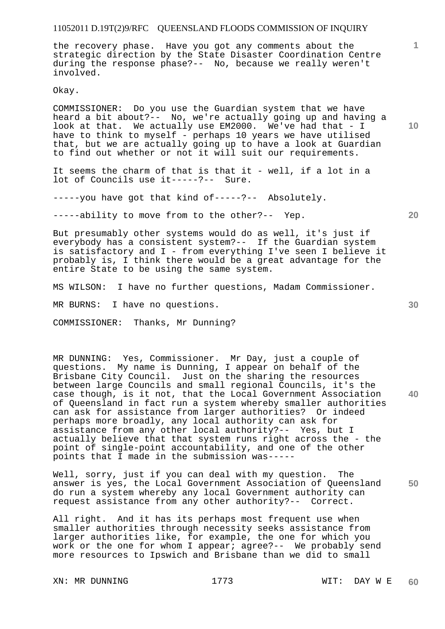the recovery phase. Have you got any comments about the strategic direction by the State Disaster Coordination Centre during the response phase?-- No, because we really weren't involved.

Okay.

COMMISSIONER: Do you use the Guardian system that we have heard a bit about?-- No, we're actually going up and having a look at that. We actually use EM2000. We've had that - I have to think to myself - perhaps 10 years we have utilised that, but we are actually going up to have a look at Guardian to find out whether or not it will suit our requirements.

It seems the charm of that is that it - well, if a lot in a lot of Councils use it-----?-- Sure.

-----you have got that kind of-----?-- Absolutely.

-----ability to move from to the other?-- Yep.

But presumably other systems would do as well, it's just if everybody has a consistent system?-- If the Guardian system is satisfactory and I - from everything I've seen I believe it probably is, I think there would be a great advantage for the entire State to be using the same system.

MS WILSON: I have no further questions, Madam Commissioner.

MR BURNS: I have no questions.

COMMISSIONER: Thanks, Mr Dunning?

**40**  MR DUNNING: Yes, Commissioner. Mr Day, just a couple of questions. My name is Dunning, I appear on behalf of the Brisbane City Council. Just on the sharing the resources between large Councils and small regional Councils, it's the case though, is it not, that the Local Government Association of Queensland in fact run a system whereby smaller authorities can ask for assistance from larger authorities? Or indeed perhaps more broadly, any local authority can ask for assistance from any other local authority?-- Yes, but I actually believe that that system runs right across the - the point of single-point accountability, and one of the other points that I made in the submission was-----

**50**  Well, sorry, just if you can deal with my question. The answer is yes, the Local Government Association of Queensland do run a system whereby any local Government authority can request assistance from any other authority?-- Correct.

All right. And it has its perhaps most frequent use when smaller authorities through necessity seeks assistance from larger authorities like, for example, the one for which you work or the one for whom I appear; agree?-- We probably send more resources to Ipswich and Brisbane than we did to small

XN: MR DUNNING 1773 WIT: DAY W E

**10** 

**1**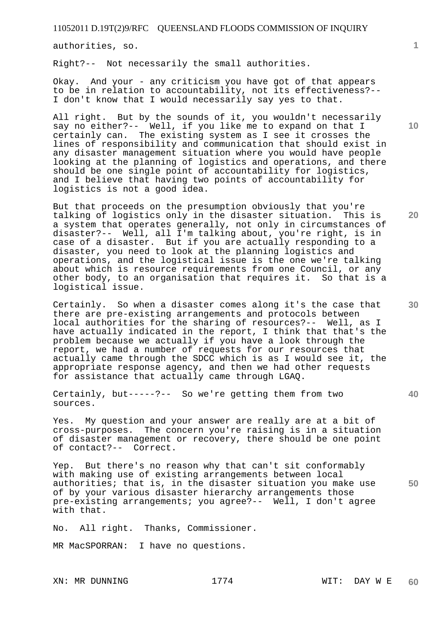authorities, so.

Right?-- Not necessarily the small authorities.

Okay. And your - any criticism you have got of that appears to be in relation to accountability, not its effectiveness?-- I don't know that I would necessarily say yes to that.

All right. But by the sounds of it, you wouldn't necessarily say no either?-- Well, if you like me to expand on that I certainly can. The existing system as I see it crosses the lines of responsibility and communication that should exist in any disaster management situation where you would have people looking at the planning of logistics and operations, and there should be one single point of accountability for logistics, and I believe that having two points of accountability for logistics is not a good idea.

But that proceeds on the presumption obviously that you're talking of logistics only in the disaster situation. This is a system that operates generally, not only in circumstances of disaster?-- Well, all I'm talking about, you're right, is in case of a disaster. But if you are actually responding to a disaster, you need to look at the planning logistics and operations, and the logistical issue is the one we're talking about which is resource requirements from one Council, or any other body, to an organisation that requires it. So that is a logistical issue.

Certainly. So when a disaster comes along it's the case that there are pre-existing arrangements and protocols between local authorities for the sharing of resources?-- Well, as I have actually indicated in the report, I think that that's the problem because we actually if you have a look through the report, we had a number of requests for our resources that actually came through the SDCC which is as I would see it, the appropriate response agency, and then we had other requests for assistance that actually came through LGAQ.

Certainly, but-----?-- So we're getting them from two sources.

Yes. My question and your answer are really are at a bit of cross-purposes. The concern you're raising is in a situation of disaster management or recovery, there should be one point of contact?-- Correct.

**50**  Yep. But there's no reason why that can't sit conformably with making use of existing arrangements between local authorities; that is, in the disaster situation you make use of by your various disaster hierarchy arrangements those pre-existing arrangements; you agree?-- Well, I don't agree with that.

No. All right. Thanks, Commissioner.

MR MacSPORRAN: I have no questions.

**20** 

**1**

**40**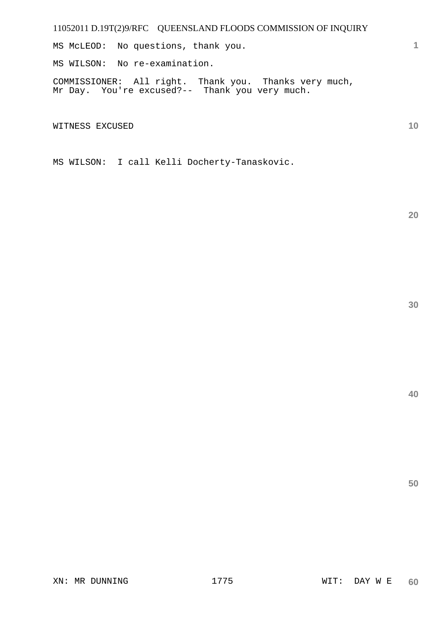MS McLEOD: No questions, thank you.

MS WILSON: No re-examination.

COMMISSIONER: All right. Thank you. Thanks very much, Mr Day. You're excused?-- Thank you very much.

WITNESS EXCUSED

MS WILSON: I call Kelli Docherty-Tanaskovic.

**20** 

**1**

**10**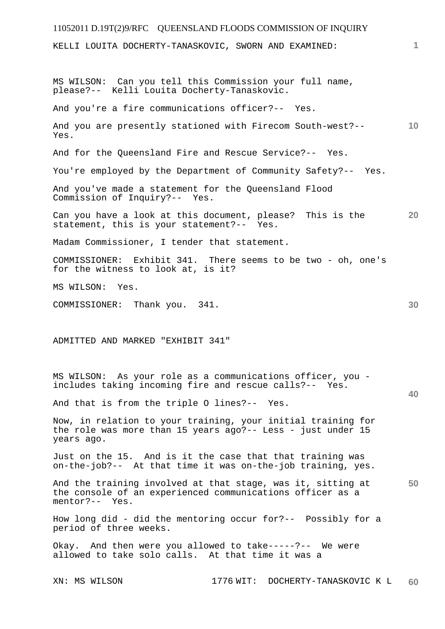# 11052011 D.19T(2)9/RFC QUEENSLAND FLOODS COMMISSION OF INQUIRY XN: MS WILSON 1776 WIT: DOCHERTY-TANASKOVIC K L **1 10 20 30 40 50 60**  KELLI LOUITA DOCHERTY-TANASKOVIC, SWORN AND EXAMINED: MS WILSON: Can you tell this Commission your full name, please?-- Kelli Louita Docherty-Tanaskovic. And you're a fire communications officer?-- Yes. And you are presently stationed with Firecom South-west?-- Yes. And for the Queensland Fire and Rescue Service?-- Yes. You're employed by the Department of Community Safety?-- Yes. And you've made a statement for the Queensland Flood Commission of Inquiry?-- Yes. Can you have a look at this document, please? This is the statement, this is your statement?-- Yes. Madam Commissioner, I tender that statement. COMMISSIONER: Exhibit 341. There seems to be two - oh, one's for the witness to look at, is it? MS WILSON: Yes. COMMISSIONER: Thank you. 341. ADMITTED AND MARKED "EXHIBIT 341" MS WILSON: As your role as a communications officer, you includes taking incoming fire and rescue calls?-- Yes. And that is from the triple O lines?-- Yes. Now, in relation to your training, your initial training for the role was more than 15 years ago?-- Less - just under 15 years ago. Just on the 15. And is it the case that that training was on-the-job?-- At that time it was on-the-job training, yes. And the training involved at that stage, was it, sitting at the console of an experienced communications officer as a mentor?-- Yes. How long did - did the mentoring occur for?-- Possibly for a period of three weeks. Okay. And then were you allowed to take-----?-- We were allowed to take solo calls. At that time it was a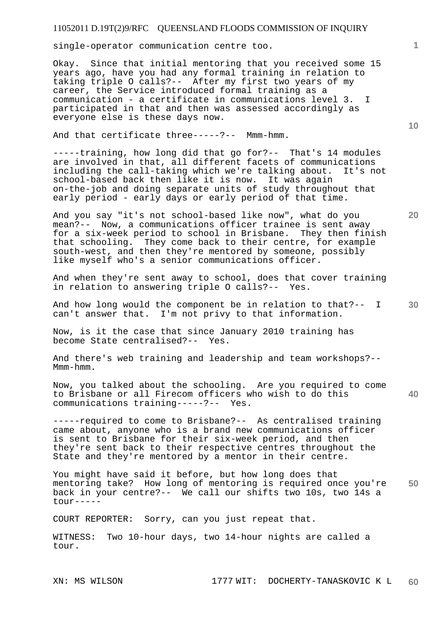single-operator communication centre too.

Okay. Since that initial mentoring that you received some 15 years ago, have you had any formal training in relation to taking triple O calls?-- After my first two years of my career, the Service introduced formal training as a communication - a certificate in communications level 3. I participated in that and then was assessed accordingly as everyone else is these days now.

And that certificate three-----?-- Mmm-hmm.

-----training, how long did that go for?-- That's 14 modules are involved in that, all different facets of communications including the call-taking which we're talking about. It's not school-based back then like it is now. It was again on-the-job and doing separate units of study throughout that early period - early days or early period of that time.

And you say "it's not school-based like now", what do you mean?-- Now, a communications officer trainee is sent away for a six-week period to school in Brisbane. They then finish that schooling. They come back to their centre, for example south-west, and then they're mentored by someone, possibly like myself who's a senior communications officer.

And when they're sent away to school, does that cover training in relation to answering triple O calls?-- Yes.

**30**  And how long would the component be in relation to that?-- I can't answer that. I'm not privy to that information.

Now, is it the case that since January 2010 training has become State centralised?-- Yes.

And there's web training and leadership and team workshops?-- Mmm-hmm.

**40**  Now, you talked about the schooling. Are you required to come to Brisbane or all Firecom officers who wish to do this communications training-----?-- Yes. communications training-----?--

-----required to come to Brisbane?-- As centralised training came about, anyone who is a brand new communications officer is sent to Brisbane for their six-week period, and then they're sent back to their respective centres throughout the State and they're mentored by a mentor in their centre.

**50**  You might have said it before, but how long does that mentoring take? How long of mentoring is required once you're back in your centre?-- We call our shifts two 10s, two 14s a tour-----

COURT REPORTER: Sorry, can you just repeat that.

WITNESS: Two 10-hour days, two 14-hour nights are called a tour.

**10**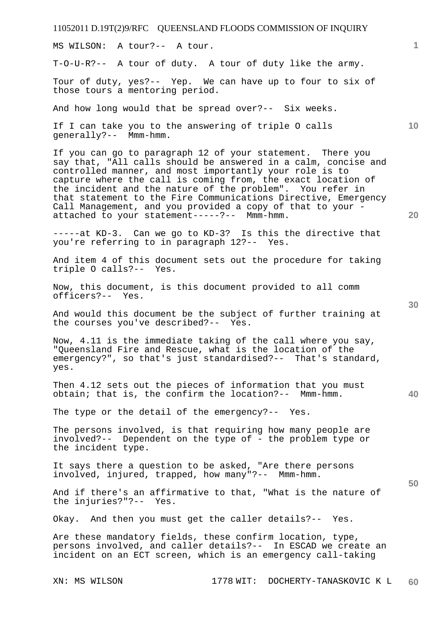MS WILSON: A tour?-- A tour.

T-O-U-R?-- A tour of duty. A tour of duty like the army.

Tour of duty, yes?-- Yep. We can have up to four to six of those tours a mentoring period.

And how long would that be spread over?-- Six weeks.

If I can take you to the answering of triple O calls generally?-- Mmm-hmm.

If you can go to paragraph 12 of your statement. There you say that, "All calls should be answered in a calm, concise and controlled manner, and most importantly your role is to capture where the call is coming from, the exact location of the incident and the nature of the problem". You refer in that statement to the Fire Communications Directive, Emergency Call Management, and you provided a copy of that to your attached to your statement-----?-- Mmm-hmm.

-----at KD-3. Can we go to KD-3? Is this the directive that you're referring to in paragraph 12?-- Yes.

And item 4 of this document sets out the procedure for taking triple O calls?-- Yes.

Now, this document, is this document provided to all comm officers?-- Yes.

And would this document be the subject of further training at the courses you've described?-- Yes.

Now, 4.11 is the immediate taking of the call where you say, "Queensland Fire and Rescue, what is the location of the emergency?", so that's just standardised?-- That's standard, yes.

Then 4.12 sets out the pieces of information that you must obtain; that is, the confirm the location?-- Mmm-hmm.

The type or the detail of the emergency?-- Yes.

The persons involved, is that requiring how many people are involved?-- Dependent on the type of - the problem type or the incident type.

It says there a question to be asked, "Are there persons involved, injured, trapped, how many"?-- Mmm-hmm.

And if there's an affirmative to that, "What is the nature of the injuries?"?-- Yes. the injuries?"?--

Okay. And then you must get the caller details?-- Yes.

Are these mandatory fields, these confirm location, type, persons involved, and caller details?-- In ESCAD we create an incident on an ECT screen, which is an emergency call-taking

**1**

**10** 

**20** 

**40**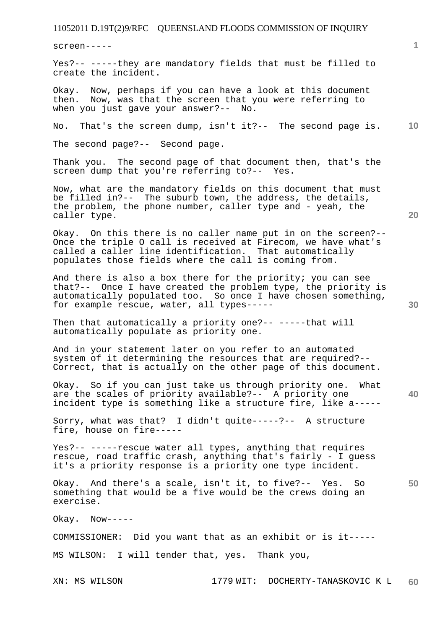screen-----

Yes?-- -----they are mandatory fields that must be filled to create the incident.

Okay. Now, perhaps if you can have a look at this document then. Now, was that the screen that you were referring to when you just gave your answer?-- No.

**10**  No. That's the screen dump, isn't it?-- The second page is.

The second page?-- Second page.

Thank you. The second page of that document then, that's the screen dump that you're referring to?-- Yes.

Now, what are the mandatory fields on this document that must be filled in?-- The suburb town, the address, the details, the problem, the phone number, caller type and - yeah, the caller type.

Okay. On this there is no caller name put in on the screen?-- Once the triple O call is received at Firecom, we have what's called a caller line identification. That automatically populates those fields where the call is coming from.

And there is also a box there for the priority; you can see that?-- Once I have created the problem type, the priority is automatically populated too. So once I have chosen something, for example rescue, water, all types-----

Then that automatically a priority one?-- -----that will automatically populate as priority one.

And in your statement later on you refer to an automated system of it determining the resources that are required?-- Correct, that is actually on the other page of this document.

**40**  Okay. So if you can just take us through priority one. What are the scales of priority available?-- A priority one incident type is something like a structure fire, like a-----

Sorry, what was that? I didn't quite-----?-- A structure fire, house on fire-----

Yes?-- -----rescue water all types, anything that requires rescue, road traffic crash, anything that's fairly - I guess it's a priority response is a priority one type incident.

**50**  Okay. And there's a scale, isn't it, to five?-- Yes. So something that would be a five would be the crews doing an exercise.

Okay. Now-----

COMMISSIONER: Did you want that as an exhibit or is it-----

MS WILSON: I will tender that, yes. Thank you,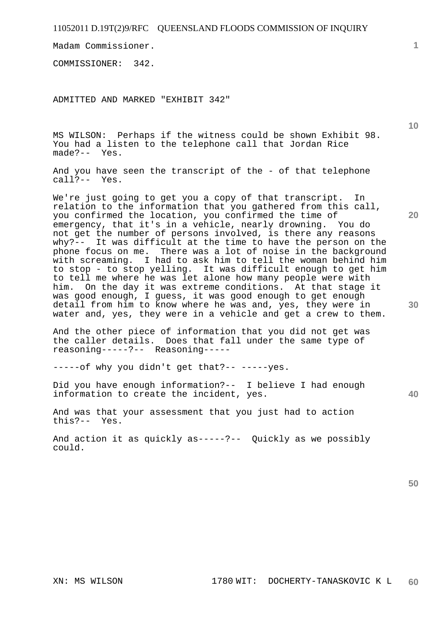Madam Commissioner.

COMMISSIONER: 342.

ADMITTED AND MARKED "EXHIBIT 342"

MS WILSON: Perhaps if the witness could be shown Exhibit 98. You had a listen to the telephone call that Jordan Rice made?-- Yes.

And you have seen the transcript of the - of that telephone call?-- Yes.

We're just going to get you a copy of that transcript. In relation to the information that you gathered from this call, you confirmed the location, you confirmed the time of emergency, that it's in a vehicle, nearly drowning. You do not get the number of persons involved, is there any reasons why?-- It was difficult at the time to have the person on the phone focus on me. There was a lot of noise in the background with screaming. I had to ask him to tell the woman behind him to stop - to stop yelling. It was difficult enough to get him to tell me where he was let alone how many people were with him. On the day it was extreme conditions. At that stage it was good enough, I guess, it was good enough to get enough detail from him to know where he was and, yes, they were in water and, yes, they were in a vehicle and get a crew to them.

And the other piece of information that you did not get was the caller details. Does that fall under the same type of reasoning-----?-- Reasoning-----

-----of why you didn't get that?-- -----yes.

Did you have enough information?-- I believe I had enough information to create the incident, yes.

And was that your assessment that you just had to action this?-- Yes.

And action it as quickly as-----?-- Quickly as we possibly could.

**50** 

**10** 

**20** 

**30** 

**1**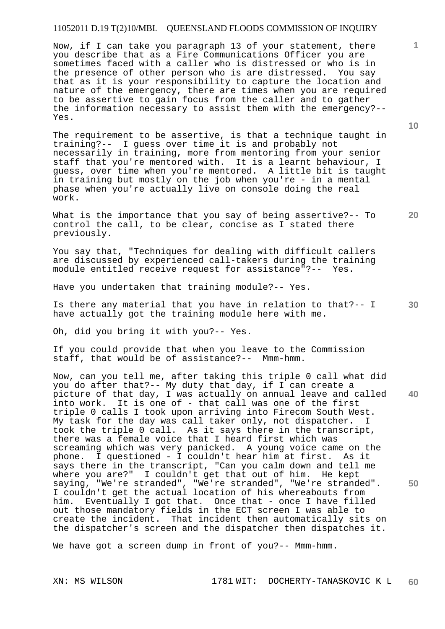Now, if I can take you paragraph 13 of your statement, there you describe that as a Fire Communications Officer you are sometimes faced with a caller who is distressed or who is in the presence of other person who is are distressed. You say that as it is your responsibility to capture the location and nature of the emergency, there are times when you are required to be assertive to gain focus from the caller and to gather the information necessary to assist them with the emergency?-- Yes.

The requirement to be assertive, is that a technique taught in training?-- I guess over time it is and probably not necessarily in training, more from mentoring from your senior staff that you're mentored with. It is a learnt behaviour, I guess, over time when you're mentored. A little bit is taught in training but mostly on the job when you're - in a mental phase when you're actually live on console doing the real work.

What is the importance that you say of being assertive?-- To control the call, to be clear, concise as I stated there previously.

You say that, "Techniques for dealing with difficult callers are discussed by experienced call-takers during the training module entitled receive request for assistance"?-- Yes.

Have you undertaken that training module?-- Yes.

**30**  Is there any material that you have in relation to that?-- I have actually got the training module here with me.

Oh, did you bring it with you?-- Yes.

If you could provide that when you leave to the Commission staff, that would be of assistance?-- Mmm-hmm.

**40 50**  Now, can you tell me, after taking this triple 0 call what did you do after that?-- My duty that day, if I can create a picture of that day, I was actually on annual leave and called into work. It is one of - that call was one of the first triple 0 calls I took upon arriving into Firecom South West. My task for the day was call taker only, not dispatcher. I took the triple 0 call. As it says there in the transcript, there was a female voice that I heard first which was screaming which was very panicked. A young voice came on the phone. I questioned - I couldn't hear him at first. As it says there in the transcript, "Can you calm down and tell me where you are?" I couldn't get that out of him. He kept saying, "We're stranded", "We're stranded", "We're stranded". I couldn't get the actual location of his whereabouts from him. Eventually I got that. Once that - once I have filled out those mandatory fields in the ECT screen I was able to create the incident. That incident then automatically sits on the dispatcher's screen and the dispatcher then dispatches it.

We have got a screen dump in front of you?-- Mmm-hmm.

**10** 

**1**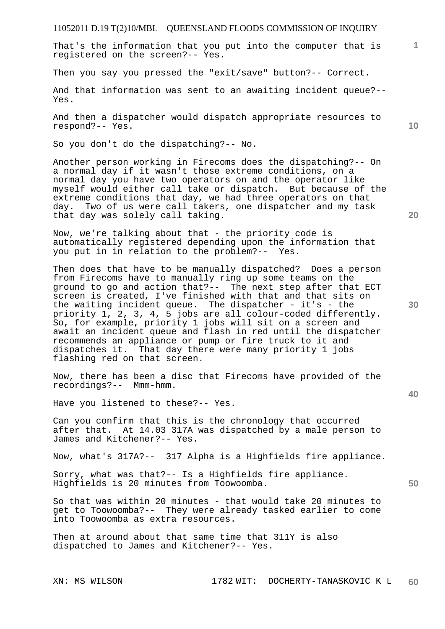That's the information that you put into the computer that is registered on the screen?-- Yes.

Then you say you pressed the "exit/save" button?-- Correct.

And that information was sent to an awaiting incident queue?-- Yes.

And then a dispatcher would dispatch appropriate resources to respond?-- Yes.

So you don't do the dispatching?-- No.

Another person working in Firecoms does the dispatching?-- On a normal day if it wasn't those extreme conditions, on a normal day you have two operators on and the operator like myself would either call take or dispatch. But because of the extreme conditions that day, we had three operators on that day. Two of us were call takers, one dispatcher and my task that day was solely call taking.

Now, we're talking about that - the priority code is automatically registered depending upon the information that you put in in relation to the problem?-- Yes.

Then does that have to be manually dispatched? Does a person from Firecoms have to manually ring up some teams on the ground to go and action that?-- The next step after that ECT screen is created, I've finished with that and that sits on the waiting incident queue. The dispatcher - it's - the priority 1, 2, 3, 4, 5 jobs are all colour-coded differently. So, for example, priority 1 jobs will sit on a screen and await an incident queue and flash in red until the dispatcher recommends an appliance or pump or fire truck to it and dispatches it. That day there were many priority 1 jobs flashing red on that screen.

Now, there has been a disc that Firecoms have provided of the recordings?-- Mmm-hmm.

Have you listened to these?-- Yes.

Can you confirm that this is the chronology that occurred after that. At 14.03 317A was dispatched by a male person to James and Kitchener?-- Yes.

Now, what's 317A?-- 317 Alpha is a Highfields fire appliance.

Sorry, what was that?-- Is a Highfields fire appliance. Highfields is 20 minutes from Toowoomba.

So that was within 20 minutes - that would take 20 minutes to get to Toowoomba?-- They were already tasked earlier to come into Toowoomba as extra resources.

Then at around about that same time that 311Y is also dispatched to James and Kitchener?-- Yes.

**10** 

**1**

**20** 

**30** 

**40**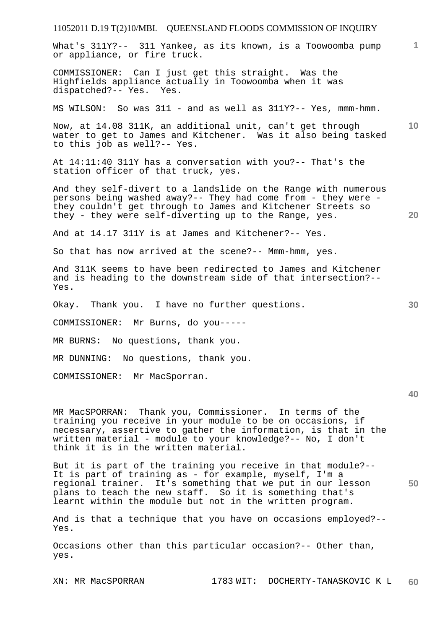| 11052011 D.19 T(2)10/MBL QUEENSLAND FLOODS COMMISSION OF INQUIRY                                                                                                                                                                                        |                 |
|---------------------------------------------------------------------------------------------------------------------------------------------------------------------------------------------------------------------------------------------------------|-----------------|
| What's 311Y?-- 311 Yankee, as its known, is a Toowoomba pump<br>or appliance, or fire truck.                                                                                                                                                            | $\mathbf{1}$    |
| COMMISSIONER: Can I just get this straight. Was the<br>Highfields appliance actually in Toowoomba when it was<br>dispatched?-- Yes. Yes.                                                                                                                |                 |
| MS WILSON: So was 311 - and as well as 311Y?-- Yes, mmm-hmm.                                                                                                                                                                                            |                 |
| Now, at 14.08 311K, an additional unit, can't get through<br>water to get to James and Kitchener. Was it also being tasked<br>to this job as well?-- Yes.                                                                                               | 10 <sup>°</sup> |
| At 14:11:40 311Y has a conversation with you?-- That's the<br>station officer of that truck, yes.                                                                                                                                                       |                 |
| And they self-divert to a landslide on the Range with numerous<br>persons being washed away?-- They had come from - they were -<br>they couldn't get through to James and Kitchener Streets so<br>they - they were self-diverting up to the Range, yes. | 20              |
| And at 14.17 311Y is at James and Kitchener?-- Yes.                                                                                                                                                                                                     |                 |
| So that has now arrived at the scene?-- Mmm-hmm, yes.                                                                                                                                                                                                   |                 |
| And 311K seems to have been redirected to James and Kitchener<br>and is heading to the downstream side of that intersection?--<br>Yes.                                                                                                                  |                 |
| Okay. Thank you. I have no further questions.                                                                                                                                                                                                           | 30              |
| COMMISSIONER: Mr Burns, do you-----                                                                                                                                                                                                                     |                 |
| MR BURNS: No questions, thank you.                                                                                                                                                                                                                      |                 |
| MR DUNNING: No questions, thank you.                                                                                                                                                                                                                    |                 |
| COMMISSIONER: Mr MacSporran.                                                                                                                                                                                                                            |                 |
|                                                                                                                                                                                                                                                         | 40              |
| MR MacSPORRAN: Thank you, Commissioner. In terms of the<br>training you receive in your module to be on occasions, if                                                                                                                                   |                 |

training you receive in your module to be on occasions, if necessary, assertive to gather the information, is that in the written material - module to your knowledge?-- No, I don't think it is in the written material.

But it is part of the training you receive in that module?-- It is part of training as - for example, myself, I'm a regional trainer. It's something that we put in our lesson plans to teach the new staff. So it is something that's learnt within the module but not in the written program.

And is that a technique that you have on occasions employed?-- Yes.

Occasions other than this particular occasion?-- Other than, yes.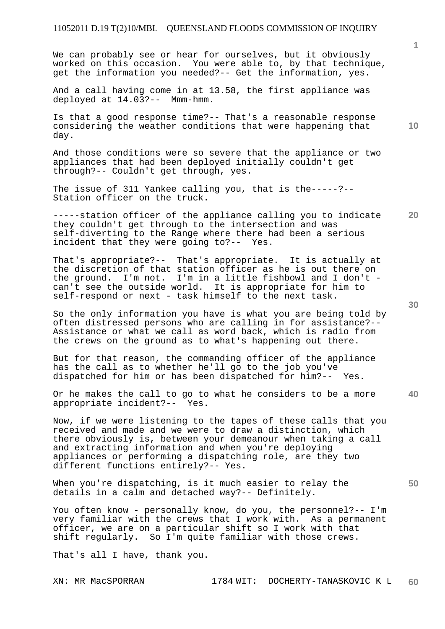We can probably see or hear for ourselves, but it obviously worked on this occasion. You were able to, by that technique, get the information you needed?-- Get the information, yes.

And a call having come in at 13.58, the first appliance was deployed at 14.03?-- Mmm-hmm.

Is that a good response time?-- That's a reasonable response considering the weather conditions that were happening that day.

And those conditions were so severe that the appliance or two appliances that had been deployed initially couldn't get through?-- Couldn't get through, yes.

The issue of 311 Yankee calling you, that is the-----?-- Station officer on the truck.

**20**  -----station officer of the appliance calling you to indicate they couldn't get through to the intersection and was self-diverting to the Range where there had been a serious incident that they were going to?-- Yes.

That's appropriate?-- That's appropriate. It is actually at the discretion of that station officer as he is out there on the ground. I'm not. I'm in a little fishbowl and I don't can't see the outside world. It is appropriate for him to self-respond or next - task himself to the next task.

So the only information you have is what you are being told by often distressed persons who are calling in for assistance?-- Assistance or what we call as word back, which is radio from the crews on the ground as to what's happening out there.

But for that reason, the commanding officer of the appliance has the call as to whether he'll go to the job you've dispatched for him or has been dispatched for him?-- Yes.

**40**  Or he makes the call to go to what he considers to be a more appropriate incident?-- Yes. appropriate incident?--

Now, if we were listening to the tapes of these calls that you received and made and we were to draw a distinction, which there obviously is, between your demeanour when taking a call and extracting information and when you're deploying appliances or performing a dispatching role, are they two different functions entirely?-- Yes.

When you're dispatching, is it much easier to relay the details in a calm and detached way?-- Definitely.

You often know - personally know, do you, the personnel?-- I'm very familiar with the crews that I work with. As a permanent officer, we are on a particular shift so I work with that shift regularly. So I'm quite familiar with those crews.

That's all I have, thank you.

**10** 

**30**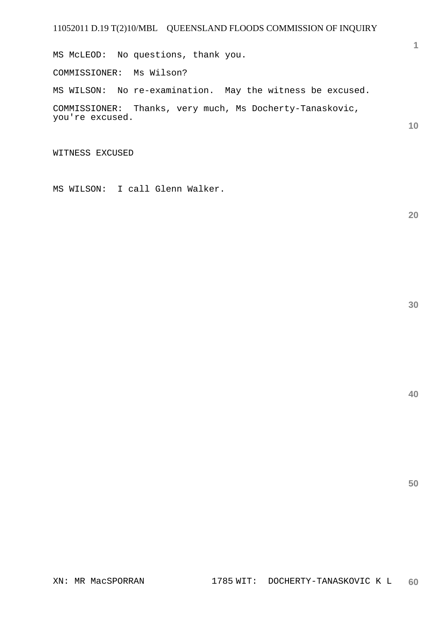MS McLEOD: No questions, thank you. COMMISSIONER: Ms Wilson? MS WILSON: No re-examination. May the witness be excused. COMMISSIONER: Thanks, very much, Ms Docherty-Tanaskovic, you're excused.

WITNESS EXCUSED

MS WILSON: I call Glenn Walker.

**20** 

**1**

**10** 

**30**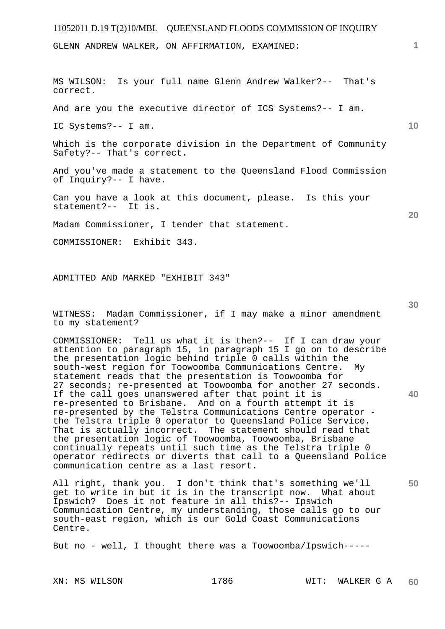GLENN ANDREW WALKER, ON AFFIRMATION, EXAMINED:

MS WILSON: Is your full name Glenn Andrew Walker?-- That's correct. And are you the executive director of ICS Systems?-- I am. IC Systems?-- I am. Which is the corporate division in the Department of Community Safety?-- That's correct. And you've made a statement to the Queensland Flood Commission of Inquiry?-- I have. Can you have a look at this document, please. Is this your statement?-- It is. Madam Commissioner, I tender that statement. COMMISSIONER: Exhibit 343.

ADMITTED AND MARKED "EXHIBIT 343"

WITNESS: Madam Commissioner, if I may make a minor amendment to my statement?

COMMISSIONER: Tell us what it is then?-- If I can draw your attention to paragraph 15, in paragraph 15 I go on to describe the presentation logic behind triple 0 calls within the south-west region for Toowoomba Communications Centre. My statement reads that the presentation is Toowoomba for 27 seconds; re-presented at Toowoomba for another 27 seconds. If the call goes unanswered after that point it is re-presented to Brisbane. And on a fourth attempt it is re-presented by the Telstra Communications Centre operator the Telstra triple 0 operator to Queensland Police Service. That is actually incorrect. The statement should read that the presentation logic of Toowoomba, Toowoomba, Brisbane continually repeats until such time as the Telstra triple 0 operator redirects or diverts that call to a Queensland Police communication centre as a last resort.

All right, thank you. I don't think that's something we'll get to write in but it is in the transcript now. What about Ipswich? Does it not feature in all this?-- Ipswich Communication Centre, my understanding, those calls go to our south-east region, which is our Gold Coast Communications Centre.

But no - well, I thought there was a Toowoomba/Ipswich-----

**1**

**10** 

**20** 

**50**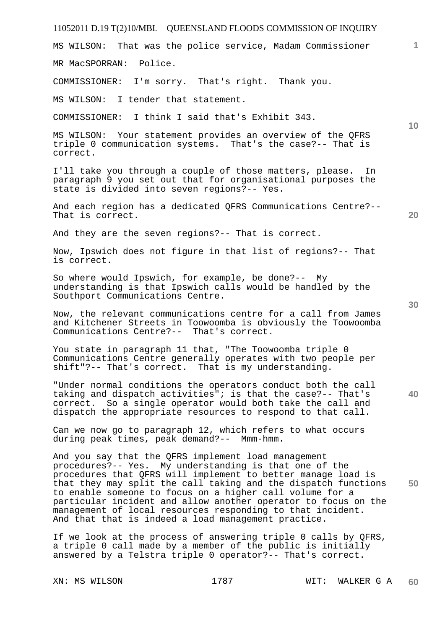# 11052011 D.19 T(2)10/MBL QUEENSLAND FLOODS COMMISSION OF INQUIRY **1 10 20 30 40 50**  MS WILSON: That was the police service, Madam Commissioner MR MacSPORRAN: Police. COMMISSIONER: I'm sorry. That's right. Thank you. MS WILSON: I tender that statement. COMMISSIONER: I think I said that's Exhibit 343. MS WILSON: Your statement provides an overview of the QFRS triple 0 communication systems. That's the case?-- That is correct. I'll take you through a couple of those matters, please. In paragraph 9 you set out that for organisational purposes the state is divided into seven regions?-- Yes. And each region has a dedicated QFRS Communications Centre?-- That is correct. And they are the seven regions?-- That is correct. Now, Ipswich does not figure in that list of regions?-- That is correct. So where would Ipswich, for example, be done?-- My understanding is that Ipswich calls would be handled by the Southport Communications Centre. Now, the relevant communications centre for a call from James and Kitchener Streets in Toowoomba is obviously the Toowoomba Communications Centre?-- That's correct. You state in paragraph 11 that, "The Toowoomba triple 0 Communications Centre generally operates with two people per shift"?-- That's correct. That is my understanding. "Under normal conditions the operators conduct both the call taking and dispatch activities"; is that the case?-- That's correct. So a single operator would both take the call and dispatch the appropriate resources to respond to that call. Can we now go to paragraph 12, which refers to what occurs during peak times, peak demand?-- Mmm-hmm. And you say that the QFRS implement load management procedures?-- Yes. My understanding is that one of the procedures that QFRS will implement to better manage load is that they may split the call taking and the dispatch functions to enable someone to focus on a higher call volume for a particular incident and allow another operator to focus on the management of local resources responding to that incident. And that that is indeed a load management practice. If we look at the process of answering triple 0 calls by QFRS, a triple 0 call made by a member of the public is initially answered by a Telstra triple 0 operator?-- That's correct.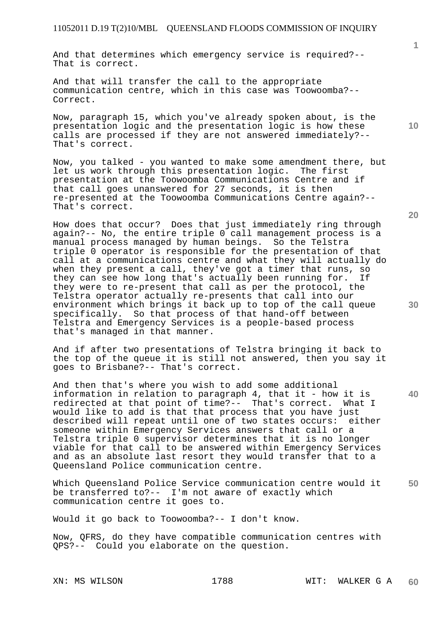And that determines which emergency service is required?-- That is correct.

And that will transfer the call to the appropriate communication centre, which in this case was Toowoomba?-- Correct.

Now, paragraph 15, which you've already spoken about, is the presentation logic and the presentation logic is how these calls are processed if they are not answered immediately?-- That's correct.

Now, you talked - you wanted to make some amendment there, but let us work through this presentation logic. The first presentation at the Toowoomba Communications Centre and if that call goes unanswered for 27 seconds, it is then re-presented at the Toowoomba Communications Centre again?-- That's correct.

How does that occur? Does that just immediately ring through again?-- No, the entire triple 0 call management process is a manual process managed by human beings. So the Telstra triple 0 operator is responsible for the presentation of that call at a communications centre and what they will actually do when they present a call, they've got a timer that runs, so they can see how long that's actually been running for. If they were to re-present that call as per the protocol, the Telstra operator actually re-presents that call into our environment which brings it back up to top of the call queue specifically. So that process of that hand-off between Telstra and Emergency Services is a people-based process that's managed in that manner.

And if after two presentations of Telstra bringing it back to the top of the queue it is still not answered, then you say it goes to Brisbane?-- That's correct.

And then that's where you wish to add some additional information in relation to paragraph 4, that it - how it is redirected at that point of time?-- That's correct. What I would like to add is that that process that you have just described will repeat until one of two states occurs: either someone within Emergency Services answers that call or a Telstra triple 0 supervisor determines that it is no longer viable for that call to be answered within Emergency Services and as an absolute last resort they would transfer that to a Queensland Police communication centre.

**50**  Which Queensland Police Service communication centre would it be transferred to?-- I'm not aware of exactly which communication centre it goes to.

Would it go back to Toowoomba?-- I don't know.

Now, QFRS, do they have compatible communication centres with QPS?-- Could you elaborate on the question.

**10** 

**1**

**20**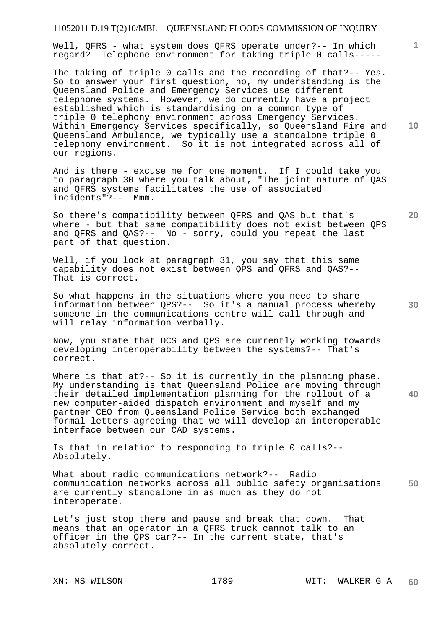Well, QFRS - what system does QFRS operate under?-- In which regard? Telephone environment for taking triple 0 calls-----

The taking of triple 0 calls and the recording of that?-- Yes. So to answer your first question, no, my understanding is the Queensland Police and Emergency Services use different telephone systems. However, we do currently have a project established which is standardising on a common type of triple 0 telephony environment across Emergency Services. Within Emergency Services specifically, so Queensland Fire and Queensland Ambulance, we typically use a standalone triple 0 telephony environment. So it is not integrated across all of our regions.

And is there - excuse me for one moment. If I could take you to paragraph 30 where you talk about, "The joint nature of QAS and QFRS systems facilitates the use of associated incidents"?-- Mmm.

So there's compatibility between QFRS and QAS but that's where - but that same compatibility does not exist between QPS and QFRS and QAS?-- No - sorry, could you repeat the last part of that question.

Well, if you look at paragraph 31, you say that this same capability does not exist between QPS and QFRS and QAS?-- That is correct.

So what happens in the situations where you need to share information between QPS?-- So it's a manual process whereby someone in the communications centre will call through and will relay information verbally.

Now, you state that DCS and QPS are currently working towards developing interoperability between the systems?-- That's correct.

Where is that at?-- So it is currently in the planning phase. My understanding is that Queensland Police are moving through their detailed implementation planning for the rollout of a new computer-aided dispatch environment and myself and my partner CEO from Queensland Police Service both exchanged formal letters agreeing that we will develop an interoperable interface between our CAD systems.

Is that in relation to responding to triple 0 calls?-- Absolutely.

**50**  What about radio communications network?-- Radio communication networks across all public safety organisations are currently standalone in as much as they do not interoperate.

Let's just stop there and pause and break that down. That means that an operator in a QFRS truck cannot talk to an officer in the QPS car?-- In the current state, that's absolutely correct.

**10** 

**1**

**30** 

**40**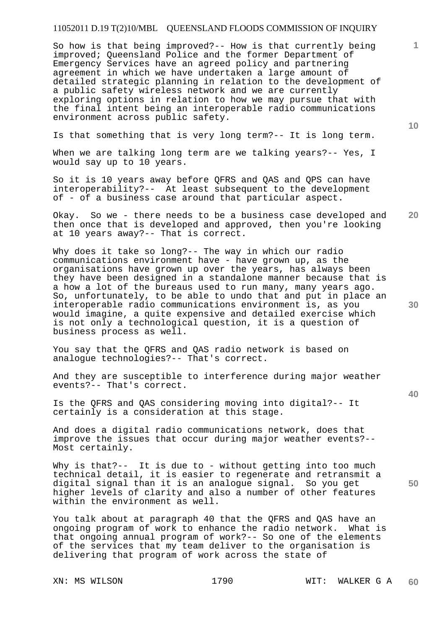So how is that being improved?-- How is that currently being improved; Queensland Police and the former Department of Emergency Services have an agreed policy and partnering agreement in which we have undertaken a large amount of detailed strategic planning in relation to the development of a public safety wireless network and we are currently exploring options in relation to how we may pursue that with the final intent being an interoperable radio communications environment across public safety.

Is that something that is very long term?-- It is long term.

When we are talking long term are we talking years?-- Yes, I would say up to 10 years.

So it is 10 years away before QFRS and QAS and QPS can have interoperability?-- At least subsequent to the development of - of a business case around that particular aspect.

**20**  Okay. So we - there needs to be a business case developed and then once that is developed and approved, then you're looking at 10 years away?-- That is correct.

Why does it take so long?-- The way in which our radio communications environment have - have grown up, as the organisations have grown up over the years, has always been they have been designed in a standalone manner because that is a how a lot of the bureaus used to run many, many years ago. So, unfortunately, to be able to undo that and put in place an interoperable radio communications environment is, as you would imagine, a quite expensive and detailed exercise which is not only a technological question, it is a question of business process as well.

You say that the QFRS and QAS radio network is based on analogue technologies?-- That's correct.

And they are susceptible to interference during major weather events?-- That's correct.

Is the QFRS and QAS considering moving into digital?-- It certainly is a consideration at this stage.

And does a digital radio communications network, does that improve the issues that occur during major weather events?-- Most certainly.

Why is that?-- It is due to - without getting into too much technical detail, it is easier to regenerate and retransmit a digital signal than it is an analogue signal. So you get higher levels of clarity and also a number of other features within the environment as well.

You talk about at paragraph 40 that the QFRS and QAS have an ongoing program of work to enhance the radio network. What is that ongoing annual program of work?-- So one of the elements of the services that my team deliver to the organisation is delivering that program of work across the state of

**10** 

**1**

**40** 

**30**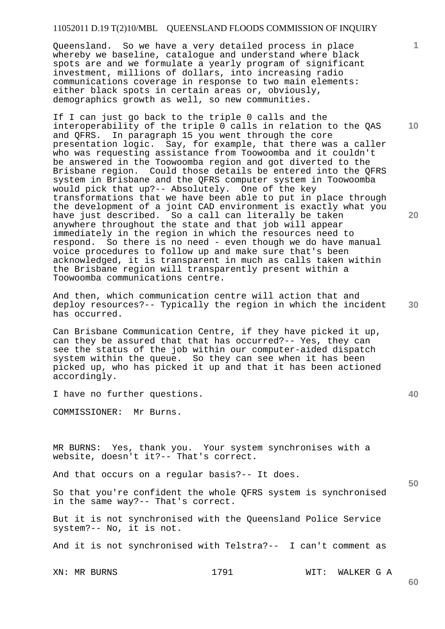Queensland. So we have a very detailed process in place whereby we baseline, catalogue and understand where black spots are and we formulate a yearly program of significant investment, millions of dollars, into increasing radio communications coverage in response to two main elements: either black spots in certain areas or, obviously, demographics growth as well, so new communities.

If I can just go back to the triple 0 calls and the interoperability of the triple 0 calls in relation to the QAS and QFRS. In paragraph 15 you went through the core presentation logic. Say, for example, that there was a caller who was requesting assistance from Toowoomba and it couldn't be answered in the Toowoomba region and got diverted to the Brisbane region. Could those details be entered into the QFRS system in Brisbane and the QFRS computer system in Toowoomba would pick that up?-- Absolutely. One of the key transformations that we have been able to put in place through the development of a joint CAD environment is exactly what you have just described. So a call can literally be taken anywhere throughout the state and that job will appear immediately in the region in which the resources need to respond. So there is no need - even though we do have manual voice procedures to follow up and make sure that's been acknowledged, it is transparent in much as calls taken within the Brisbane region will transparently present within a Toowoomba communications centre.

And then, which communication centre will action that and deploy resources?-- Typically the region in which the incident has occurred.

Can Brisbane Communication Centre, if they have picked it up, can they be assured that that has occurred?-- Yes, they can see the status of the job within our computer-aided dispatch system within the queue. So they can see when it has been picked up, who has picked it up and that it has been actioned accordingly.

I have no further questions.

COMMISSIONER: Mr Burns.

MR BURNS: Yes, thank you. Your system synchronises with a website, doesn't it?-- That's correct.

And that occurs on a regular basis?-- It does.

So that you're confident the whole QFRS system is synchronised in the same way?-- That's correct.

But it is not synchronised with the Queensland Police Service system?-- No, it is not.

And it is not synchronised with Telstra?-- I can't comment as

XN: MR BURNS 1791 WIT: WALKER G A

**20** 

**10** 

**40**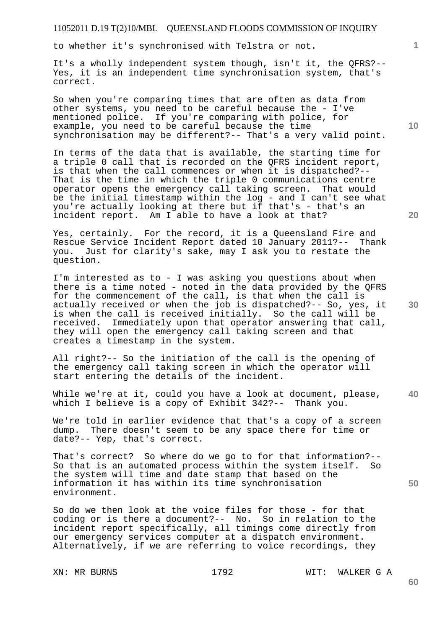to whether it's synchronised with Telstra or not.

It's a wholly independent system though, isn't it, the QFRS?-- Yes, it is an independent time synchronisation system, that's correct.

So when you're comparing times that are often as data from other systems, you need to be careful because the - I've mentioned police. If you're comparing with police, for example, you need to be careful because the time synchronisation may be different?-- That's a very valid point.

In terms of the data that is available, the starting time for a triple 0 call that is recorded on the QFRS incident report, is that when the call commences or when it is dispatched?-- That is the time in which the triple 0 communications centre operator opens the emergency call taking screen. That would be the initial timestamp within the log - and I can't see what you're actually looking at there but if that's - that's an incident report. Am I able to have a look at that?

Yes, certainly. For the record, it is a Queensland Fire and Rescue Service Incident Report dated 10 January 2011?-- Thank you. Just for clarity's sake, may I ask you to restate the question.

I'm interested as to - I was asking you questions about when there is a time noted - noted in the data provided by the QFRS for the commencement of the call, is that when the call is actually received or when the job is dispatched?-- So, yes, it is when the call is received initially. So the call will be received. Immediately upon that operator answering that call, they will open the emergency call taking screen and that creates a timestamp in the system.

All right?-- So the initiation of the call is the opening of the emergency call taking screen in which the operator will start entering the details of the incident.

**40**  While we're at it, could you have a look at document, please, which I believe is a copy of Exhibit 342?-- Thank you.

We're told in earlier evidence that that's a copy of a screen dump. There doesn't seem to be any space there for time or date?-- Yep, that's correct.

That's correct? So where do we go to for that information?-- So that is an automated process within the system itself. So the system will time and date stamp that based on the information it has within its time synchronisation environment.

So do we then look at the voice files for those - for that coding or is there a document?-- No. So in relation to the incident report specifically, all timings come directly from our emergency services computer at a dispatch environment. Alternatively, if we are referring to voice recordings, they

XN: MR BURNS 1792 WIT: WALKER G A

**20** 

**10** 

**1**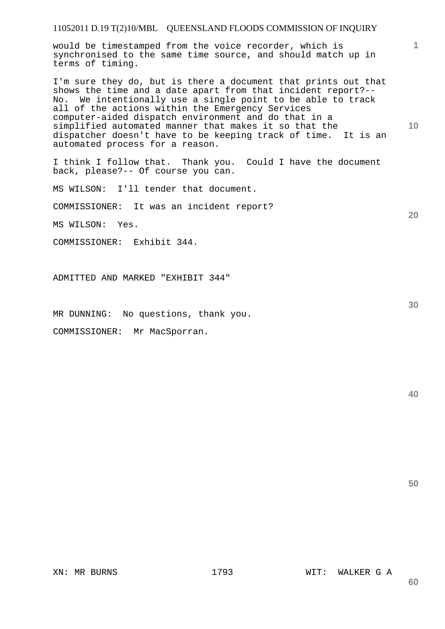would be timestamped from the voice recorder, which is synchronised to the same time source, and should match up in terms of timing.

I'm sure they do, but is there a document that prints out that shows the time and a date apart from that incident report?-- No. We intentionally use a single point to be able to track all of the actions within the Emergency Services computer-aided dispatch environment and do that in a simplified automated manner that makes it so that the dispatcher doesn't have to be keeping track of time. It is an automated process for a reason.

I think I follow that. Thank you. Could I have the document back, please?-- Of course you can.

MS WILSON: I'll tender that document.

COMMISSIONER: It was an incident report?

MS WILSON: Yes.

COMMISSIONER: Exhibit 344.

ADMITTED AND MARKED "EXHIBIT 344"

MR DUNNING: No questions, thank you.

COMMISSIONER: Mr MacSporran.

**50** 

**1**

**10** 

**20** 

**30** 

**40**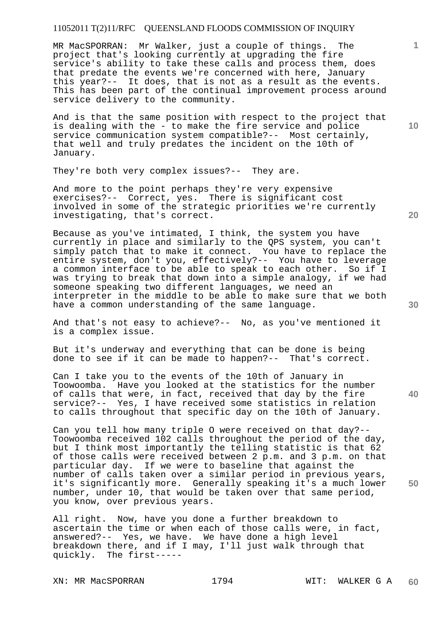MR MacSPORRAN: Mr Walker, just a couple of things. The project that's looking currently at upgrading the fire service's ability to take these calls and process them, does that predate the events we're concerned with here, January this year?-- It does, that is not as a result as the events. This has been part of the continual improvement process around service delivery to the community.

And is that the same position with respect to the project that is dealing with the - to make the fire service and police service communication system compatible?-- Most certainly, that well and truly predates the incident on the 10th of January.

They're both very complex issues?-- They are.

And more to the point perhaps they're very expensive exercises?-- Correct, yes. There is significant cost involved in some of the strategic priorities we're currently investigating, that's correct.

Because as you've intimated, I think, the system you have currently in place and similarly to the QPS system, you can't simply patch that to make it connect. You have to replace the entire system, don't you, effectively?-- You have to leverage a common interface to be able to speak to each other. So if I was trying to break that down into a simple analogy, if we had someone speaking two different languages, we need an interpreter in the middle to be able to make sure that we both have a common understanding of the same language.

And that's not easy to achieve?-- No, as you've mentioned it is a complex issue.

But it's underway and everything that can be done is being done to see if it can be made to happen?-- That's correct.

Can I take you to the events of the 10th of January in Toowoomba. Have you looked at the statistics for the number of calls that were, in fact, received that day by the fire service?-- Yes, I have received some statistics in relation to calls throughout that specific day on the 10th of January.

Can you tell how many triple O were received on that day?-- Toowoomba received 102 calls throughout the period of the day, but I think most importantly the telling statistic is that 62 of those calls were received between 2 p.m. and 3 p.m. on that particular day. If we were to baseline that against the number of calls taken over a similar period in previous years, it's significantly more. Generally speaking it's a much lower number, under 10, that would be taken over that same period, you know, over previous years.

All right. Now, have you done a further breakdown to ascertain the time or when each of those calls were, in fact, answered?-- Yes, we have. We have done a high level breakdown there, and if I may, I'll just walk through that quickly. The first-----

XN: MR MacSPORRAN 1794 WIT: WALKER G A

**10** 

**1**

**20** 

**40**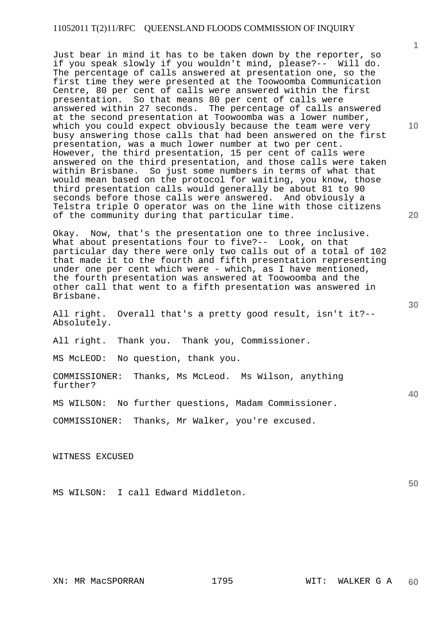Just bear in mind it has to be taken down by the reporter, so if you speak slowly if you wouldn't mind, please?-- Will do. The percentage of calls answered at presentation one, so the first time they were presented at the Toowoomba Communication Centre, 80 per cent of calls were answered within the first presentation. So that means 80 per cent of calls were answered within 27 seconds. The percentage of calls answered at the second presentation at Toowoomba was a lower number, which you could expect obviously because the team were very busy answering those calls that had been answered on the first presentation, was a much lower number at two per cent. However, the third presentation, 15 per cent of calls were answered on the third presentation, and those calls were taken within Brisbane. So just some numbers in terms of what that would mean based on the protocol for waiting, you know, those third presentation calls would generally be about 81 to 90 seconds before those calls were answered. And obviously a Telstra triple O operator was on the line with those citizens of the community during that particular time.

Okay. Now, that's the presentation one to three inclusive. What about presentations four to five?-- Look, on that particular day there were only two calls out of a total of 102 that made it to the fourth and fifth presentation representing under one per cent which were - which, as I have mentioned, the fourth presentation was answered at Toowoomba and the other call that went to a fifth presentation was answered in Brisbane.

All right. Overall that's a pretty good result, isn't it?-- Absolutely.

All right. Thank you. Thank you, Commissioner.

MS McLEOD: No question, thank you.

COMMISSIONER: Thanks, Ms McLeod. Ms Wilson, anything further?

MS WILSON: No further questions, Madam Commissioner.

COMMISSIONER: Thanks, Mr Walker, you're excused.

WITNESS EXCUSED

MS WILSON: I call Edward Middleton.

**10** 

**1**

**30** 

**40**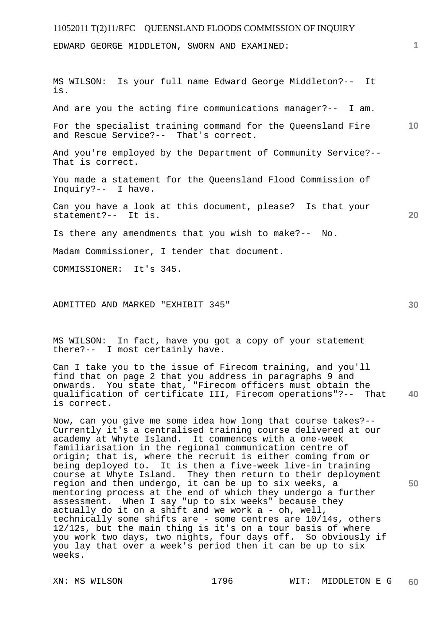EDWARD GEORGE MIDDLETON, SWORN AND EXAMINED:

**10 20**  MS WILSON: Is your full name Edward George Middleton?-- It is. And are you the acting fire communications manager?-- I am. For the specialist training command for the Queensland Fire and Rescue Service?-- That's correct. And you're employed by the Department of Community Service?-- That is correct. You made a statement for the Queensland Flood Commission of Inquiry?-- I have. Can you have a look at this document, please? Is that your statement?-- It is. Is there any amendments that you wish to make?-- No. Madam Commissioner, I tender that document.

COMMISSIONER: It's 345.

ADMITTED AND MARKED "EXHIBIT 345"

MS WILSON: In fact, have you got a copy of your statement there?-- I most certainly have.

**40**  Can I take you to the issue of Firecom training, and you'll find that on page 2 that you address in paragraphs 9 and onwards. You state that, "Firecom officers must obtain the qualification of certificate III, Firecom operations"?-- That is correct.

Now, can you give me some idea how long that course takes?-- Currently it's a centralised training course delivered at our academy at Whyte Island. It commences with a one-week familiarisation in the regional communication centre of origin; that is, where the recruit is either coming from or being deployed to. It is then a five-week live-in training course at Whyte Island. They then return to their deployment region and then undergo, it can be up to six weeks, a mentoring process at the end of which they undergo a further assessment. When I say "up to six weeks" because they actually do it on a shift and we work a - oh, well, technically some shifts are - some centres are 10/14s, others 12/12s, but the main thing is it's on a tour basis of where you work two days, two nights, four days off. So obviously if you lay that over a week's period then it can be up to six weeks.

**30** 

**50**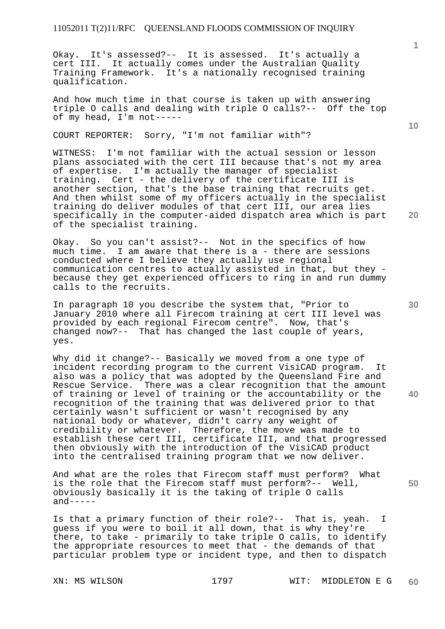Okay. It's assessed?-- It is assessed. It's actually a cert III. It actually comes under the Australian Quality Training Framework. It's a nationally recognised training qualification.

And how much time in that course is taken up with answering triple O calls and dealing with triple O calls?-- Off the top of my head, I'm not-----

COURT REPORTER: Sorry, "I'm not familiar with"?

WITNESS: I'm not familiar with the actual session or lesson plans associated with the cert III because that's not my area of expertise. I'm actually the manager of specialist training. Cert - the delivery of the certificate III is another section, that's the base training that recruits get. And then whilst some of my officers actually in the specialist training do deliver modules of that cert III, our area lies specifically in the computer-aided dispatch area which is part of the specialist training.

Okay. So you can't assist?-- Not in the specifics of how much time. I am aware that there is a - there are sessions conducted where I believe they actually use regional communication centres to actually assisted in that, but they because they get experienced officers to ring in and run dummy calls to the recruits.

In paragraph 10 you describe the system that, "Prior to January 2010 where all Firecom training at cert III level was provided by each regional Firecom centre". Now, that's changed now?-- That has changed the last couple of years, yes.

Why did it change?-- Basically we moved from a one type of incident recording program to the current VisiCAD program. It also was a policy that was adopted by the Queensland Fire and Rescue Service. There was a clear recognition that the amount of training or level of training or the accountability or the recognition of the training that was delivered prior to that certainly wasn't sufficient or wasn't recognised by any national body or whatever, didn't carry any weight of credibility or whatever. Therefore, the move was made to establish these cert III, certificate III, and that progressed then obviously with the introduction of the VisiCAD product into the centralised training program that we now deliver.

And what are the roles that Firecom staff must perform? What is the role that the Firecom staff must perform?-- Well, obviously basically it is the taking of triple O calls  $and----$ 

Is that a primary function of their role?-- That is, yeah. I guess if you were to boil it all down, that is why they're there, to take - primarily to take triple O calls, to identify the appropriate resources to meet that - the demands of that particular problem type or incident type, and then to dispatch

XN: MS WILSON 1797 WIT: MIDDLETON E G **60** 

**1**

**30** 

**40** 

**50**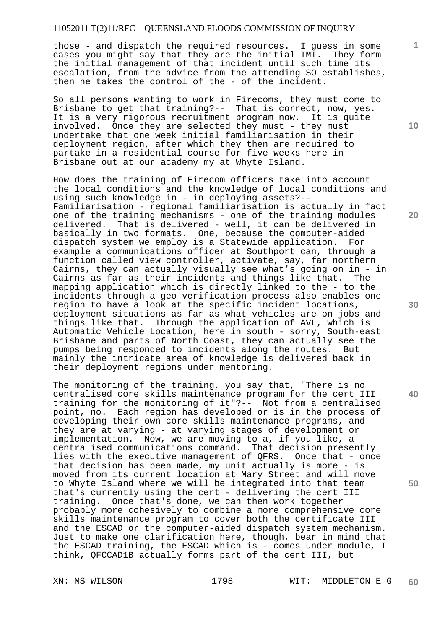those - and dispatch the required resources. I guess in some cases you might say that they are the initial IMT. They form the initial management of that incident until such time its escalation, from the advice from the attending SO establishes, then he takes the control of the - of the incident.

So all persons wanting to work in Firecoms, they must come to Brisbane to get that training?-- That is correct, now, yes. It is a very rigorous recruitment program now. It is quite involved. Once they are selected they must - they must undertake that one week initial familiarisation in their deployment region, after which they then are required to partake in a residential course for five weeks here in Brisbane out at our academy my at Whyte Island.

How does the training of Firecom officers take into account the local conditions and the knowledge of local conditions and using such knowledge in - in deploying assets?-- Familiarisation - regional familiarisation is actually in fact one of the training mechanisms - one of the training modules delivered. That is delivered - well, it can be delivered in basically in two formats. One, because the computer-aided dispatch system we employ is a Statewide application. For example a communications officer at Southport can, through a function called view controller, activate, say, far northern Cairns, they can actually visually see what's going on in - in Cairns as far as their incidents and things like that. The mapping application which is directly linked to the - to the incidents through a geo verification process also enables one region to have a look at the specific incident locations, deployment situations as far as what vehicles are on jobs and things like that. Through the application of AVL, which is Automatic Vehicle Location, here in south - sorry, South-east Brisbane and parts of North Coast, they can actually see the pumps being responded to incidents along the routes. But mainly the intricate area of knowledge is delivered back in their deployment regions under mentoring.

The monitoring of the training, you say that, "There is no centralised core skills maintenance program for the cert III training for the monitoring of it"?-- Not from a centralised point, no. Each region has developed or is in the process of developing their own core skills maintenance programs, and they are at varying - at varying stages of development or implementation. Now, we are moving to a, if you like, a centralised communications command. That decision presently lies with the executive management of QFRS. Once that - once that decision has been made, my unit actually is more - is moved from its current location at Mary Street and will move to Whyte Island where we will be integrated into that team that's currently using the cert - delivering the cert III training. Once that's done, we can then work together probably more cohesively to combine a more comprehensive core skills maintenance program to cover both the certificate III and the ESCAD or the computer-aided dispatch system mechanism. Just to make one clarification here, though, bear in mind that the ESCAD training, the ESCAD which is - comes under module, I think, QFCCAD1B actually forms part of the cert III, but

**1**

**20** 

**40**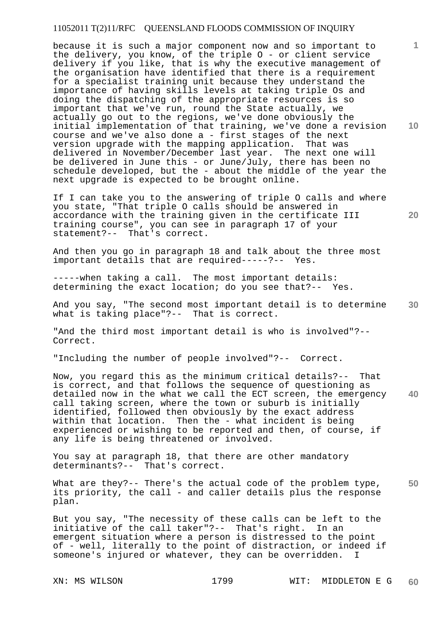**10**  because it is such a major component now and so important to the delivery, you know, of the triple O - or client service delivery if you like, that is why the executive management of the organisation have identified that there is a requirement for a specialist training unit because they understand the importance of having skills levels at taking triple Os and doing the dispatching of the appropriate resources is so important that we've run, round the State actually, we actually go out to the regions, we've done obviously the initial implementation of that training, we've done a revision course and we've also done a - first stages of the next version upgrade with the mapping application. That was delivered in November/December last year. The next one will be delivered in June this - or June/July, there has been no schedule developed, but the - about the middle of the year the next upgrade is expected to be brought online.

If I can take you to the answering of triple O calls and where you state, "That triple O calls should be answered in accordance with the training given in the certificate III training course", you can see in paragraph 17 of your statement?-- That's correct.

And then you go in paragraph 18 and talk about the three most important details that are required-----?-- Yes.

-----when taking a call. The most important details: determining the exact location; do you see that?-- Yes.

**30**  And you say, "The second most important detail is to determine what is taking place"?-- That is correct.

"And the third most important detail is who is involved"?-- Correct.

"Including the number of people involved"?-- Correct.

**40**  Now, you regard this as the minimum critical details?-- That is correct, and that follows the sequence of questioning as detailed now in the what we call the ECT screen, the emergency call taking screen, where the town or suburb is initially identified, followed then obviously by the exact address within that location. Then the - what incident is being experienced or wishing to be reported and then, of course, if any life is being threatened or involved.

You say at paragraph 18, that there are other mandatory determinants?-- That's correct.

**50**  What are they?-- There's the actual code of the problem type, its priority, the call - and caller details plus the response plan.

But you say, "The necessity of these calls can be left to the initiative of the call taker"?-- That's right. In an emergent situation where a person is distressed to the point of - well, literally to the point of distraction, or indeed if someone's injured or whatever, they can be overridden. I

**1**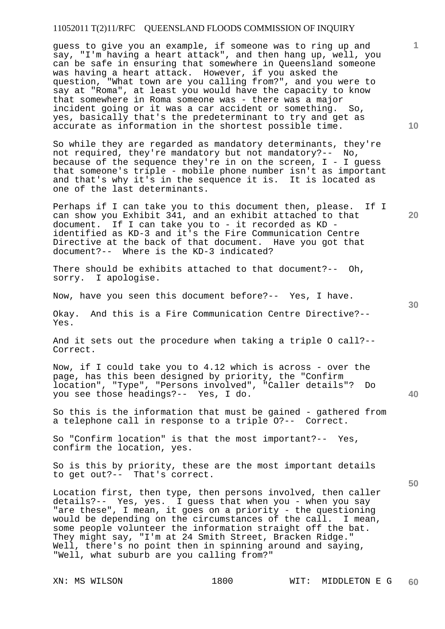guess to give you an example, if someone was to ring up and say, "I'm having a heart attack", and then hang up, well, you can be safe in ensuring that somewhere in Queensland someone was having a heart attack. However, if you asked the question, "What town are you calling from?", and you were to say at "Roma", at least you would have the capacity to know that somewhere in Roma someone was - there was a major incident going or it was a car accident or something. So, yes, basically that's the predeterminant to try and get as accurate as information in the shortest possible time.

So while they are regarded as mandatory determinants, they're not required, they're mandatory but not mandatory?-- No, because of the sequence they're in on the screen, I - I guess that someone's triple - mobile phone number isn't as important and that's why it's in the sequence it is. It is located as one of the last determinants.

Perhaps if I can take you to this document then, please. If I can show you Exhibit 341, and an exhibit attached to that document. If I can take you to - it recorded as KD identified as KD-3 and it's the Fire Communication Centre Directive at the back of that document. Have you got that document?-- Where is the KD-3 indicated?

There should be exhibits attached to that document?-- Oh, sorry. I apologise.

Now, have you seen this document before?-- Yes, I have.

Okay. And this is a Fire Communication Centre Directive?-- Yes.

And it sets out the procedure when taking a triple O call?-- Correct.

Now, if I could take you to  $4.12$  which is across - over the page, has this been designed by priority, the "Confirm location", "Type", "Persons involved", "Caller details"? Do you see those headings?-- Yes, I do.

So this is the information that must be gained - gathered from a telephone call in response to a triple O?-- Correct.

So "Confirm location" is that the most important?-- Yes, confirm the location, yes.

So is this by priority, these are the most important details to get out?-- That's correct.

Location first, then type, then persons involved, then caller details?-- Yes, yes. I guess that when you - when you say "are these", I mean, it goes on a priority - the questioning would be depending on the circumstances of the call. I mean, some people volunteer the information straight off the bat. They might say, "I'm at 24 Smith Street, Bracken Ridge." Well, there's no point then in spinning around and saying, "Well, what suburb are you calling from?"

**10** 

**1**

**20** 

**30** 

**50**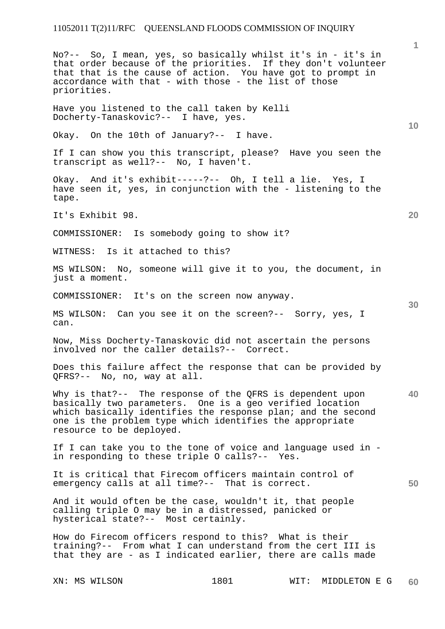XN: MS WILSON 1801 WIT: MIDDLETON E G **1 10 20 30 40 50 60**  No?-- So, I mean, yes, so basically whilst it's in - it's in that order because of the priorities. If they don't volunteer that that is the cause of action. You have got to prompt in accordance with that - with those - the list of those priorities. Have you listened to the call taken by Kelli Docherty-Tanaskovic?-- I have, yes. Okay. On the 10th of January?-- I have. If I can show you this transcript, please? Have you seen the transcript as well?-- No, I haven't. Okay. And it's exhibit-----?-- Oh, I tell a lie. Yes, I have seen it, yes, in conjunction with the - listening to the tape. It's Exhibit 98. COMMISSIONER: Is somebody going to show it? WITNESS: Is it attached to this? MS WILSON: No, someone will give it to you, the document, in just a moment. COMMISSIONER: It's on the screen now anyway. MS WILSON: Can you see it on the screen?-- Sorry, yes, I can. Now, Miss Docherty-Tanaskovic did not ascertain the persons involved nor the caller details?-- Correct. Does this failure affect the response that can be provided by QFRS?-- No, no, way at all. Why is that?-- The response of the QFRS is dependent upon basically two parameters. One is a geo verified location which basically identifies the response plan; and the second one is the problem type which identifies the appropriate resource to be deployed. If I can take you to the tone of voice and language used in in responding to these triple O calls?-- Yes. It is critical that Firecom officers maintain control of emergency calls at all time?-- That is correct. And it would often be the case, wouldn't it, that people calling triple O may be in a distressed, panicked or hysterical state?-- Most certainly. How do Firecom officers respond to this? What is their training?-- From what I can understand from the cert III is that they are - as I indicated earlier, there are calls made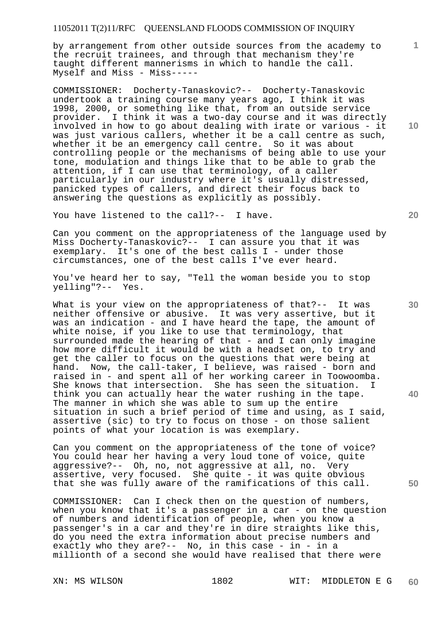by arrangement from other outside sources from the academy to the recruit trainees, and through that mechanism they're taught different mannerisms in which to handle the call.  $Myself$  and  $Miss$  -  $Miss$ -----

COMMISSIONER: Docherty-Tanaskovic?-- Docherty-Tanaskovic undertook a training course many years ago, I think it was 1998, 2000, or something like that, from an outside service provider. I think it was a two-day course and it was directly involved in how to go about dealing with irate or various - it was just various callers, whether it be a call centre as such, whether it be an emergency call centre. So it was about controlling people or the mechanisms of being able to use your tone, modulation and things like that to be able to grab the attention, if I can use that terminology, of a caller particularly in our industry where it's usually distressed, panicked types of callers, and direct their focus back to answering the questions as explicitly as possibly.

You have listened to the call?-- I have.

Can you comment on the appropriateness of the language used by Miss Docherty-Tanaskovic?-- I can assure you that it was exemplary. It's one of the best calls I - under those circumstances, one of the best calls I've ever heard.

You've heard her to say, "Tell the woman beside you to stop yelling"?-- Yes.

What is your view on the appropriateness of that?-- It was neither offensive or abusive. It was very assertive, but it was an indication - and I have heard the tape, the amount of white noise, if you like to use that terminology, that surrounded made the hearing of that - and I can only imagine how more difficult it would be with a headset on, to try and get the caller to focus on the questions that were being at hand. Now, the call-taker, I believe, was raised - born and raised in - and spent all of her working career in Toowoomba. She knows that intersection. She has seen the situation. I think you can actually hear the water rushing in the tape. The manner in which she was able to sum up the entire situation in such a brief period of time and using, as I said, assertive (sic) to try to focus on those - on those salient points of what your location is was exemplary.

Can you comment on the appropriateness of the tone of voice? You could hear her having a very loud tone of voice, quite aggressive?-- Oh, no, not aggressive at all, no. Very assertive, very focused. She quite - it was quite obvious that she was fully aware of the ramifications of this call.

COMMISSIONER: Can I check then on the question of numbers, when you know that it's a passenger in a car - on the question of numbers and identification of people, when you know a passenger's in a car and they're in dire straights like this, do you need the extra information about precise numbers and exactly who they are?-- No, in this case - in - in a millionth of a second she would have realised that there were

**10** 

**1**

**20** 

**40** 

**30**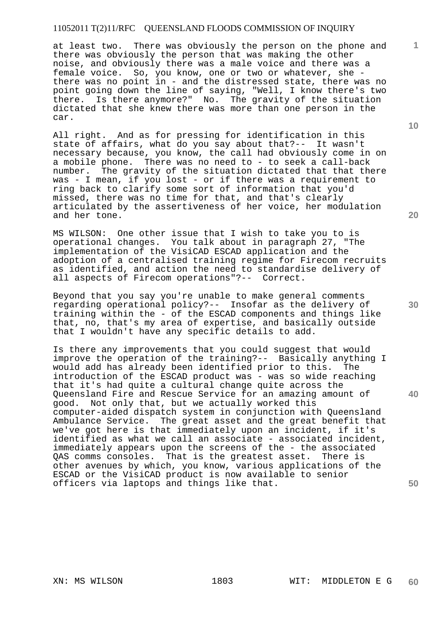at least two. There was obviously the person on the phone and there was obviously the person that was making the other noise, and obviously there was a male voice and there was a female voice. So, you know, one or two or whatever, she there was no point in - and the distressed state, there was no point going down the line of saying, "Well, I know there's two there. Is there anymore?" No. The gravity of the situation dictated that she knew there was more than one person in the car.

All right. And as for pressing for identification in this state of affairs, what do you say about that?-- It wasn't necessary because, you know, the call had obviously come in on a mobile phone. There was no need to - to seek a call-back number. The gravity of the situation dictated that that there was - I mean, if you lost - or if there was a requirement to ring back to clarify some sort of information that you'd missed, there was no time for that, and that's clearly articulated by the assertiveness of her voice, her modulation and her tone.

MS WILSON: One other issue that I wish to take you to is operational changes. You talk about in paragraph 27, "The implementation of the VisiCAD ESCAD application and the adoption of a centralised training regime for Firecom recruits as identified, and action the need to standardise delivery of all aspects of Firecom operations"?-- Correct.

Beyond that you say you're unable to make general comments regarding operational policy?-- Insofar as the delivery of training within the - of the ESCAD components and things like that, no, that's my area of expertise, and basically outside that I wouldn't have any specific details to add.

Is there any improvements that you could suggest that would improve the operation of the training?-- Basically anything I would add has already been identified prior to this. The introduction of the ESCAD product was - was so wide reaching that it's had quite a cultural change quite across the Queensland Fire and Rescue Service for an amazing amount of good. Not only that, but we actually worked this computer-aided dispatch system in conjunction with Queensland Ambulance Service. The great asset and the great benefit that we've got here is that immediately upon an incident, if it's identified as what we call an associate - associated incident, immediately appears upon the screens of the - the associated QAS comms consoles. That is the greatest asset. There is other avenues by which, you know, various applications of the ESCAD or the VisiCAD product is now available to senior officers via laptops and things like that.

**20** 

**30** 

**50** 

**10**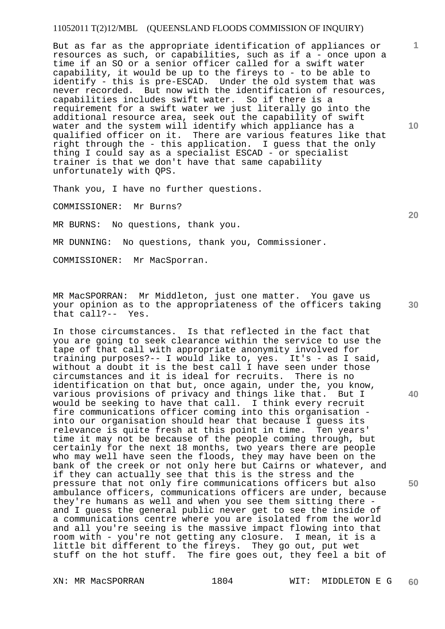But as far as the appropriate identification of appliances or resources as such, or capabilities, such as if a - once upon a time if an SO or a senior officer called for a swift water capability, it would be up to the fireys to - to be able to identify - this is pre-ESCAD. Under the old system that was never recorded. But now with the identification of resources, capabilities includes swift water. So if there is a requirement for a swift water we just literally go into the additional resource area, seek out the capability of swift water and the system will identify which appliance has a qualified officer on it. There are various features like that right through the - this application. I guess that the only thing I could say as a specialist ESCAD - or specialist trainer is that we don't have that same capability unfortunately with QPS.

Thank you, I have no further questions.

COMMISSIONER: Mr Burns?

MR BURNS: No questions, thank you.

MR DUNNING: No questions, thank you, Commissioner.

COMMISSIONER: Mr MacSporran.

MR MacSPORRAN: Mr Middleton, just one matter. You gave us your opinion as to the appropriateness of the officers taking that call?-- Yes.

In those circumstances. Is that reflected in the fact that you are going to seek clearance within the service to use the tape of that call with appropriate anonymity involved for training purposes?-- I would like to, yes. It's - as I said, without a doubt it is the best call I have seen under those circumstances and it is ideal for recruits. There is no identification on that but, once again, under the, you know, various provisions of privacy and things like that. But I would be seeking to have that call. I think every recruit fire communications officer coming into this organisation into our organisation should hear that because I guess its relevance is quite fresh at this point in time. Ten years' time it may not be because of the people coming through, but certainly for the next 18 months, two years there are people who may well have seen the floods, they may have been on the bank of the creek or not only here but Cairns or whatever, and if they can actually see that this is the stress and the pressure that not only fire communications officers but also ambulance officers, communications officers are under, because they're humans as well and when you see them sitting there and I guess the general public never get to see the inside of a communications centre where you are isolated from the world and all you're seeing is the massive impact flowing into that room with - you're not getting any closure. I mean, it is a little bit different to the fireys. They go out, put wet stuff on the hot stuff. The fire goes out, they feel a bit of

XN: MR MacSPORRAN 1804 WIT: MIDDLETON E G **60** 

**10** 

**1**

**20** 

**50**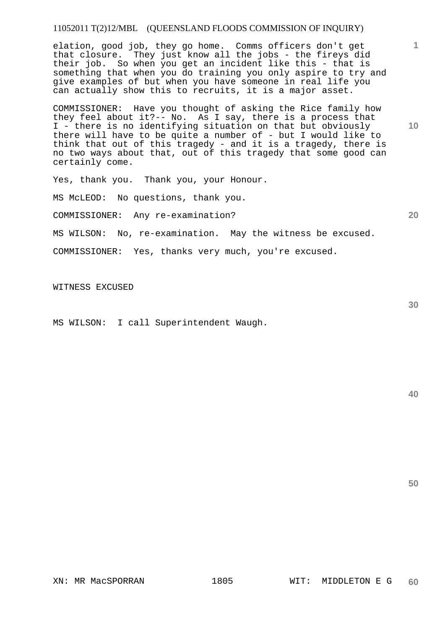elation, good job, they go home. Comms officers don't get that closure. They just know all the jobs - the fireys did their job. So when you get an incident like this - that is something that when you do training you only aspire to try and give examples of but when you have someone in real life you can actually show this to recruits, it is a major asset.

COMMISSIONER: Have you thought of asking the Rice family how they feel about it?-- No. As I say, there is a process that I - there is no identifying situation on that but obviously there will have to be quite a number of - but I would like to think that out of this tragedy - and it is a tragedy, there is no two ways about that, out of this tragedy that some good can certainly come.

Yes, thank you. Thank you, your Honour.

MS McLEOD: No questions, thank you.

COMMISSIONER: Any re-examination?

MS WILSON: No, re-examination. May the witness be excused.

COMMISSIONER: Yes, thanks very much, you're excused.

WITNESS EXCUSED

MS WILSON: I call Superintendent Waugh.

**40** 

**50** 

**30** 

**1**

**10**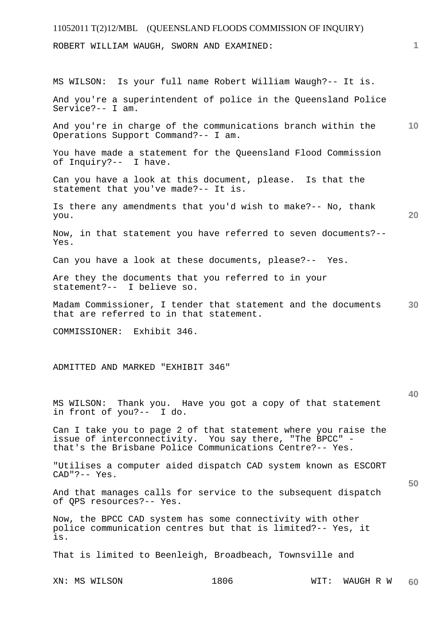ROBERT WILLIAM WAUGH, SWORN AND EXAMINED:

MS WILSON: Is your full name Robert William Waugh?-- It is.

And you're a superintendent of police in the Queensland Police Service?-- I am.

**10**  And you're in charge of the communications branch within the Operations Support Command?-- I am.

You have made a statement for the Queensland Flood Commission of Inquiry?-- I have.

Can you have a look at this document, please. Is that the statement that you've made?-- It is.

Is there any amendments that you'd wish to make?-- No, thank you.

**20** 

**1**

Now, in that statement you have referred to seven documents?-- Yes.

Can you have a look at these documents, please?-- Yes.

Are they the documents that you referred to in your statement?-- I believe so.

**30**  Madam Commissioner, I tender that statement and the documents that are referred to in that statement.

COMMISSIONER: Exhibit 346.

ADMITTED AND MARKED "EXHIBIT 346"

#### **40**

**50** 

MS WILSON: Thank you. Have you got a copy of that statement in front of you?-- I do.

Can I take you to page 2 of that statement where you raise the issue of interconnectivity. You say there, "The BPCC" that's the Brisbane Police Communications Centre?-- Yes.

"Utilises a computer aided dispatch CAD system known as ESCORT CAD"?-- Yes.

And that manages calls for service to the subsequent dispatch of QPS resources?-- Yes.

Now, the BPCC CAD system has some connectivity with other police communication centres but that is limited?-- Yes, it is.

That is limited to Beenleigh, Broadbeach, Townsville and

XN: MS WILSON 1806 WIT: WAUGH R W **60**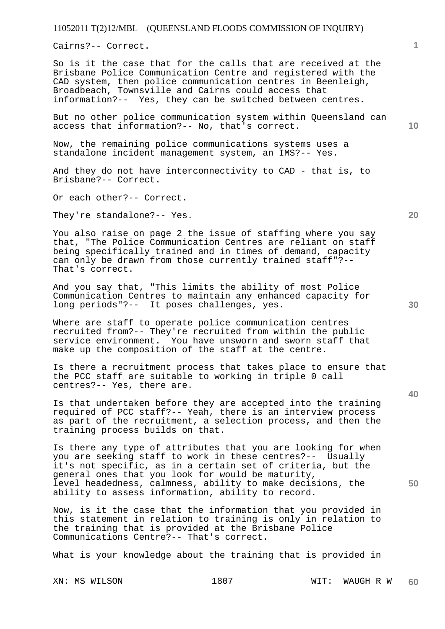Cairns?-- Correct.

So is it the case that for the calls that are received at the Brisbane Police Communication Centre and registered with the CAD system, then police communication centres in Beenleigh, Broadbeach, Townsville and Cairns could access that information?-- Yes, they can be switched between centres.

But no other police communication system within Queensland can access that information?-- No, that's correct.

Now, the remaining police communications systems uses a standalone incident management system, an IMS?-- Yes.

And they do not have interconnectivity to CAD - that is, to Brisbane?-- Correct.

Or each other?-- Correct.

They're standalone?-- Yes.

You also raise on page 2 the issue of staffing where you say that, "The Police Communication Centres are reliant on staff being specifically trained and in times of demand, capacity can only be drawn from those currently trained staff"?-- That's correct.

And you say that, "This limits the ability of most Police Communication Centres to maintain any enhanced capacity for long periods"?-- It poses challenges, yes.

Where are staff to operate police communication centres recruited from?-- They're recruited from within the public service environment. You have unsworn and sworn staff that make up the composition of the staff at the centre.

Is there a recruitment process that takes place to ensure that the PCC staff are suitable to working in triple 0 call centres?-- Yes, there are.

Is that undertaken before they are accepted into the training required of PCC staff?-- Yeah, there is an interview process as part of the recruitment, a selection process, and then the training process builds on that.

Is there any type of attributes that you are looking for when you are seeking staff to work in these centres?-- Usually it's not specific, as in a certain set of criteria, but the general ones that you look for would be maturity, level headedness, calmness, ability to make decisions, the ability to assess information, ability to record.

Now, is it the case that the information that you provided in this statement in relation to training is only in relation to the training that is provided at the Brisbane Police Communications Centre?-- That's correct.

What is your knowledge about the training that is provided in

**10** 

**1**

**20** 

**30** 

**40**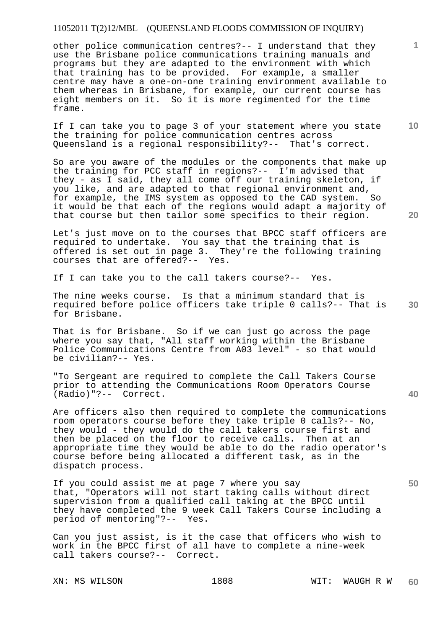other police communication centres?-- I understand that they use the Brisbane police communications training manuals and programs but they are adapted to the environment with which that training has to be provided. For example, a smaller centre may have a one-on-one training environment available to them whereas in Brisbane, for example, our current course has eight members on it. So it is more regimented for the time frame.

**10**  If I can take you to page 3 of your statement where you state the training for police communication centres across Queensland is a regional responsibility?-- That's correct.

So are you aware of the modules or the components that make up the training for PCC staff in regions?-- I'm advised that they - as I said, they all come off our training skeleton, if you like, and are adapted to that regional environment and, for example, the IMS system as opposed to the CAD system. So it would be that each of the regions would adapt a majority of that course but then tailor some specifics to their region.

Let's just move on to the courses that BPCC staff officers are required to undertake. You say that the training that is offered is set out in page 3. They're the following training courses that are offered?-- Yes.

If I can take you to the call takers course?-- Yes.

**30**  The nine weeks course. Is that a minimum standard that is required before police officers take triple 0 calls?-- That is for Brisbane.

That is for Brisbane. So if we can just go across the page where you say that, "All staff working within the Brisbane Police Communications Centre from A03 level" - so that would be civilian?-- Yes.

"To Sergeant are required to complete the Call Takers Course prior to attending the Communications Room Operators Course (Radio)"?-- Correct.

Are officers also then required to complete the communications room operators course before they take triple 0 calls?-- No, they would - they would do the call takers course first and then be placed on the floor to receive calls. Then at an appropriate time they would be able to do the radio operator's course before being allocated a different task, as in the dispatch process.

If you could assist me at page 7 where you say that, "Operators will not start taking calls without direct supervision from a qualified call taking at the BPCC until they have completed the 9 week Call Takers Course including a period of mentoring"?-- Yes.

Can you just assist, is it the case that officers who wish to work in the BPCC first of all have to complete a nine-week call takers course?-- Correct.

**20** 

**1**

**50**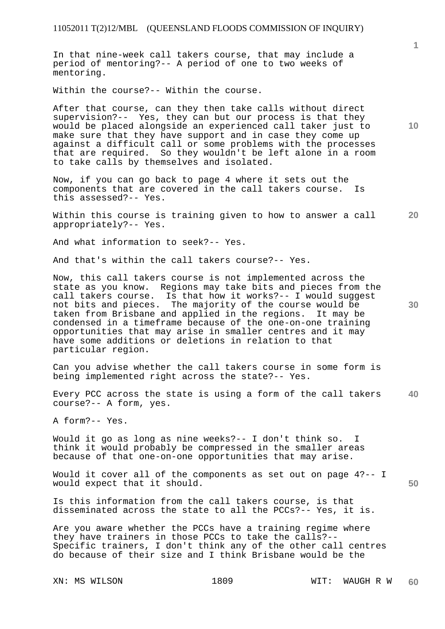In that nine-week call takers course, that may include a period of mentoring?-- A period of one to two weeks of mentoring.

Within the course?-- Within the course.

After that course, can they then take calls without direct supervision?-- Yes, they can but our process is that they would be placed alongside an experienced call taker just to make sure that they have support and in case they come up against a difficult call or some problems with the processes that are required. So they wouldn't be left alone in a room to take calls by themselves and isolated.

Now, if you can go back to page 4 where it sets out the components that are covered in the call takers course. Is this assessed?-- Yes.

**20**  Within this course is training given to how to answer a call appropriately?-- Yes.

And what information to seek?-- Yes.

And that's within the call takers course?-- Yes.

Now, this call takers course is not implemented across the state as you know. Regions may take bits and pieces from the call takers course. Is that how it works?-- I would suggest not bits and pieces. The majority of the course would be taken from Brisbane and applied in the regions. It may be condensed in a timeframe because of the one-on-one training opportunities that may arise in smaller centres and it may have some additions or deletions in relation to that particular region.

Can you advise whether the call takers course in some form is being implemented right across the state?-- Yes.

**40**  Every PCC across the state is using a form of the call takers course?-- A form, yes.

A form?-- Yes.

Would it go as long as nine weeks?-- I don't think so. I think it would probably be compressed in the smaller areas because of that one-on-one opportunities that may arise.

Would it cover all of the components as set out on page 4?-- I would expect that it should.

Is this information from the call takers course, is that disseminated across the state to all the PCCs?-- Yes, it is.

Are you aware whether the PCCs have a training regime where they have trainers in those PCCs to take the calls?-- Specific trainers, I don't think any of the other call centres do because of their size and I think Brisbane would be the

**1**

**10** 

**30**